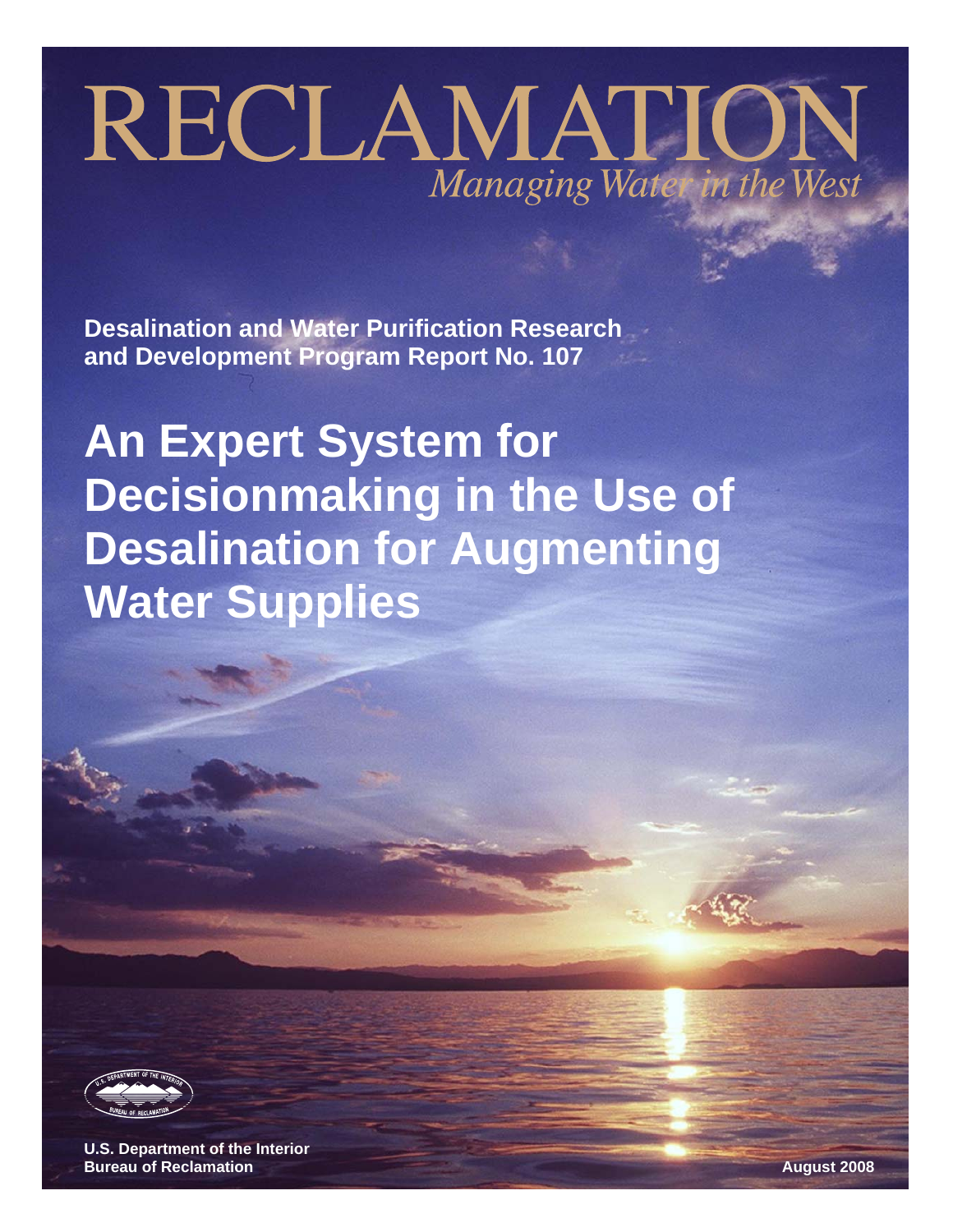# RECLAMATION Managing Water in the West

**Desalination and Water Purification Research and Development Program Report No. 107** 

**An Expert System for Decisionmaking in the Use of Desalination for Augmenting Water Supplies** 



**U.S. Department of the Interior Bureau of Reclamation August 2008**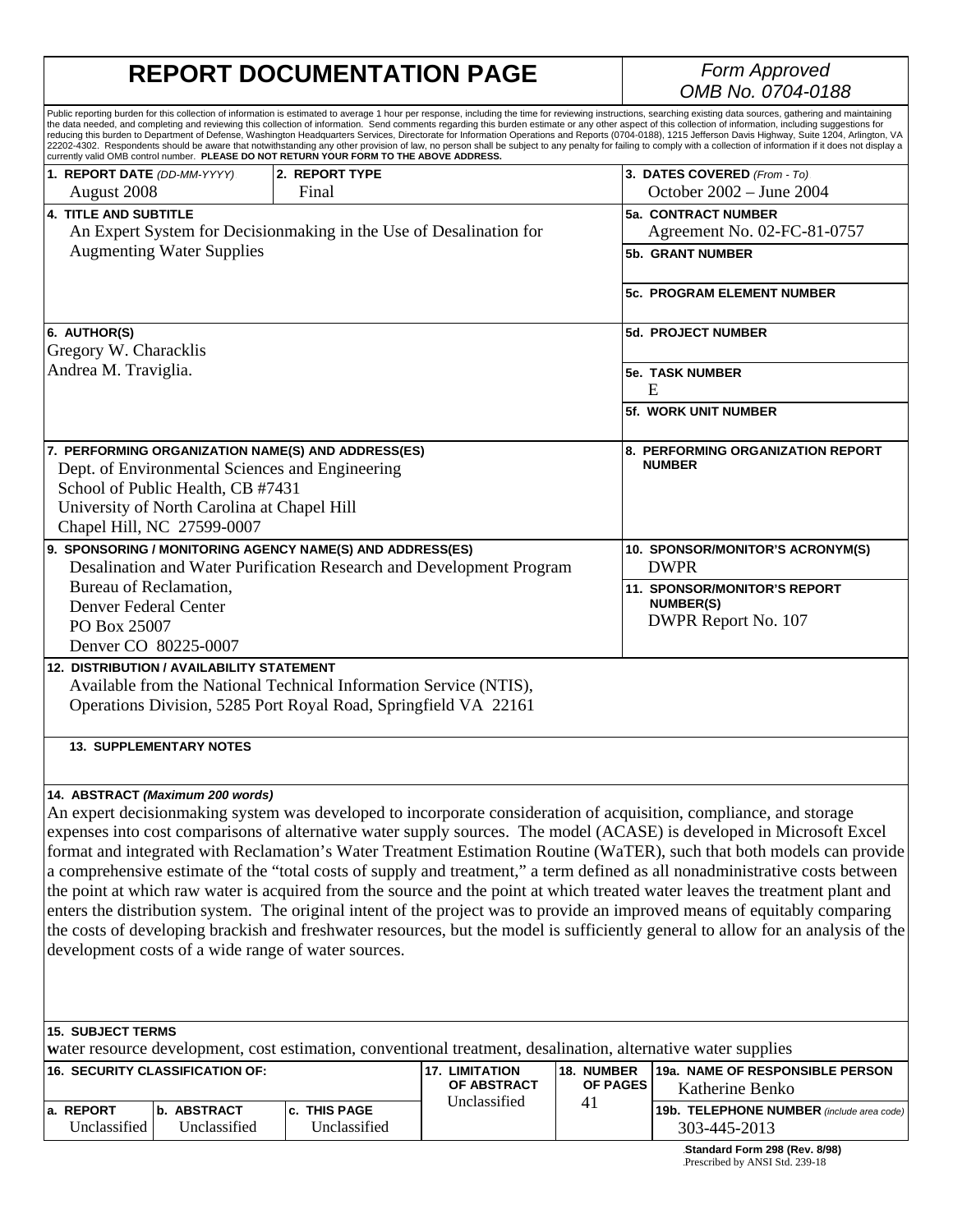# **REPORT DOCUMENTATION PAGE**

# *OMB No. 0704-0188*

|                                                                 |                                             | currently valid OMB control number. PLEASE DO NOT RETURN YOUR FORM TO THE ABOVE ADDRESS.                      |                    |                                 | Public reporting burden for this collection of information is estimated to average 1 hour per response, including the time for reviewing instructions, searching existing data sources, gathering and maintaining<br>the data needed, and completing and reviewing this collection of information. Send comments regarding this burden estimate or any other aspect of this collection of information, including suggestions for<br>reducing this burden to Department of Defense, Washington Headquarters Services, Directorate for Information Operations and Reports (0704-0188), 1215 Jefferson Davis Highway, Suite 1204, Arlington, VA<br>22202-4302. Respondents should be aware that notwithstanding any other provision of law, no person shall be subject to any penalty for failing to comply with a collection of information if it does not display a |
|-----------------------------------------------------------------|---------------------------------------------|---------------------------------------------------------------------------------------------------------------|--------------------|---------------------------------|--------------------------------------------------------------------------------------------------------------------------------------------------------------------------------------------------------------------------------------------------------------------------------------------------------------------------------------------------------------------------------------------------------------------------------------------------------------------------------------------------------------------------------------------------------------------------------------------------------------------------------------------------------------------------------------------------------------------------------------------------------------------------------------------------------------------------------------------------------------------|
| 1. REPORT DATE (DD-MM-YYYY).                                    |                                             | 2. REPORT TYPE                                                                                                |                    |                                 | 3. DATES COVERED (From - To)                                                                                                                                                                                                                                                                                                                                                                                                                                                                                                                                                                                                                                                                                                                                                                                                                                       |
| August 2008                                                     |                                             | Final                                                                                                         |                    |                                 | October 2002 - June 2004                                                                                                                                                                                                                                                                                                                                                                                                                                                                                                                                                                                                                                                                                                                                                                                                                                           |
| <b>4. TITLE AND SUBTITLE</b>                                    |                                             |                                                                                                               |                    |                                 | <b>5a. CONTRACT NUMBER</b>                                                                                                                                                                                                                                                                                                                                                                                                                                                                                                                                                                                                                                                                                                                                                                                                                                         |
|                                                                 |                                             | An Expert System for Decisionmaking in the Use of Desalination for                                            |                    |                                 | Agreement No. 02-FC-81-0757                                                                                                                                                                                                                                                                                                                                                                                                                                                                                                                                                                                                                                                                                                                                                                                                                                        |
|                                                                 | <b>Augmenting Water Supplies</b>            |                                                                                                               |                    |                                 | <b>5b. GRANT NUMBER</b>                                                                                                                                                                                                                                                                                                                                                                                                                                                                                                                                                                                                                                                                                                                                                                                                                                            |
|                                                                 |                                             |                                                                                                               |                    |                                 | <b>5c. PROGRAM ELEMENT NUMBER</b>                                                                                                                                                                                                                                                                                                                                                                                                                                                                                                                                                                                                                                                                                                                                                                                                                                  |
| 6. AUTHOR(S)                                                    |                                             |                                                                                                               |                    |                                 | <b>5d. PROJECT NUMBER</b>                                                                                                                                                                                                                                                                                                                                                                                                                                                                                                                                                                                                                                                                                                                                                                                                                                          |
| Gregory W. Characklis                                           |                                             |                                                                                                               |                    |                                 |                                                                                                                                                                                                                                                                                                                                                                                                                                                                                                                                                                                                                                                                                                                                                                                                                                                                    |
| Andrea M. Traviglia.                                            |                                             |                                                                                                               |                    |                                 | <b>5e. TASK NUMBER</b><br>E                                                                                                                                                                                                                                                                                                                                                                                                                                                                                                                                                                                                                                                                                                                                                                                                                                        |
|                                                                 |                                             |                                                                                                               |                    |                                 | 5f. WORK UNIT NUMBER                                                                                                                                                                                                                                                                                                                                                                                                                                                                                                                                                                                                                                                                                                                                                                                                                                               |
|                                                                 |                                             | 7. PERFORMING ORGANIZATION NAME(S) AND ADDRESS(ES)                                                            |                    |                                 | 8. PERFORMING ORGANIZATION REPORT                                                                                                                                                                                                                                                                                                                                                                                                                                                                                                                                                                                                                                                                                                                                                                                                                                  |
|                                                                 |                                             | Dept. of Environmental Sciences and Engineering                                                               |                    |                                 | <b>NUMBER</b>                                                                                                                                                                                                                                                                                                                                                                                                                                                                                                                                                                                                                                                                                                                                                                                                                                                      |
|                                                                 | School of Public Health, CB #7431           |                                                                                                               |                    |                                 |                                                                                                                                                                                                                                                                                                                                                                                                                                                                                                                                                                                                                                                                                                                                                                                                                                                                    |
|                                                                 | University of North Carolina at Chapel Hill |                                                                                                               |                    |                                 |                                                                                                                                                                                                                                                                                                                                                                                                                                                                                                                                                                                                                                                                                                                                                                                                                                                                    |
|                                                                 | Chapel Hill, NC 27599-0007                  |                                                                                                               |                    |                                 |                                                                                                                                                                                                                                                                                                                                                                                                                                                                                                                                                                                                                                                                                                                                                                                                                                                                    |
|                                                                 |                                             | 9. SPONSORING / MONITORING AGENCY NAME(S) AND ADDRESS(ES)                                                     |                    |                                 | 10. SPONSOR/MONITOR'S ACRONYM(S)                                                                                                                                                                                                                                                                                                                                                                                                                                                                                                                                                                                                                                                                                                                                                                                                                                   |
|                                                                 |                                             | Desalination and Water Purification Research and Development Program                                          |                    |                                 | <b>DWPR</b>                                                                                                                                                                                                                                                                                                                                                                                                                                                                                                                                                                                                                                                                                                                                                                                                                                                        |
| Bureau of Reclamation,                                          |                                             |                                                                                                               |                    |                                 | <b>11. SPONSOR/MONITOR'S REPORT</b>                                                                                                                                                                                                                                                                                                                                                                                                                                                                                                                                                                                                                                                                                                                                                                                                                                |
| Denver Federal Center                                           |                                             |                                                                                                               |                    |                                 | <b>NUMBER(S)</b>                                                                                                                                                                                                                                                                                                                                                                                                                                                                                                                                                                                                                                                                                                                                                                                                                                                   |
| PO Box 25007                                                    |                                             |                                                                                                               |                    |                                 | DWPR Report No. 107                                                                                                                                                                                                                                                                                                                                                                                                                                                                                                                                                                                                                                                                                                                                                                                                                                                |
| Denver CO 80225-0007                                            |                                             |                                                                                                               |                    |                                 |                                                                                                                                                                                                                                                                                                                                                                                                                                                                                                                                                                                                                                                                                                                                                                                                                                                                    |
|                                                                 | 12. DISTRIBUTION / AVAILABILITY STATEMENT   |                                                                                                               |                    |                                 |                                                                                                                                                                                                                                                                                                                                                                                                                                                                                                                                                                                                                                                                                                                                                                                                                                                                    |
|                                                                 |                                             | Available from the National Technical Information Service (NTIS),                                             |                    |                                 |                                                                                                                                                                                                                                                                                                                                                                                                                                                                                                                                                                                                                                                                                                                                                                                                                                                                    |
| Operations Division, 5285 Port Royal Road, Springfield VA 22161 |                                             |                                                                                                               |                    |                                 |                                                                                                                                                                                                                                                                                                                                                                                                                                                                                                                                                                                                                                                                                                                                                                                                                                                                    |
|                                                                 |                                             |                                                                                                               |                    |                                 |                                                                                                                                                                                                                                                                                                                                                                                                                                                                                                                                                                                                                                                                                                                                                                                                                                                                    |
|                                                                 | <b>13. SUPPLEMENTARY NOTES</b>              |                                                                                                               |                    |                                 |                                                                                                                                                                                                                                                                                                                                                                                                                                                                                                                                                                                                                                                                                                                                                                                                                                                                    |
|                                                                 | 14. ABSTRACT (Maximum 200 words)            |                                                                                                               |                    |                                 |                                                                                                                                                                                                                                                                                                                                                                                                                                                                                                                                                                                                                                                                                                                                                                                                                                                                    |
|                                                                 |                                             |                                                                                                               |                    |                                 | An expert decisionmaking system was developed to incorporate consideration of acquisition, compliance, and storage                                                                                                                                                                                                                                                                                                                                                                                                                                                                                                                                                                                                                                                                                                                                                 |
|                                                                 |                                             |                                                                                                               |                    |                                 | expenses into cost comparisons of alternative water supply sources. The model (ACASE) is developed in Microsoft Excel                                                                                                                                                                                                                                                                                                                                                                                                                                                                                                                                                                                                                                                                                                                                              |
|                                                                 |                                             |                                                                                                               |                    |                                 | format and integrated with Reclamation's Water Treatment Estimation Routine (WaTER), such that both models can provide                                                                                                                                                                                                                                                                                                                                                                                                                                                                                                                                                                                                                                                                                                                                             |
|                                                                 |                                             |                                                                                                               |                    |                                 | a comprehensive estimate of the "total costs of supply and treatment," a term defined as all nonadministrative costs between                                                                                                                                                                                                                                                                                                                                                                                                                                                                                                                                                                                                                                                                                                                                       |
|                                                                 |                                             |                                                                                                               |                    |                                 | the point at which raw water is acquired from the source and the point at which treated water leaves the treatment plant and                                                                                                                                                                                                                                                                                                                                                                                                                                                                                                                                                                                                                                                                                                                                       |
|                                                                 |                                             |                                                                                                               |                    |                                 | enters the distribution system. The original intent of the project was to provide an improved means of equitably comparing                                                                                                                                                                                                                                                                                                                                                                                                                                                                                                                                                                                                                                                                                                                                         |
|                                                                 |                                             |                                                                                                               |                    |                                 | the costs of developing brackish and freshwater resources, but the model is sufficiently general to allow for an analysis of the                                                                                                                                                                                                                                                                                                                                                                                                                                                                                                                                                                                                                                                                                                                                   |
|                                                                 |                                             | development costs of a wide range of water sources.                                                           |                    |                                 |                                                                                                                                                                                                                                                                                                                                                                                                                                                                                                                                                                                                                                                                                                                                                                                                                                                                    |
|                                                                 |                                             |                                                                                                               |                    |                                 |                                                                                                                                                                                                                                                                                                                                                                                                                                                                                                                                                                                                                                                                                                                                                                                                                                                                    |
|                                                                 |                                             |                                                                                                               |                    |                                 |                                                                                                                                                                                                                                                                                                                                                                                                                                                                                                                                                                                                                                                                                                                                                                                                                                                                    |
|                                                                 |                                             |                                                                                                               |                    |                                 |                                                                                                                                                                                                                                                                                                                                                                                                                                                                                                                                                                                                                                                                                                                                                                                                                                                                    |
| <b>15. SUBJECT TERMS</b>                                        |                                             |                                                                                                               |                    |                                 |                                                                                                                                                                                                                                                                                                                                                                                                                                                                                                                                                                                                                                                                                                                                                                                                                                                                    |
|                                                                 |                                             | water resource development, cost estimation, conventional treatment, desalination, alternative water supplies |                    |                                 |                                                                                                                                                                                                                                                                                                                                                                                                                                                                                                                                                                                                                                                                                                                                                                                                                                                                    |
| 16. SECURITY CLASSIFICATION OF:                                 |                                             | 17. LIMITATION                                                                                                | 18. NUMBER         | 19a. NAME OF RESPONSIBLE PERSON |                                                                                                                                                                                                                                                                                                                                                                                                                                                                                                                                                                                                                                                                                                                                                                                                                                                                    |
|                                                                 |                                             |                                                                                                               | <b>OF ABSTRACT</b> | OF PAGES                        | Katherine Benko                                                                                                                                                                                                                                                                                                                                                                                                                                                                                                                                                                                                                                                                                                                                                                                                                                                    |
| a. REPORT                                                       | b. ABSTRACT                                 | c. THIS PAGE                                                                                                  | Unclassified       | 41                              | 19b. TELEPHONE NUMBER (include area code)                                                                                                                                                                                                                                                                                                                                                                                                                                                                                                                                                                                                                                                                                                                                                                                                                          |
| Unclassified                                                    | Unclassified                                | Unclassified                                                                                                  |                    |                                 | 303-445-2013                                                                                                                                                                                                                                                                                                                                                                                                                                                                                                                                                                                                                                                                                                                                                                                                                                                       |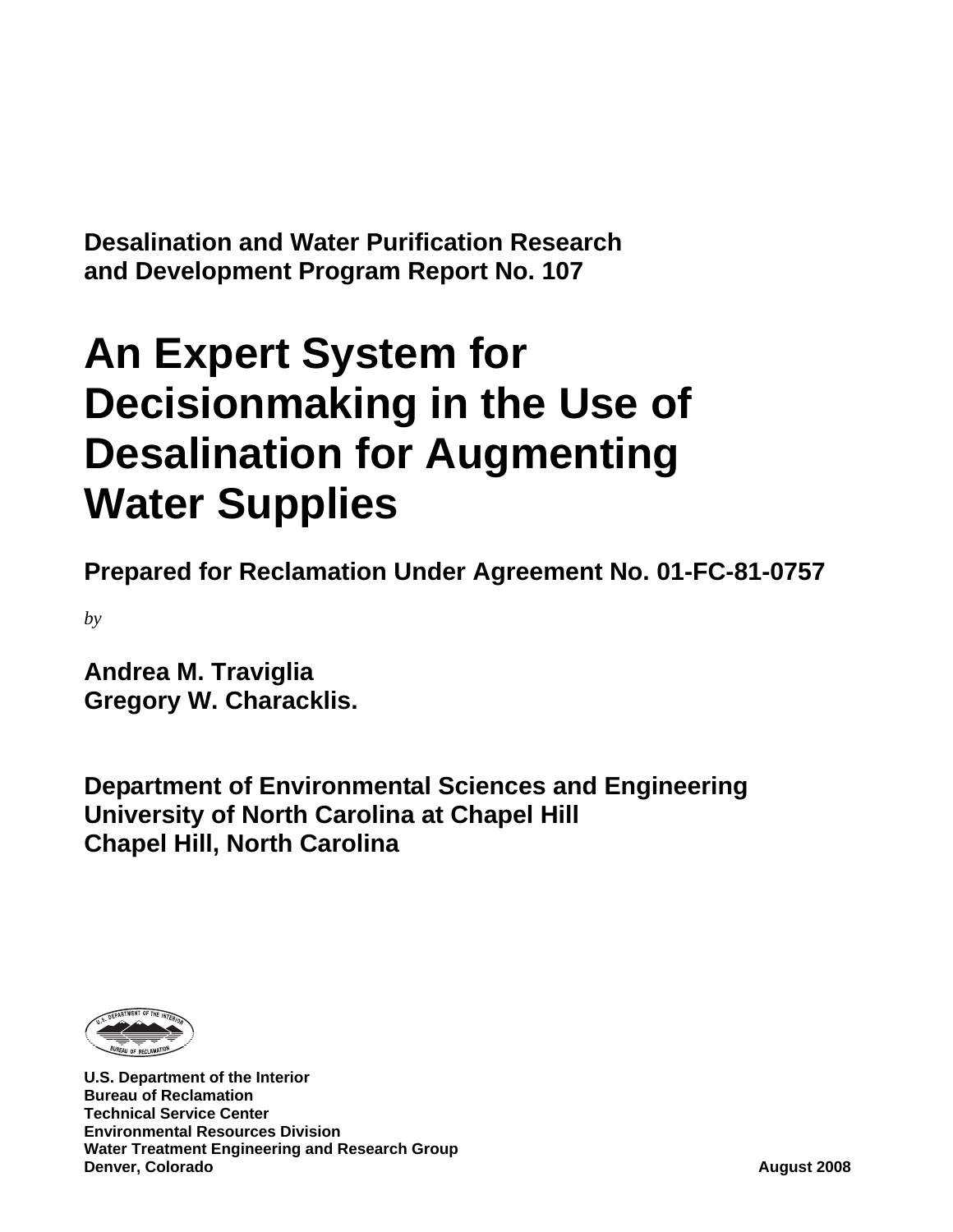**Desalination and Water Purification Research and Development Program Report No. 107** 

# **An Expert System for Decisionmaking in the Use of Desalination for Augmenting Water Supplies**

**Prepared for Reclamation Under Agreement No. 01-FC-81-0757** 

*by* 

**Andrea M. Traviglia Gregory W. Characklis.** 

**Department of Environmental Sciences and Engineering University of North Carolina at Chapel Hill Chapel Hill, North Carolina** 



**U.S. Department of the Interior Bureau of Reclamation Technical Service Center Environmental Resources Division Water Treatment Engineering and Research Group Denver, Colorado August 2008**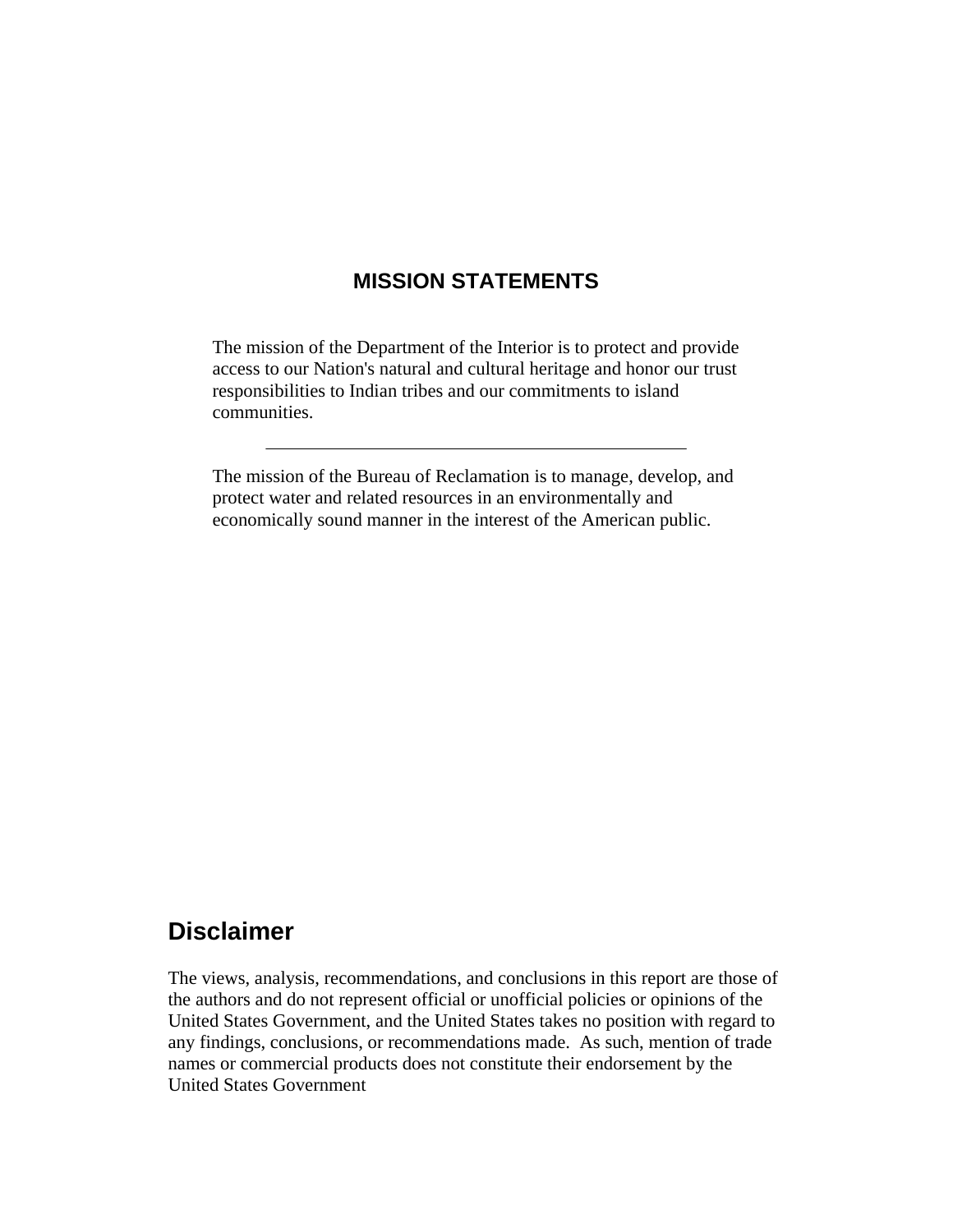### **MISSION STATEMENTS**

The mission of the Department of the Interior is to protect and provide access to our Nation's natural and cultural heritage and honor our trust responsibilities to Indian tribes and our commitments to island communities.

The mission of the Bureau of Reclamation is to manage, develop, and protect water and related resources in an environmentally and economically sound manner in the interest of the American public.

# **Disclaimer**

The views, analysis, recommendations, and conclusions in this report are those of the authors and do not represent official or unofficial policies or opinions of the United States Government, and the United States takes no position with regard to any findings, conclusions, or recommendations made. As such, mention of trade names or commercial products does not constitute their endorsement by the United States Government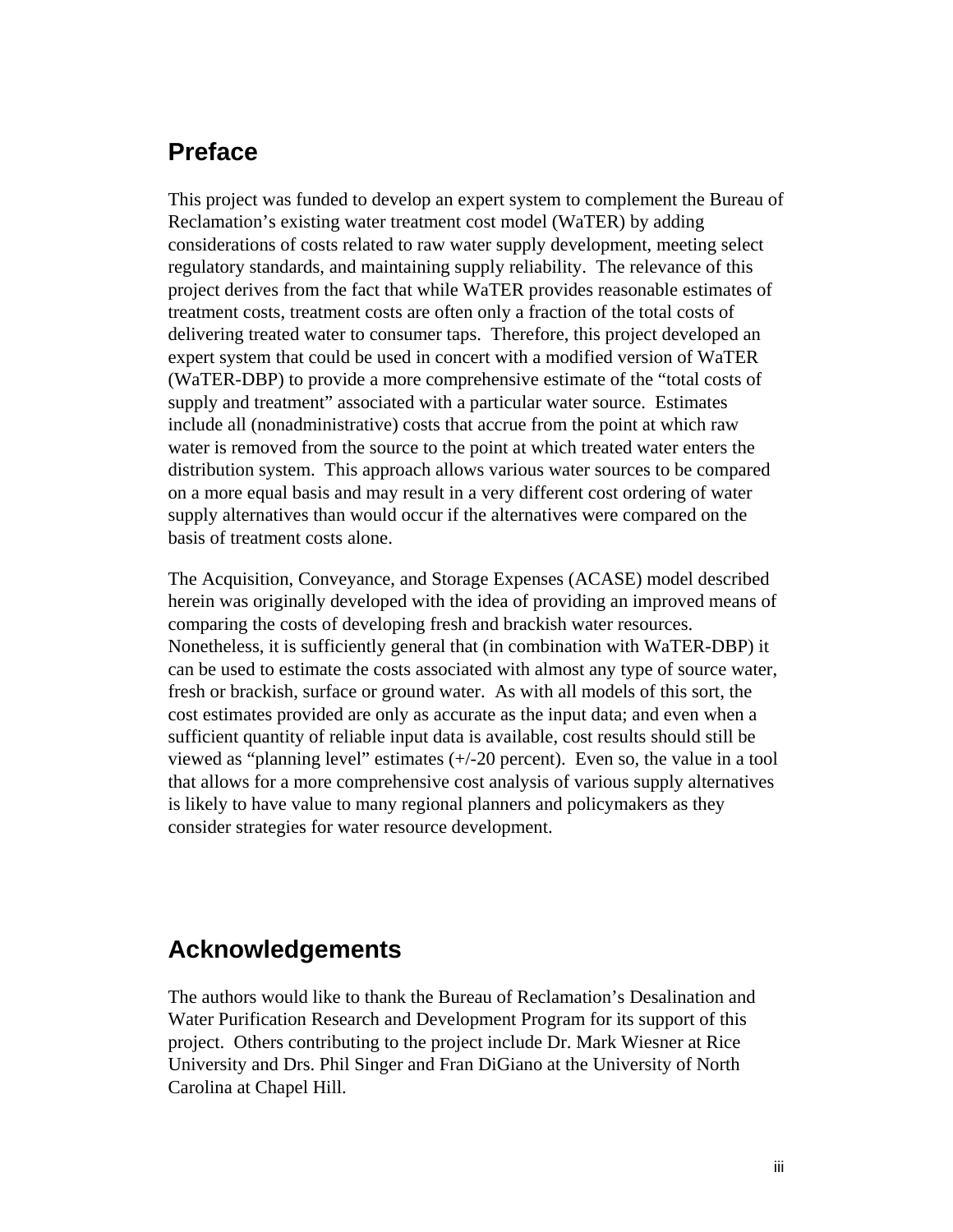# **Preface**

This project was funded to develop an expert system to complement the Bureau of Reclamation's existing water treatment cost model (WaTER) by adding considerations of costs related to raw water supply development, meeting select regulatory standards, and maintaining supply reliability. The relevance of this project derives from the fact that while WaTER provides reasonable estimates of treatment costs, treatment costs are often only a fraction of the total costs of delivering treated water to consumer taps. Therefore, this project developed an expert system that could be used in concert with a modified version of WaTER (WaTER-DBP) to provide a more comprehensive estimate of the "total costs of supply and treatment" associated with a particular water source. Estimates include all (nonadministrative) costs that accrue from the point at which raw water is removed from the source to the point at which treated water enters the distribution system. This approach allows various water sources to be compared on a more equal basis and may result in a very different cost ordering of water supply alternatives than would occur if the alternatives were compared on the basis of treatment costs alone.

The Acquisition, Conveyance, and Storage Expenses (ACASE) model described herein was originally developed with the idea of providing an improved means of comparing the costs of developing fresh and brackish water resources. Nonetheless, it is sufficiently general that (in combination with WaTER-DBP) it can be used to estimate the costs associated with almost any type of source water, fresh or brackish, surface or ground water. As with all models of this sort, the cost estimates provided are only as accurate as the input data; and even when a sufficient quantity of reliable input data is available, cost results should still be viewed as "planning level" estimates (+/-20 percent). Even so, the value in a tool that allows for a more comprehensive cost analysis of various supply alternatives is likely to have value to many regional planners and policymakers as they consider strategies for water resource development.

### **Acknowledgements**

The authors would like to thank the Bureau of Reclamation's Desalination and Water Purification Research and Development Program for its support of this project. Others contributing to the project include Dr. Mark Wiesner at Rice University and Drs. Phil Singer and Fran DiGiano at the University of North Carolina at Chapel Hill.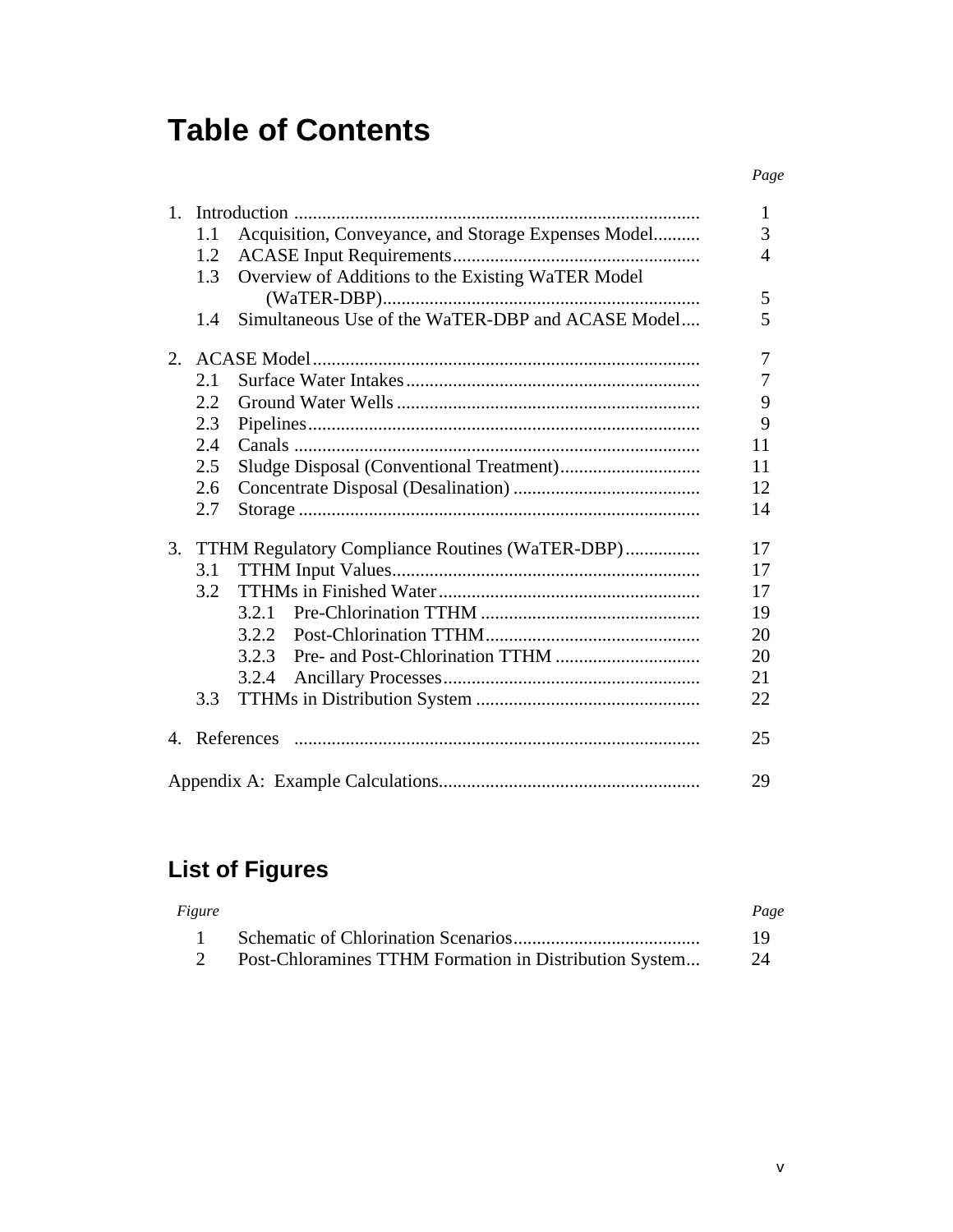# **Table of Contents**

| $1_{-}$      |     |                                                     | 1      |  |  |  |  |
|--------------|-----|-----------------------------------------------------|--------|--|--|--|--|
|              | 1.1 | Acquisition, Conveyance, and Storage Expenses Model |        |  |  |  |  |
|              | 1.2 |                                                     | 3<br>4 |  |  |  |  |
|              | 1.3 | Overview of Additions to the Existing WaTER Model   |        |  |  |  |  |
|              |     |                                                     | 5      |  |  |  |  |
|              | 1.4 | Simultaneous Use of the WaTER-DBP and ACASE Model   | 5      |  |  |  |  |
| 2.           |     |                                                     | 7      |  |  |  |  |
|              | 2.1 |                                                     | 7      |  |  |  |  |
|              | 2.2 |                                                     | 9      |  |  |  |  |
|              | 2.3 |                                                     | 9      |  |  |  |  |
|              | 2.4 |                                                     | 11     |  |  |  |  |
|              | 2.5 |                                                     | 11     |  |  |  |  |
|              | 2.6 |                                                     | 12     |  |  |  |  |
|              | 2.7 |                                                     | 14     |  |  |  |  |
| 3.           |     | TTHM Regulatory Compliance Routines (WaTER-DBP)     | 17     |  |  |  |  |
|              | 3.1 |                                                     | 17     |  |  |  |  |
|              | 3.2 |                                                     | 17     |  |  |  |  |
|              |     | 3.2.1                                               | 19     |  |  |  |  |
|              |     | 3.2.2                                               | 20     |  |  |  |  |
|              |     | 3.2.3                                               | 20     |  |  |  |  |
|              |     | 3.2.4                                               | 21     |  |  |  |  |
|              | 3.3 |                                                     | 22     |  |  |  |  |
| $\mathbf{A}$ |     |                                                     | 25     |  |  |  |  |
|              |     |                                                     | 29     |  |  |  |  |

# **List of Figures**

| Figure |                                                        | Page |
|--------|--------------------------------------------------------|------|
|        |                                                        | -19  |
|        | Post-Chloramines TTHM Formation in Distribution System | 24   |

*Page*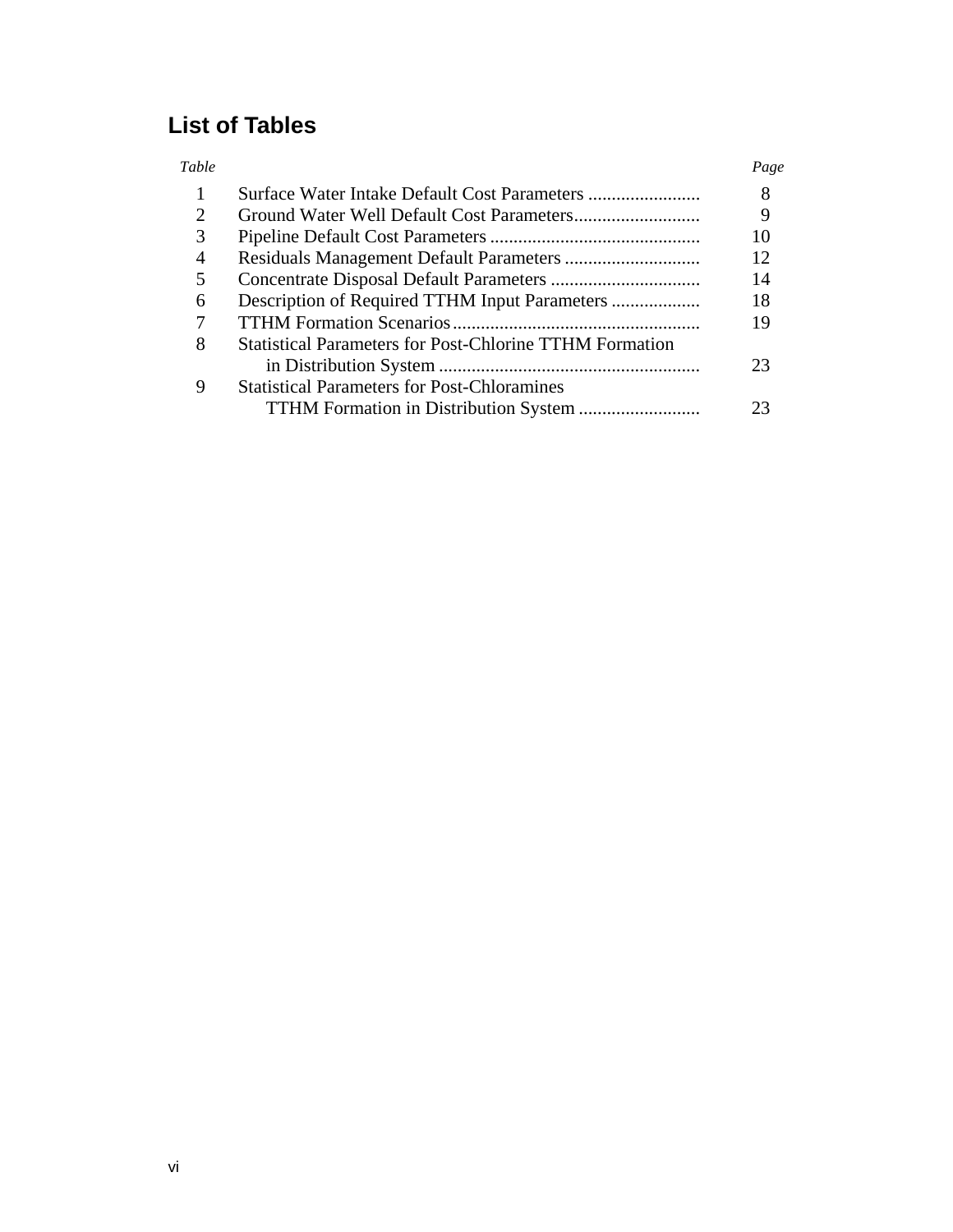# **List of Tables**

| Table |                                                                | Page |
|-------|----------------------------------------------------------------|------|
|       |                                                                | 8    |
| 2     |                                                                | 9    |
| 3     |                                                                | 10   |
| 4     |                                                                | 12   |
| 5     |                                                                | 14   |
| 6     |                                                                | 18   |
|       |                                                                | 19   |
| 8     | <b>Statistical Parameters for Post-Chlorine TTHM Formation</b> |      |
|       |                                                                | 23   |
| 9     | <b>Statistical Parameters for Post-Chloramines</b>             |      |
|       |                                                                | つつ   |
|       |                                                                |      |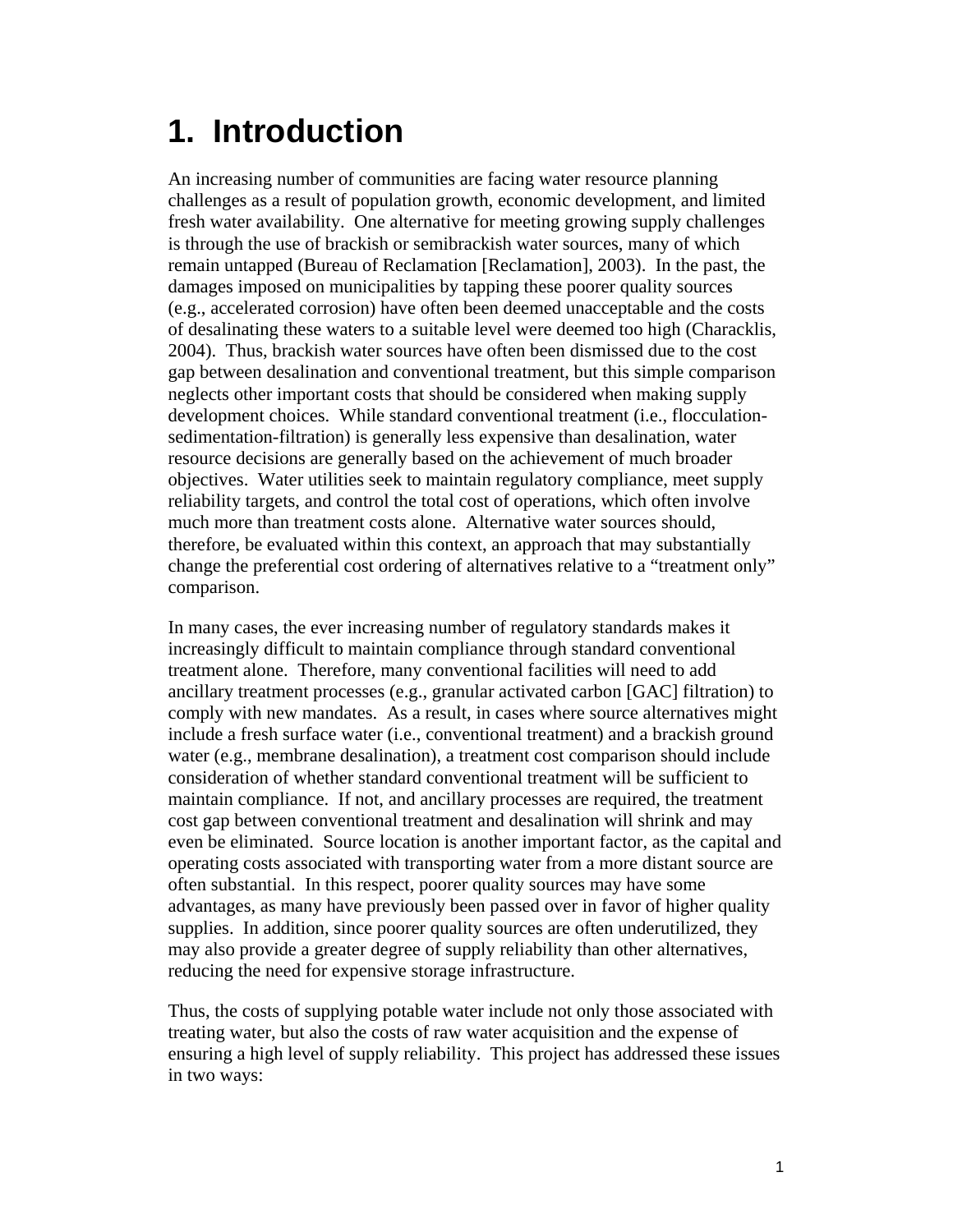# **1. Introduction**

An increasing number of communities are facing water resource planning challenges as a result of population growth, economic development, and limited fresh water availability. One alternative for meeting growing supply challenges is through the use of brackish or semibrackish water sources, many of which remain untapped (Bureau of Reclamation [Reclamation], 2003). In the past, the damages imposed on municipalities by tapping these poorer quality sources (e.g., accelerated corrosion) have often been deemed unacceptable and the costs of desalinating these waters to a suitable level were deemed too high (Characklis, 2004). Thus, brackish water sources have often been dismissed due to the cost gap between desalination and conventional treatment, but this simple comparison neglects other important costs that should be considered when making supply development choices. While standard conventional treatment (i.e., flocculationsedimentation-filtration) is generally less expensive than desalination, water resource decisions are generally based on the achievement of much broader objectives. Water utilities seek to maintain regulatory compliance, meet supply reliability targets, and control the total cost of operations, which often involve much more than treatment costs alone. Alternative water sources should, therefore, be evaluated within this context, an approach that may substantially change the preferential cost ordering of alternatives relative to a "treatment only" comparison.

In many cases, the ever increasing number of regulatory standards makes it increasingly difficult to maintain compliance through standard conventional treatment alone. Therefore, many conventional facilities will need to add ancillary treatment processes (e.g., granular activated carbon [GAC] filtration) to comply with new mandates. As a result, in cases where source alternatives might include a fresh surface water (i.e., conventional treatment) and a brackish ground water (e.g., membrane desalination), a treatment cost comparison should include consideration of whether standard conventional treatment will be sufficient to maintain compliance. If not, and ancillary processes are required, the treatment cost gap between conventional treatment and desalination will shrink and may even be eliminated. Source location is another important factor, as the capital and operating costs associated with transporting water from a more distant source are often substantial. In this respect, poorer quality sources may have some advantages, as many have previously been passed over in favor of higher quality supplies. In addition, since poorer quality sources are often underutilized, they may also provide a greater degree of supply reliability than other alternatives, reducing the need for expensive storage infrastructure.

Thus, the costs of supplying potable water include not only those associated with treating water, but also the costs of raw water acquisition and the expense of ensuring a high level of supply reliability. This project has addressed these issues in two ways: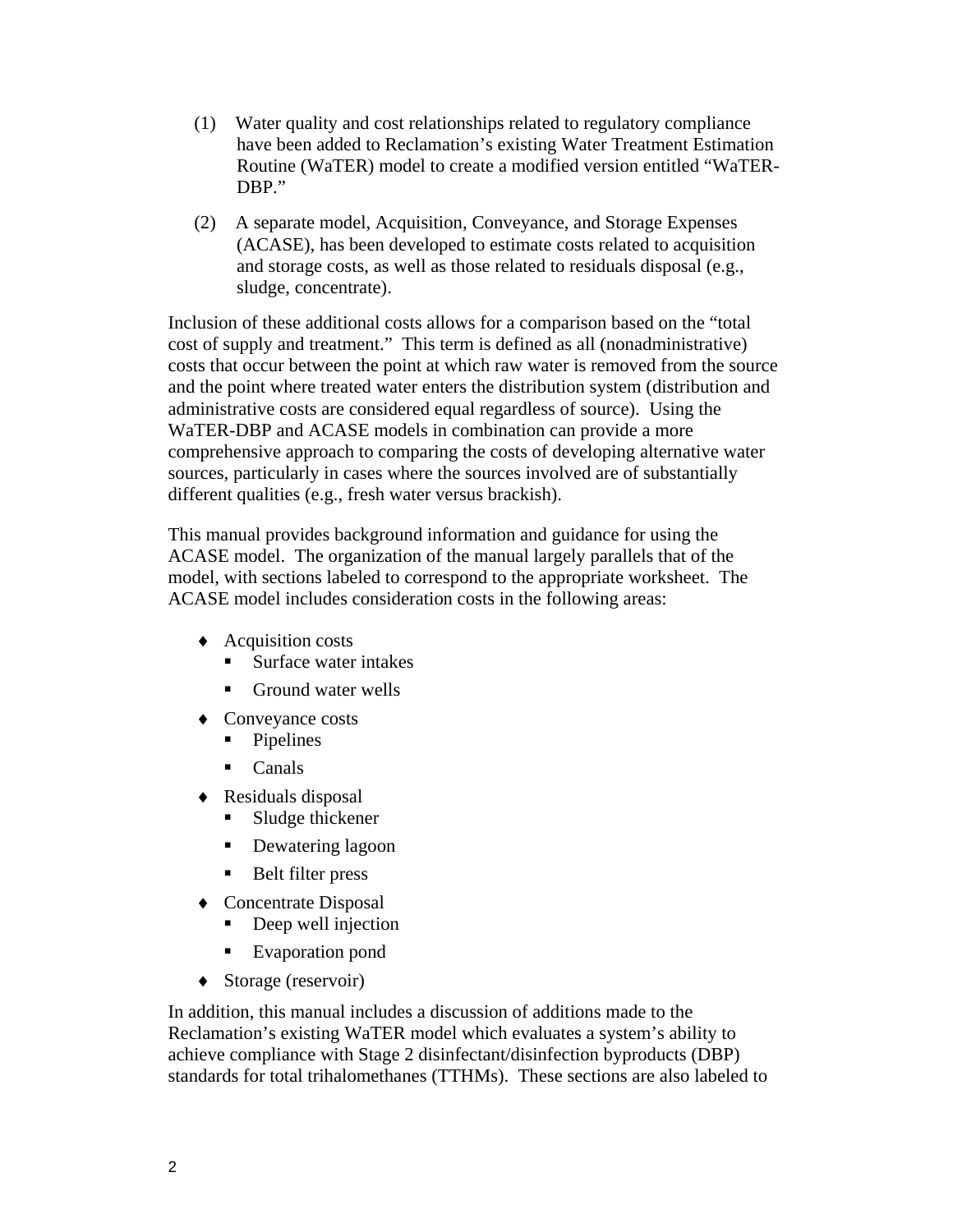- (1) Water quality and cost relationships related to regulatory compliance have been added to Reclamation's existing Water Treatment Estimation Routine (WaTER) model to create a modified version entitled "WaTER-DBP."
- (2) A separate model, Acquisition, Conveyance, and Storage Expenses (ACASE), has been developed to estimate costs related to acquisition and storage costs, as well as those related to residuals disposal (e.g., sludge, concentrate).

Inclusion of these additional costs allows for a comparison based on the "total cost of supply and treatment." This term is defined as all (nonadministrative) costs that occur between the point at which raw water is removed from the source and the point where treated water enters the distribution system (distribution and administrative costs are considered equal regardless of source). Using the WaTER-DBP and ACASE models in combination can provide a more comprehensive approach to comparing the costs of developing alternative water sources, particularly in cases where the sources involved are of substantially different qualities (e.g., fresh water versus brackish).

This manual provides background information and guidance for using the ACASE model. The organization of the manual largely parallels that of the model, with sections labeled to correspond to the appropriate worksheet. The ACASE model includes consideration costs in the following areas:

- ♦ Acquisition costs
	- Surface water intakes
	- Ground water wells
- ♦ Conveyance costs
	- Pipelines
	- Canals
- ♦ Residuals disposal
	- **Sludge thickener**
	- Dewatering lagoon
	- Belt filter press
- ♦ Concentrate Disposal
	- Deep well injection
	- Evaporation pond
- ♦ Storage (reservoir)

In addition, this manual includes a discussion of additions made to the Reclamation's existing WaTER model which evaluates a system's ability to achieve compliance with Stage 2 disinfectant/disinfection byproducts (DBP) standards for total trihalomethanes (TTHMs). These sections are also labeled to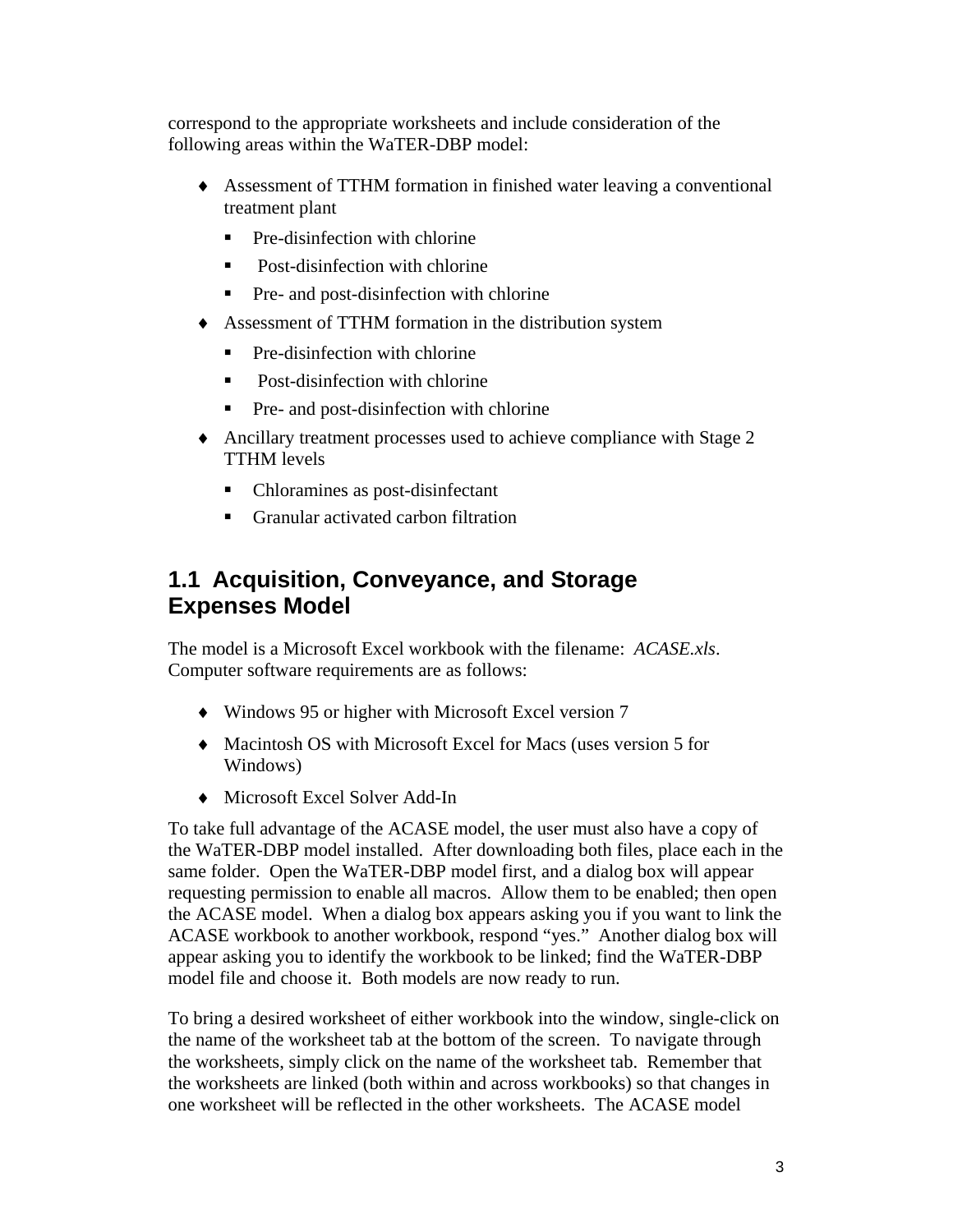correspond to the appropriate worksheets and include consideration of the following areas within the WaTER-DBP model:

- ♦ Assessment of TTHM formation in finished water leaving a conventional treatment plant
	- $\blacksquare$  Pre-disinfection with chlorine
	- Post-disinfection with chlorine
	- Pre- and post-disinfection with chlorine
- ♦ Assessment of TTHM formation in the distribution system
	- Pre-disinfection with chlorine
	- Post-disinfection with chlorine
	- Pre- and post-disinfection with chlorine
- ♦ Ancillary treatment processes used to achieve compliance with Stage 2 TTHM levels
	- Chloramines as post-disinfectant
	- **F** Granular activated carbon filtration

### **1.1 Acquisition, Conveyance, and Storage Expenses Model**

The model is a Microsoft Excel workbook with the filename: *ACASE.xls*. Computer software requirements are as follows:

- ♦ Windows 95 or higher with Microsoft Excel version 7
- ♦ Macintosh OS with Microsoft Excel for Macs (uses version 5 for Windows)
- ♦ Microsoft Excel Solver Add-In

To take full advantage of the ACASE model, the user must also have a copy of the WaTER-DBP model installed. After downloading both files, place each in the same folder. Open the WaTER-DBP model first, and a dialog box will appear requesting permission to enable all macros. Allow them to be enabled; then open the ACASE model. When a dialog box appears asking you if you want to link the ACASE workbook to another workbook, respond "yes." Another dialog box will appear asking you to identify the workbook to be linked; find the WaTER-DBP model file and choose it. Both models are now ready to run.

To bring a desired worksheet of either workbook into the window, single-click on the name of the worksheet tab at the bottom of the screen. To navigate through the worksheets, simply click on the name of the worksheet tab. Remember that the worksheets are linked (both within and across workbooks) so that changes in one worksheet will be reflected in the other worksheets. The ACASE model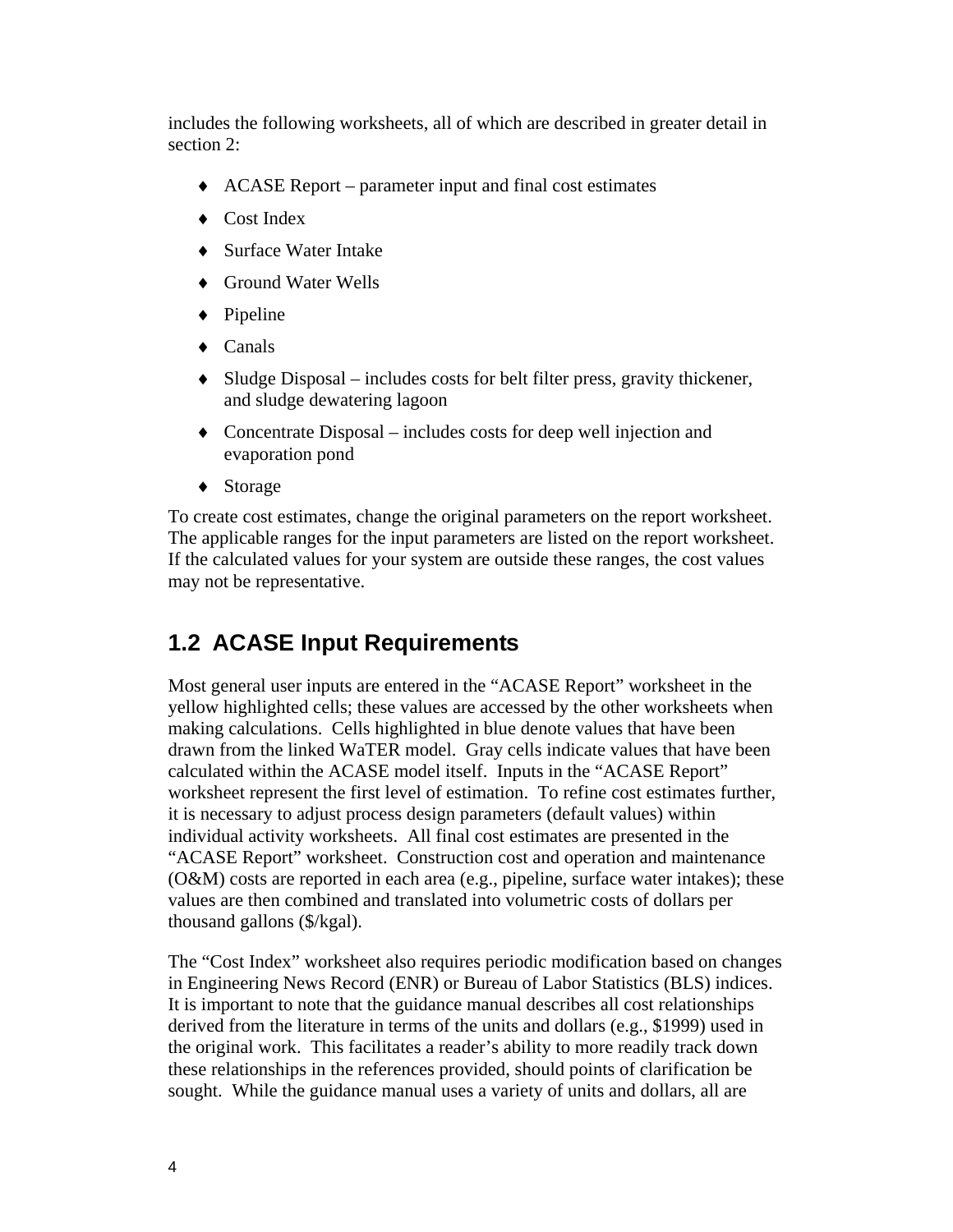includes the following worksheets, all of which are described in greater detail in section 2:

- ♦ ACASE Report parameter input and final cost estimates
- ♦ Cost Index
- ♦ Surface Water Intake
- ♦ Ground Water Wells
- ♦ Pipeline
- ♦ Canals
- ♦ Sludge Disposal includes costs for belt filter press, gravity thickener, and sludge dewatering lagoon
- ♦ Concentrate Disposal includes costs for deep well injection and evaporation pond
- ♦ Storage

To create cost estimates, change the original parameters on the report worksheet. The applicable ranges for the input parameters are listed on the report worksheet. If the calculated values for your system are outside these ranges, the cost values may not be representative.

# **1.2 ACASE Input Requirements**

Most general user inputs are entered in the "ACASE Report" worksheet in the yellow highlighted cells; these values are accessed by the other worksheets when making calculations. Cells highlighted in blue denote values that have been drawn from the linked WaTER model. Gray cells indicate values that have been calculated within the ACASE model itself. Inputs in the "ACASE Report" worksheet represent the first level of estimation. To refine cost estimates further, it is necessary to adjust process design parameters (default values) within individual activity worksheets. All final cost estimates are presented in the "ACASE Report" worksheet. Construction cost and operation and maintenance (O&M) costs are reported in each area (e.g., pipeline, surface water intakes); these values are then combined and translated into volumetric costs of dollars per thousand gallons (\$/kgal).

The "Cost Index" worksheet also requires periodic modification based on changes in Engineering News Record (ENR) or Bureau of Labor Statistics (BLS) indices. It is important to note that the guidance manual describes all cost relationships derived from the literature in terms of the units and dollars (e.g., \$1999) used in the original work. This facilitates a reader's ability to more readily track down these relationships in the references provided, should points of clarification be sought. While the guidance manual uses a variety of units and dollars, all are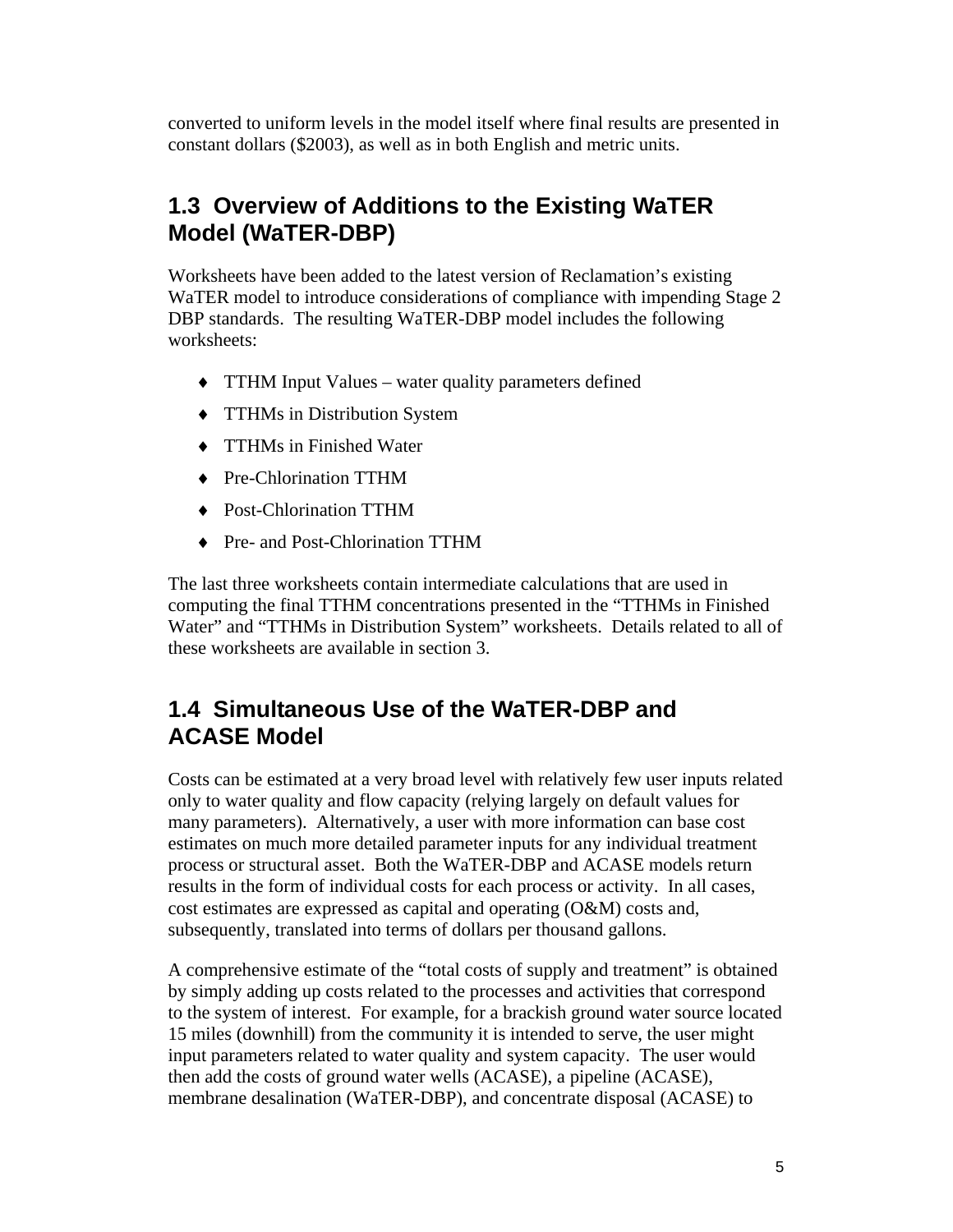converted to uniform levels in the model itself where final results are presented in constant dollars (\$2003), as well as in both English and metric units.

# **1.3 Overview of Additions to the Existing WaTER Model (WaTER-DBP)**

Worksheets have been added to the latest version of Reclamation's existing WaTER model to introduce considerations of compliance with impending Stage 2 DBP standards. The resulting WaTER-DBP model includes the following worksheets:

- ♦ TTHM Input Values water quality parameters defined
- ♦ TTHMs in Distribution System
- ♦ TTHMs in Finished Water
- ♦ Pre-Chlorination TTHM
- ♦ Post-Chlorination TTHM
- ♦ Pre- and Post-Chlorination TTHM

The last three worksheets contain intermediate calculations that are used in computing the final TTHM concentrations presented in the "TTHMs in Finished Water" and "TTHMs in Distribution System" worksheets. Details related to all of these worksheets are available in section 3.

### **1.4 Simultaneous Use of the WaTER-DBP and ACASE Model**

Costs can be estimated at a very broad level with relatively few user inputs related only to water quality and flow capacity (relying largely on default values for many parameters). Alternatively, a user with more information can base cost estimates on much more detailed parameter inputs for any individual treatment process or structural asset. Both the WaTER-DBP and ACASE models return results in the form of individual costs for each process or activity. In all cases, cost estimates are expressed as capital and operating (O&M) costs and, subsequently, translated into terms of dollars per thousand gallons.

A comprehensive estimate of the "total costs of supply and treatment" is obtained by simply adding up costs related to the processes and activities that correspond to the system of interest. For example, for a brackish ground water source located 15 miles (downhill) from the community it is intended to serve, the user might input parameters related to water quality and system capacity. The user would then add the costs of ground water wells (ACASE), a pipeline (ACASE), membrane desalination (WaTER-DBP), and concentrate disposal (ACASE) to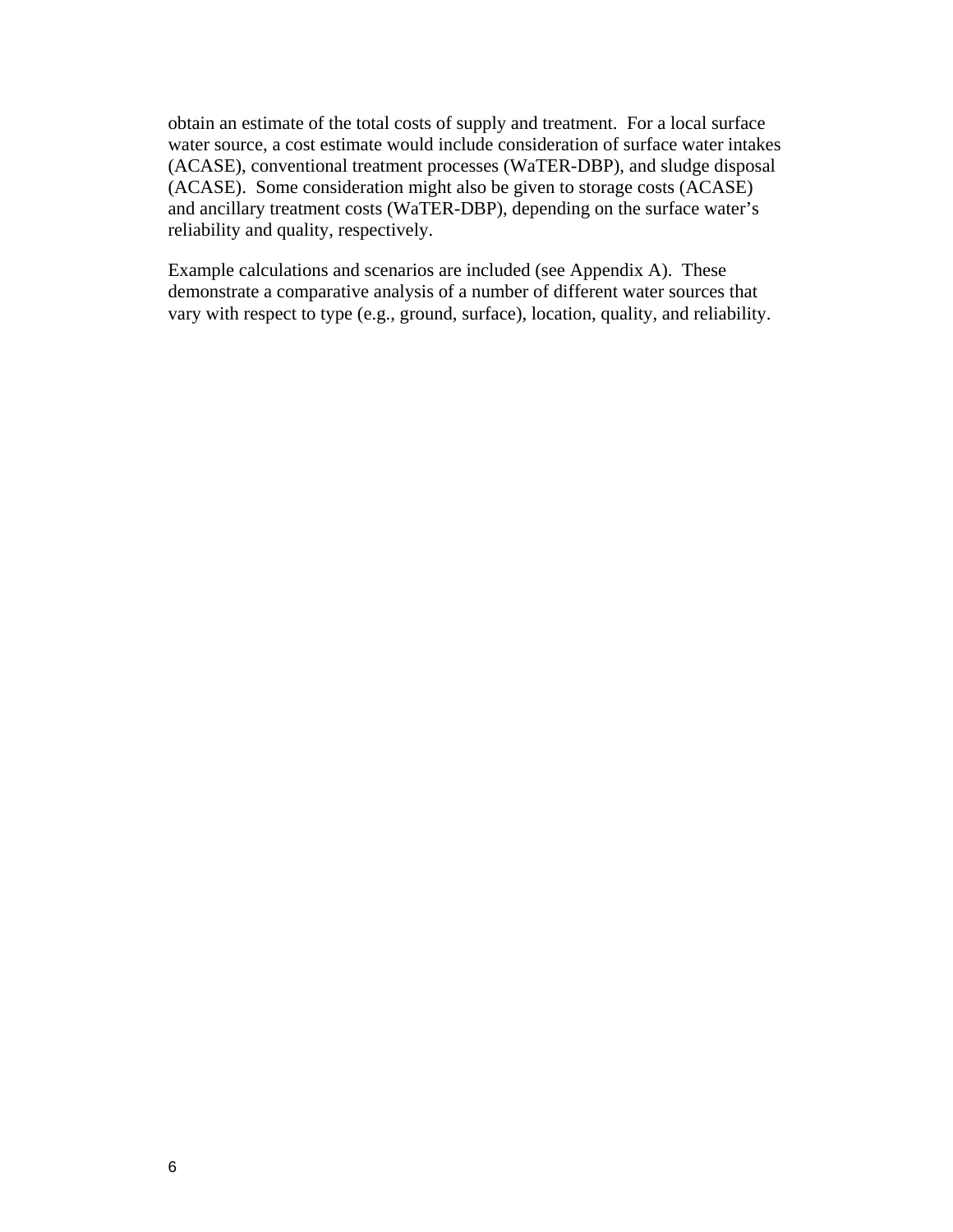obtain an estimate of the total costs of supply and treatment. For a local surface water source, a cost estimate would include consideration of surface water intakes (ACASE), conventional treatment processes (WaTER-DBP), and sludge disposal (ACASE). Some consideration might also be given to storage costs (ACASE) and ancillary treatment costs (WaTER-DBP), depending on the surface water's reliability and quality, respectively.

Example calculations and scenarios are included (see Appendix A). These demonstrate a comparative analysis of a number of different water sources that vary with respect to type (e.g., ground, surface), location, quality, and reliability.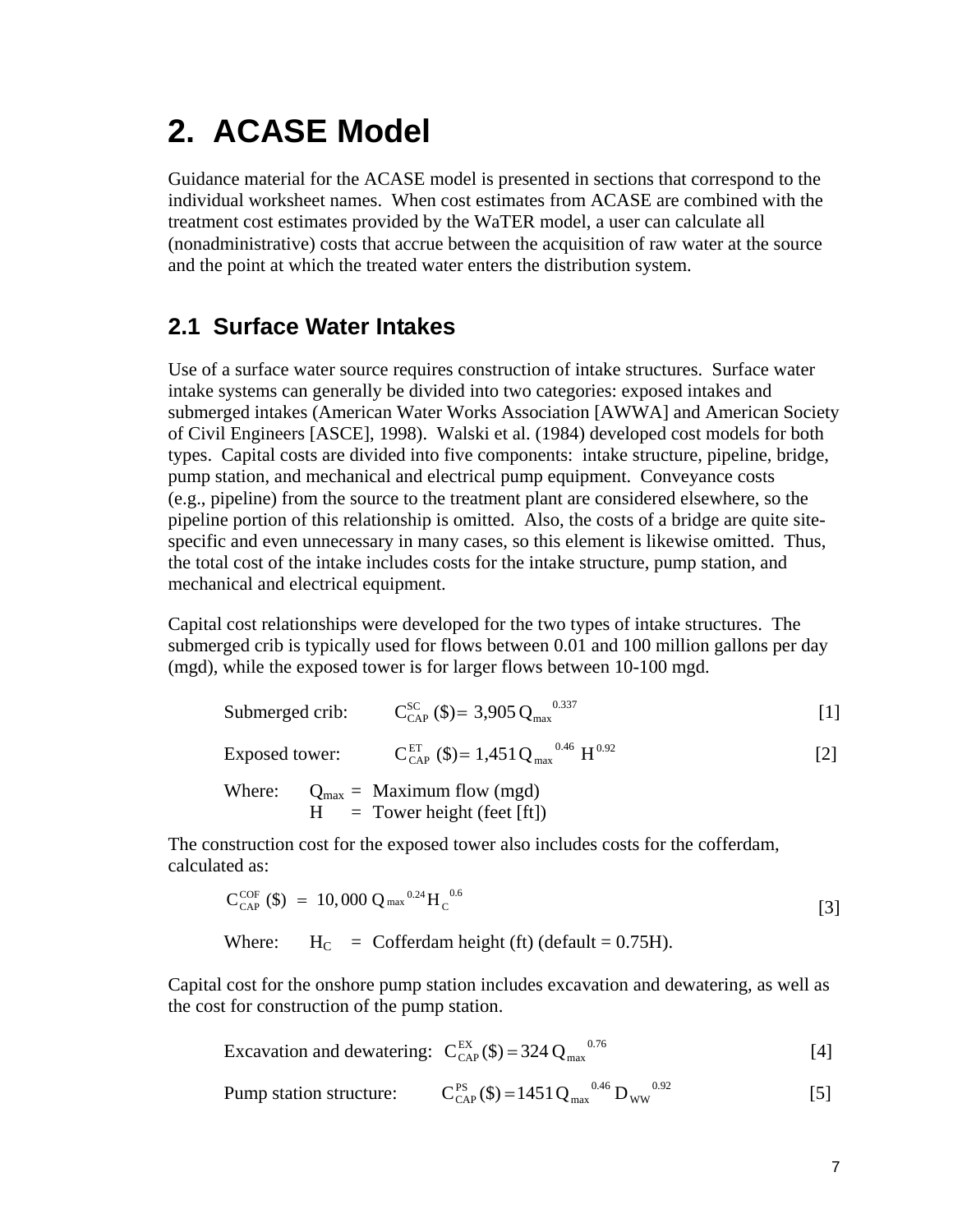# **2. ACASE Model**

Guidance material for the ACASE model is presented in sections that correspond to the individual worksheet names. When cost estimates from ACASE are combined with the treatment cost estimates provided by the WaTER model, a user can calculate all (nonadministrative) costs that accrue between the acquisition of raw water at the source and the point at which the treated water enters the distribution system.

# **2.1 Surface Water Intakes**

Use of a surface water source requires construction of intake structures. Surface water intake systems can generally be divided into two categories: exposed intakes and submerged intakes (American Water Works Association [AWWA] and American Society of Civil Engineers [ASCE], 1998). Walski et al. (1984) developed cost models for both types. Capital costs are divided into five components: intake structure, pipeline, bridge, pump station, and mechanical and electrical pump equipment. Conveyance costs (e.g., pipeline) from the source to the treatment plant are considered elsewhere, so the pipeline portion of this relationship is omitted. Also, the costs of a bridge are quite sitespecific and even unnecessary in many cases, so this element is likewise omitted. Thus, the total cost of the intake includes costs for the intake structure, pump station, and mechanical and electrical equipment.

Capital cost relationships were developed for the two types of intake structures. The submerged crib is typically used for flows between 0.01 and 100 million gallons per day (mgd), while the exposed tower is for larger flows between 10-100 mgd.

|        | Submerged crib: $C_{\text{CAP}}^{\text{SC}}(\text{$\$}) = 3,905 \, \text{Q}_{\text{max}}^{\text{0.337}}$   |  |     |
|--------|------------------------------------------------------------------------------------------------------------|--|-----|
|        | Exposed tower: $C_{\text{CAP}}^{\text{ET}}$ (\$)= 1,451 Q <sub>max</sub> <sup>0.46</sup> H <sup>0.92</sup> |  | 121 |
| Where: | $Q_{\text{max}} =$ Maximum flow (mgd)<br>$H = \text{ Tower height (feet [ft])}$                            |  |     |

The construction cost for the exposed tower also includes costs for the cofferdam, calculated as:

$$
C_{\text{CAP}}^{\text{COF}}(\text{\$}) = 10,000 Q_{\text{max}}^{0.24} H_{\text{C}}^{0.6}
$$
\n[3]

Where:  $H_C = \text{Cofferdam height (ft) (default = 0.75H).}$ 

Capital cost for the onshore pump station includes excavation and dewatering, as well as the cost for construction of the pump station.

Excavation and dewatering: 
$$
C_{\text{CAP}}^{\text{EX}}(\text{\$}) = 324 \text{ Q}_{\text{max}}^{\text{0.76}}
$$
 [4]

Pump station structure: 
$$
C_{\text{CAP}}^{\text{PS}}(\text{\$})=1451 \text{Q}_{\text{max}}^{\text{0.46}} \text{D}_{\text{ww}}^{\text{0.92}}
$$
 [5]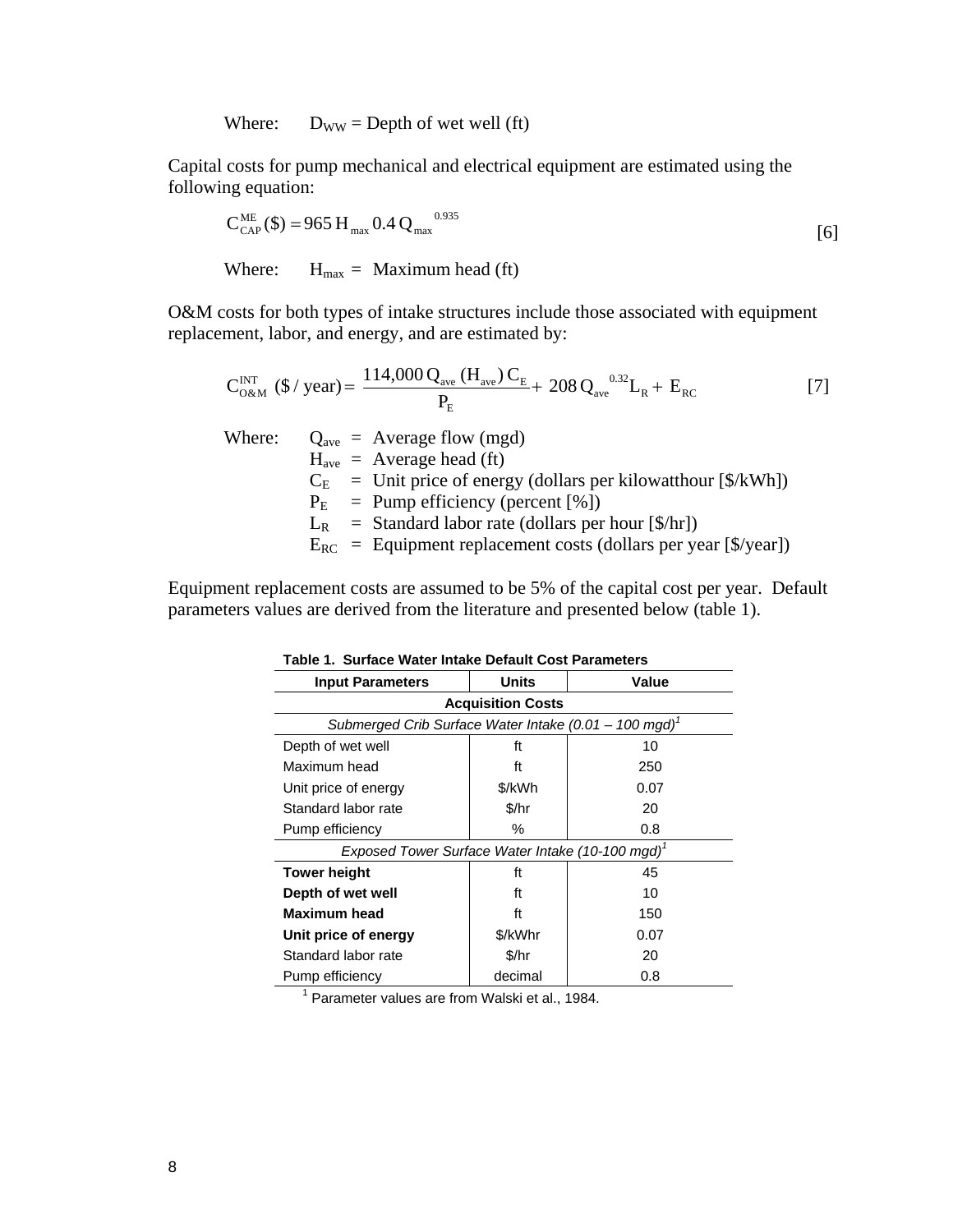Where:  $D_{WW} = \text{Depth of wet well (ft)}$ 

Capital costs for pump mechanical and electrical equipment are estimated using the following equation:

$$
C_{\text{CAP}}^{\text{ME}}(\text{\$}) = 965 \text{ H}_{\text{max}} 0.4 \text{ Q}_{\text{max}}^{0.935}
$$
\n[6]  
\nWhere: H<sub>max</sub> = Maximum head (ft)

O&M costs for both types of intake structures include those associated with equipment replacement, labor, and energy, and are estimated by:

$$
C_{0\&M}^{INT} (\$ / year) = \frac{114,000 Q_{ave} (H_{ave}) C_{E}}{P_{E}} + 208 Q_{ave}^{0.32} L_{R} + E_{RC}
$$
 [7]

Where:  $Q_{\text{ave}} = \text{Average flow (mgd)}$  $H<sub>ave</sub> = Average head (ft)$  $C_E$  = Unit price of energy (dollars per kilowatthour [\$/kWh])  $P_{E}$  = Pump efficiency (percent [%])  $L_R$  = Standard labor rate (dollars per hour [\$/hr])  $E_{RC}$  = Equipment replacement costs (dollars per year [\$/year])

Equipment replacement costs are assumed to be 5% of the capital cost per year. Default parameters values are derived from the literature and presented below (table 1).

| 0an 1000 - 11000 - 11100110 D<br>01 aant 000 tot and 1110         |         |       |  |  |  |
|-------------------------------------------------------------------|---------|-------|--|--|--|
| <b>Input Parameters</b>                                           | Units   | Value |  |  |  |
| <b>Acquisition Costs</b>                                          |         |       |  |  |  |
| Submerged Crib Surface Water Intake (0.01 - 100 mgd) <sup>1</sup> |         |       |  |  |  |
| Depth of wet well                                                 | ft      | 10    |  |  |  |
| Maximum head                                                      | ft      | 250   |  |  |  |
| Unit price of energy                                              | \$/kWh  | 0.07  |  |  |  |
| Standard labor rate                                               | \$/hr   | 20    |  |  |  |
| Pump efficiency                                                   | %       | 0.8   |  |  |  |
| Exposed Tower Surface Water Intake (10-100 mgd) <sup>1</sup>      |         |       |  |  |  |
| <b>Tower height</b>                                               | ft      | 45    |  |  |  |
| Depth of wet well                                                 | ft      | 10    |  |  |  |
| <b>Maximum head</b>                                               | ft      | 150   |  |  |  |
| Unit price of energy                                              | \$/kWhr | 0.07  |  |  |  |
| Standard labor rate                                               | \$/hr   | 20    |  |  |  |
| Pump efficiency                                                   | decimal | 0.8   |  |  |  |

**Table 1. Surface Water Intake Default Cost Parameters** 

<sup>1</sup> Parameter values are from Walski et al., 1984.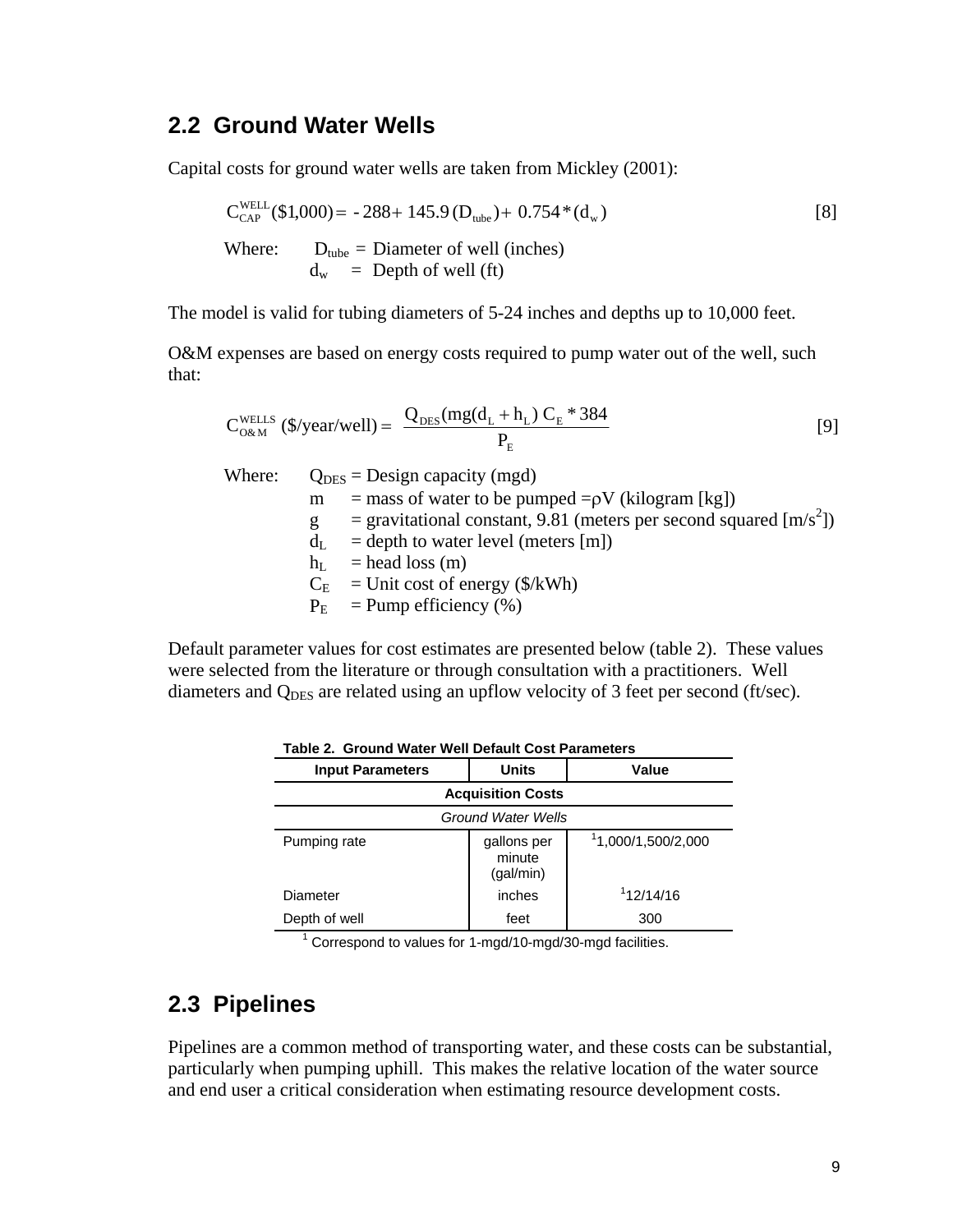### **2.2 Ground Water Wells**

Capital costs for ground water wells are taken from Mickley (2001):

$$
C_{CAP}^{WELL}(\$1,000) = -288 + 145.9 \, (D_{tube}) + 0.754 \cdot (d_w)
$$
\n[8]  
\nWhere: 
$$
D_{tube} = \text{Diameter of well (inches})
$$
\n
$$
d_w = \text{Depth of well (ft)}
$$

The model is valid for tubing diameters of 5-24 inches and depths up to 10,000 feet.

O&M expenses are based on energy costs required to pump water out of the well, such that:

$$
C_{\text{O\&M}}^{\text{WELLS}}\left(\sqrt[6]{\text{year}/\text{well}}\right) = \frac{Q_{\text{DES}}(mg(d_L + h_L) C_E * 384)}{P_E} \tag{9}
$$

Where:  $Q_{\text{DES}} =$  Design capacity (mgd) m = mass of water to be pumped = $\rho$ V (kilogram [kg])  $g =$  gravitational constant, 9.81 (meters per second squared [m/s<sup>2</sup>])  $d_{\text{L}}$  = depth to water level (meters [m])  $h_{\text{L}}$  = head loss (m)  $C_E$  = Unit cost of energy (\$/kWh)

 $P_E$  = Pump efficiency (%)

Default parameter values for cost estimates are presented below (table 2). These values were selected from the literature or through consultation with a practitioners. Well diameters and  $Q_{\text{DES}}$  are related using an upflow velocity of 3 feet per second (ft/sec).

| <b>Input Parameters</b> | <b>Units</b>                       | Value             |
|-------------------------|------------------------------------|-------------------|
|                         | <b>Acquisition Costs</b>           |                   |
|                         | <b>Ground Water Wells</b>          |                   |
| Pumping rate            | gallons per<br>minute<br>(gal/min) | 1,000/1,500/2,000 |
| Diameter                | inches                             | 112/14/16         |
| Depth of well           | feet                               | 300               |

**Table 2. Ground Water Well Default Cost Parameters** 

<sup>1</sup> Correspond to values for 1-mgd/10-mgd/30-mgd facilities.

# **2.3 Pipelines**

Pipelines are a common method of transporting water, and these costs can be substantial, particularly when pumping uphill. This makes the relative location of the water source and end user a critical consideration when estimating resource development costs.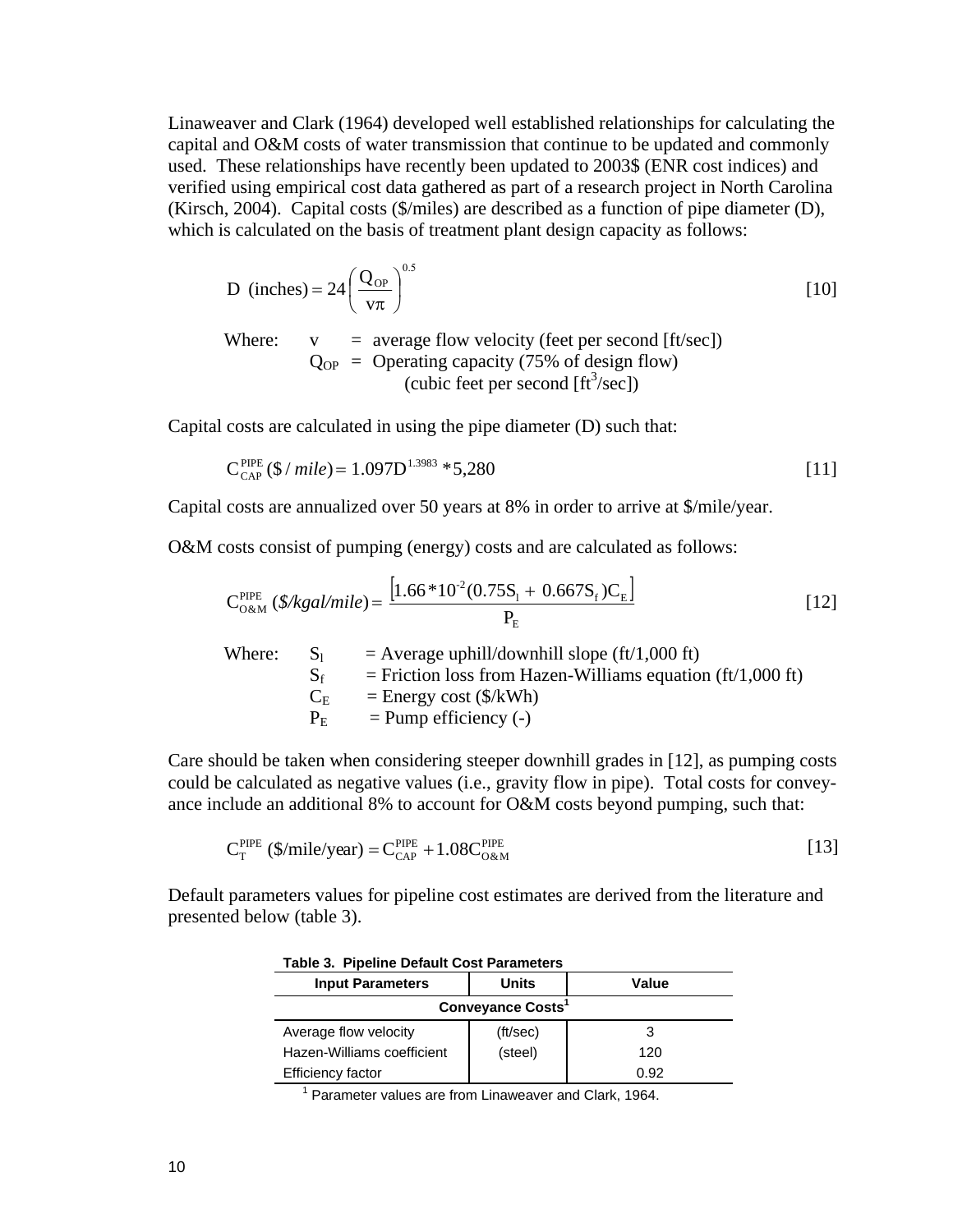Linaweaver and Clark (1964) developed well established relationships for calculating the capital and O&M costs of water transmission that continue to be updated and commonly used. These relationships have recently been updated to 2003\$ (ENR cost indices) and verified using empirical cost data gathered as part of a research project in North Carolina (Kirsch, 2004). Capital costs (\$/miles) are described as a function of pipe diameter (D), which is calculated on the basis of treatment plant design capacity as follows:

D (inches) = 
$$
24 \left( \frac{Q_{\text{OP}}}{v\pi} \right)^{0.5}
$$
 [10]

Where:  $v = average flow velocity (feet per second [ft/sec])$  $Q_{OP}$  = Operating capacity (75% of design flow)  $\text{(cubic feet per second [ft}^3/\text{sec})\text{)}$ 

Capital costs are calculated in using the pipe diameter (D) such that:

$$
C_{\text{CAP}}^{\text{PIDE}}(\text{\$}/\text{mile}) = 1.097D^{1.3983} * 5,280
$$
 [11]

Capital costs are annualized over 50 years at 8% in order to arrive at \$/mile/year.

O&M costs consist of pumping (energy) costs and are calculated as follows:

$$
C_{0\&M}^{PIDE} (\frac{\%}{\%gal/mile}) = \frac{\left[1.66*10^{-2}(0.75S_{\rm l} + 0.667S_{\rm f})C_{\rm E}\right]}{P_{\rm E}}
$$
\n[12]

| - Si        | $=$ Average uphill/downhill slope (ft/1,000 ft)              |
|-------------|--------------------------------------------------------------|
| $S_f$       | $=$ Friction loss from Hazen-Williams equation (ft/1,000 ft) |
| $C_{\rm F}$ | $=$ Energy cost (\$/kWh)                                     |
| $P_{\rm E}$ | $=$ Pump efficiency (-)                                      |
|             |                                                              |

Care should be taken when considering steeper downhill grades in [12], as pumping costs could be calculated as negative values (i.e., gravity flow in pipe). Total costs for conveyance include an additional 8% to account for O&M costs beyond pumping, such that:

$$
C_T^{PIPE} \text{ ($\mathcal{S}/\text{mile}/\text{year})} = C_{\text{CAP}}^{PIPE} + 1.08 C_{\text{O\&M}}^{PIPE} \tag{13}
$$

Default parameters values for pipeline cost estimates are derived from the literature and presented below (table 3).

| <b>Table 3. Pipeline Default Cost Parameters</b> |          |       |  |  |
|--------------------------------------------------|----------|-------|--|--|
| <b>Input Parameters</b>                          | Units    | Value |  |  |
| <b>Conveyance Costs<sup>1</sup></b>              |          |       |  |  |
| Average flow velocity                            | (ft/sec) |       |  |  |
| Hazen-Williams coefficient                       | (steel)  | 120   |  |  |
| <b>Efficiency factor</b>                         |          | 0.92  |  |  |

<sup>1</sup> Parameter values are from Linaweaver and Clark, 1964.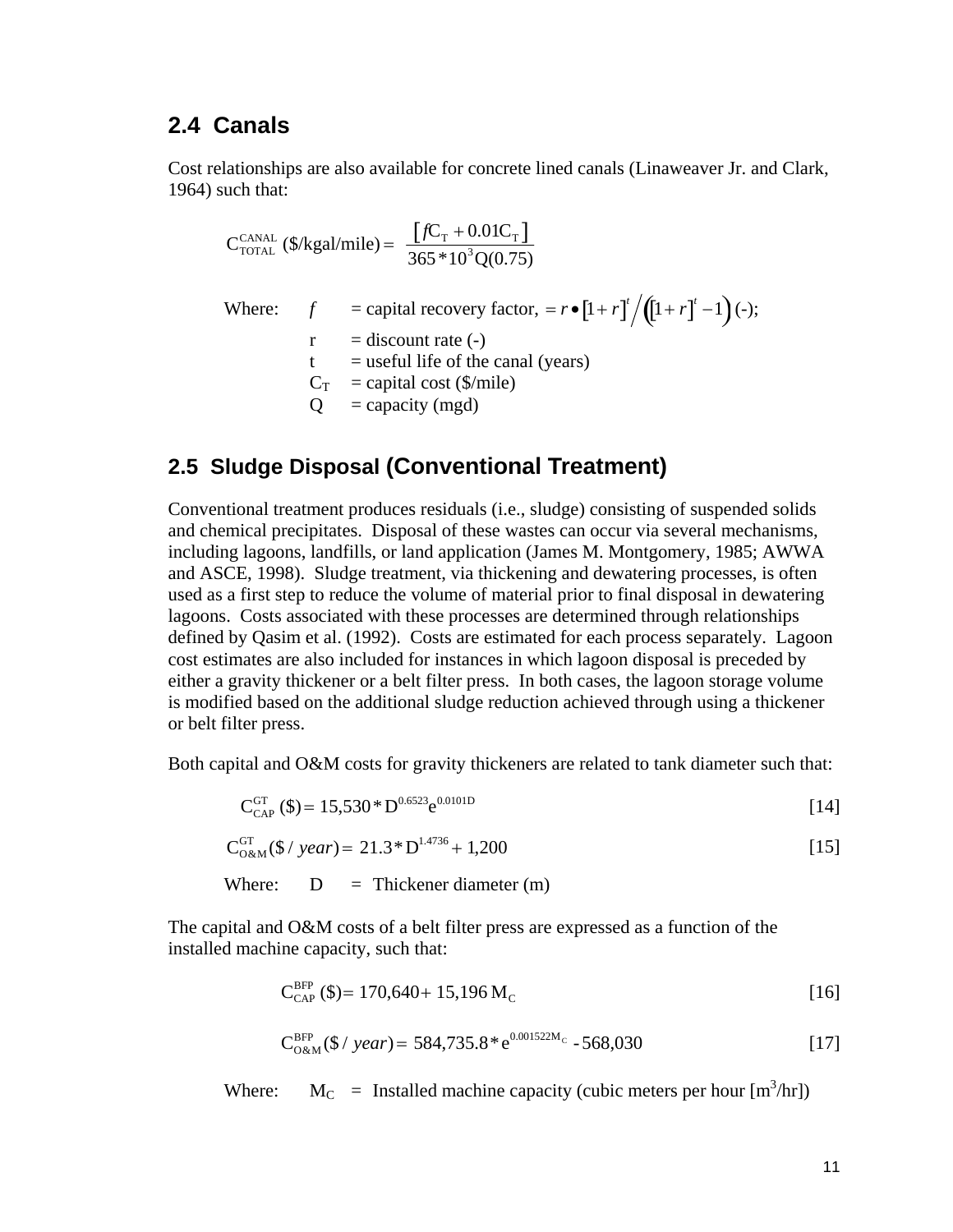### **2.4 Canals**

Cost relationships are also available for concrete lined canals (Linaweaver Jr. and Clark, 1964) such that:

$$
C_{\text{total}}^{\text{CANAL}} \left( \frac{\%}{\text{kgal}} \right) = \frac{\left[ fC_{\text{T}} + 0.01C_{\text{T}} \right]}{365 * 10^{3} Q(0.75)}
$$
\nWhere:

\n
$$
f = \text{capital recovery factor, } = r \cdot \left[ 1 + r \right]^{t} / \left( \left[ 1 + r \right]^{t} - 1 \right) (-);
$$
\n
$$
r = \text{discount rate } (-)
$$
\n
$$
t = \text{useful life of the canal (years)}
$$
\n
$$
C_{\text{T}} = \text{capital cost } (\text{$\frac{\$}{\text{mile}}$})
$$
\n
$$
Q = \text{capacity (mgd)}
$$

### **2.5 Sludge Disposal (Conventional Treatment)**

Conventional treatment produces residuals (i.e., sludge) consisting of suspended solids and chemical precipitates. Disposal of these wastes can occur via several mechanisms, including lagoons, landfills, or land application (James M. Montgomery, 1985; AWWA and ASCE, 1998). Sludge treatment, via thickening and dewatering processes, is often used as a first step to reduce the volume of material prior to final disposal in dewatering lagoons. Costs associated with these processes are determined through relationships defined by Qasim et al. (1992). Costs are estimated for each process separately. Lagoon cost estimates are also included for instances in which lagoon disposal is preceded by either a gravity thickener or a belt filter press. In both cases, the lagoon storage volume is modified based on the additional sludge reduction achieved through using a thickener or belt filter press.

Both capital and O&M costs for gravity thickeners are related to tank diameter such that:

$$
C_{\text{CAP}}^{\text{GT}}(\text{\$}) = 15,530 \text{ * } D^{0.6523} e^{0.0101D} \tag{14}
$$

$$
C_{0\&M}^{GT}(\$ / year) = 21.3 \cdot D^{1.4736} + 1,200
$$
 [15]

Where:  $D = Thickener diameter (m)$ 

The capital and O&M costs of a belt filter press are expressed as a function of the installed machine capacity, such that:

$$
C_{\text{CAP}}^{\text{BFP}}(\text{I}) = 170,640 + 15,196 \,\text{M}_{\text{C}} \tag{16}
$$

$$
C_{0\&M}^{BFP}(\$ / year) = 584,735.8^* e^{0.001522M_c} - 568,030
$$
 [17]

Where:  $M_C$  = Installed machine capacity (cubic meters per hour  $[m^3/hr]$ )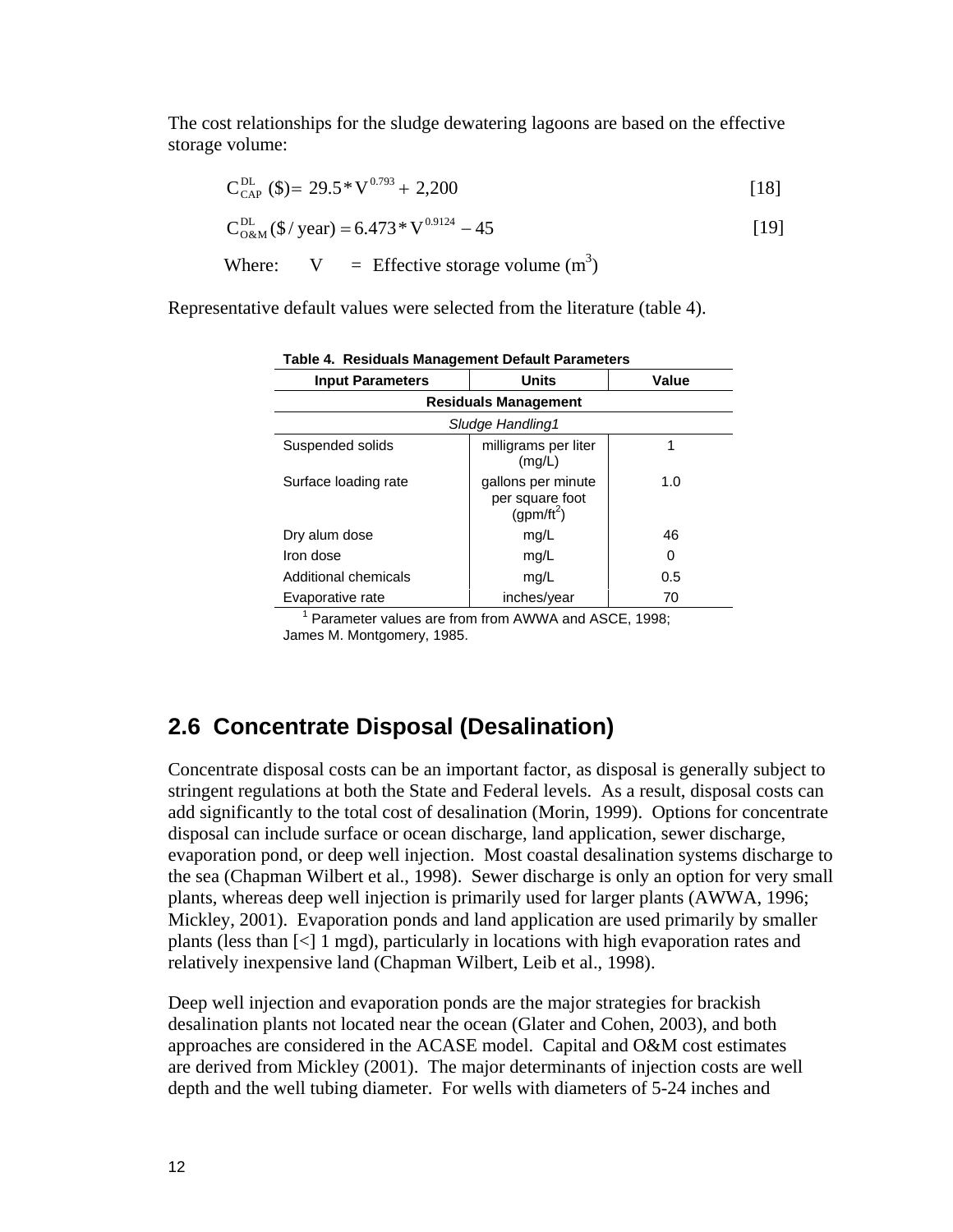The cost relationships for the sludge dewatering lagoons are based on the effective storage volume:

$$
C_{\text{CAP}}^{\text{DL}}(\text{\$}) = 29.5 \times V^{0.793} + 2,200 \tag{18}
$$

$$
C_{0\&M}^{DL}(\$/ year) = 6.473 \times V^{0.9124} - 45
$$
 [19]

Where: 
$$
V = \text{Effective storage volume } (m^3)
$$

Representative default values were selected from the literature (table 4).

| <b>Input Parameters</b> | <b>Units</b>                                          | Value    |  |  |  |  |
|-------------------------|-------------------------------------------------------|----------|--|--|--|--|
|                         | <b>Residuals Management</b>                           |          |  |  |  |  |
|                         | Sludge Handling1                                      |          |  |  |  |  |
| Suspended solids        | milligrams per liter<br>(mg/L)                        |          |  |  |  |  |
| Surface loading rate    | gallons per minute<br>per square foot<br>$(gpm/ft^2)$ | 1.0      |  |  |  |  |
| Dry alum dose           | mg/L                                                  | 46       |  |  |  |  |
| Iron dose               | mg/L                                                  | $\Omega$ |  |  |  |  |
| Additional chemicals    | mg/L                                                  | 0.5      |  |  |  |  |
| Evaporative rate        | inches/year                                           | 70       |  |  |  |  |

**Table 4. Residuals Management Default Parameters** 

<sup>1</sup> Parameter values are from from AWWA and ASCE, 1998; James M. Montgomery, 1985.

### **2.6 Concentrate Disposal (Desalination)**

Concentrate disposal costs can be an important factor, as disposal is generally subject to stringent regulations at both the State and Federal levels. As a result, disposal costs can add significantly to the total cost of desalination (Morin, 1999). Options for concentrate disposal can include surface or ocean discharge, land application, sewer discharge, evaporation pond, or deep well injection. Most coastal desalination systems discharge to the sea (Chapman Wilbert et al., 1998). Sewer discharge is only an option for very small plants, whereas deep well injection is primarily used for larger plants (AWWA, 1996; Mickley, 2001). Evaporation ponds and land application are used primarily by smaller plants (less than [<] 1 mgd), particularly in locations with high evaporation rates and relatively inexpensive land (Chapman Wilbert, Leib et al., 1998).

Deep well injection and evaporation ponds are the major strategies for brackish desalination plants not located near the ocean (Glater and Cohen, 2003), and both approaches are considered in the ACASE model. Capital and O&M cost estimates are derived from Mickley (2001). The major determinants of injection costs are well depth and the well tubing diameter. For wells with diameters of 5-24 inches and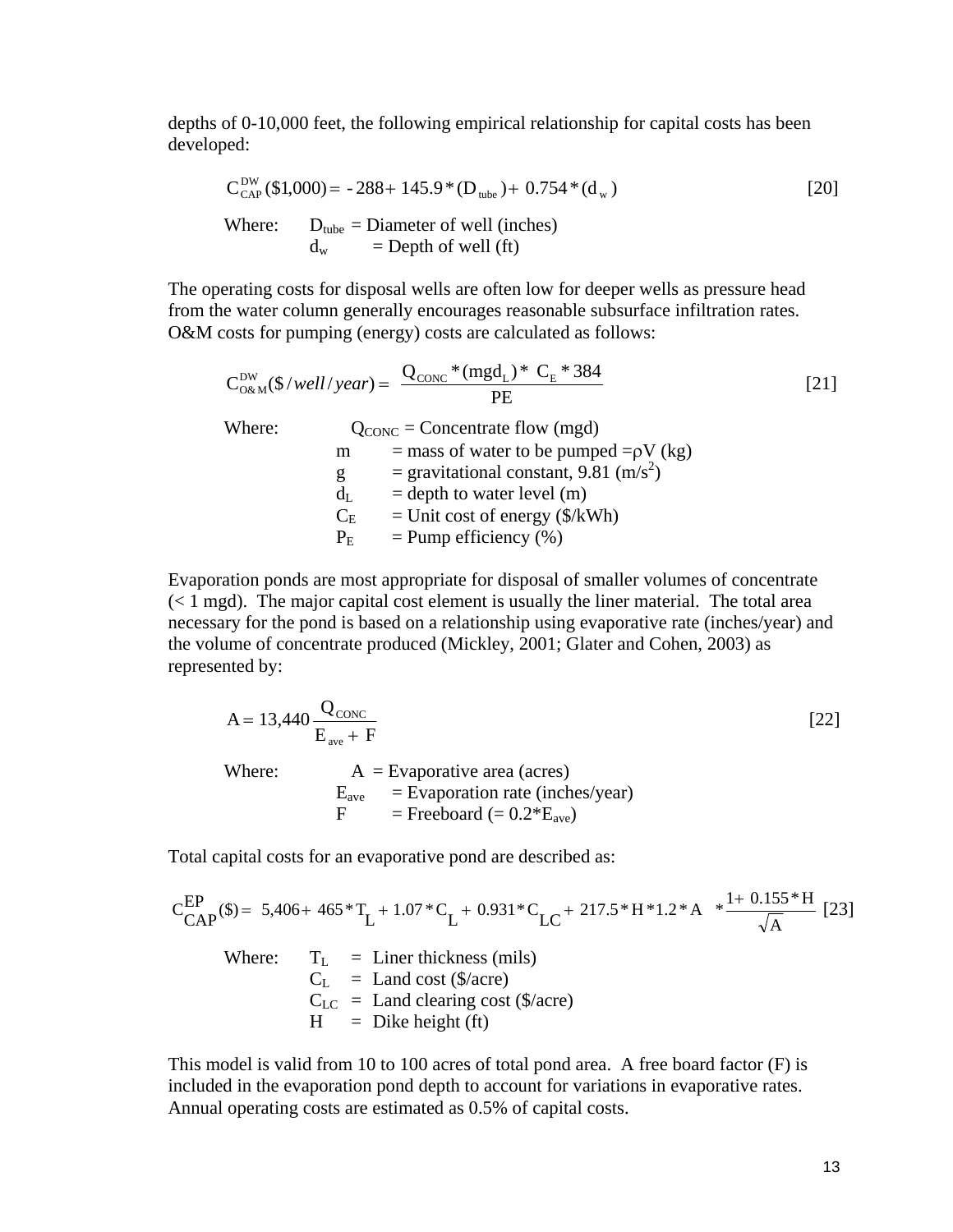depths of 0-10,000 feet, the following empirical relationship for capital costs has been developed:

$$
C_{\text{CAP}}^{\text{DW}}(\$1,000) = -288 + 145.9 * (D_{\text{tube}}) + 0.754 * (d_w)
$$
\n[20]\nWhere: 
$$
D_{\text{tube}} = \text{Diameter of well (inches})
$$
\n
$$
d_w = \text{Depth of well (ft)}
$$

The operating costs for disposal wells are often low for deeper wells as pressure head from the water column generally encourages reasonable subsurface infiltration rates. O&M costs for pumping (energy) costs are calculated as follows:

$$
C_{0\&M}^{DW}(\$/well/year) = \frac{Q_{CONC}*(mgd_L)*C_E*384}{PE}
$$
 [21]  
Where:  
Q\_{CONC} = Connecticut flow (mgd)  
m = mass of water to be pumped =  $\rho V$  (kg)  
g = gravitational constant, 9.81 (m/s<sup>2</sup>)  
d<sub>L</sub> = depth to water level (m)  
C<sub>E</sub> = Unit cost of energy (\$/kWh)  
P<sub>E</sub> = Pump efficiency (%)

Evaporation ponds are most appropriate for disposal of smaller volumes of concentrate (< 1 mgd). The major capital cost element is usually the liner material. The total area necessary for the pond is based on a relationship using evaporative rate (inches/year) and the volume of concentrate produced (Mickley, 2001; Glater and Cohen, 2003) as represented by:

$$
A = 13,440 \frac{Q_{\text{CONC}}}{E_{\text{ave}} + F}
$$
\nWhere:  
\n
$$
A = \text{Evaporative area (acres)}
$$
\n
$$
E_{\text{ave}} = \text{Evaporation rate (inches/year)}
$$
\n
$$
F = \text{Freeboard} (= 0.2 * E_{\text{ave}})
$$
\n(22)

Total capital costs for an evaporative pond are described as:

$$
C_{CAP}^{EP}(\$) = 5,406 + 465 \, ^{*}T_{L} + 1.07 \, ^{*}C_{L} + 0.931 \, ^{*}C_{LC} + 217.5 \, ^{*}H \, ^{*}1.2 \, ^{*}A \, ^{*}\frac{1+0.155 \, ^{*}H}{\sqrt{A}} \, [23]
$$
\nWhere:

\n
$$
T_{L} =
$$
 Linear thickness (mils)\n
$$
C_{L} =
$$
 Land cost (\$\% are)\n
$$
C_{LC} =
$$
 Land clearing cost (\$\% are)\n
$$
H =
$$
Dike height (ft)

This model is valid from 10 to 100 acres of total pond area. A free board factor (F) is included in the evaporation pond depth to account for variations in evaporative rates. Annual operating costs are estimated as 0.5% of capital costs.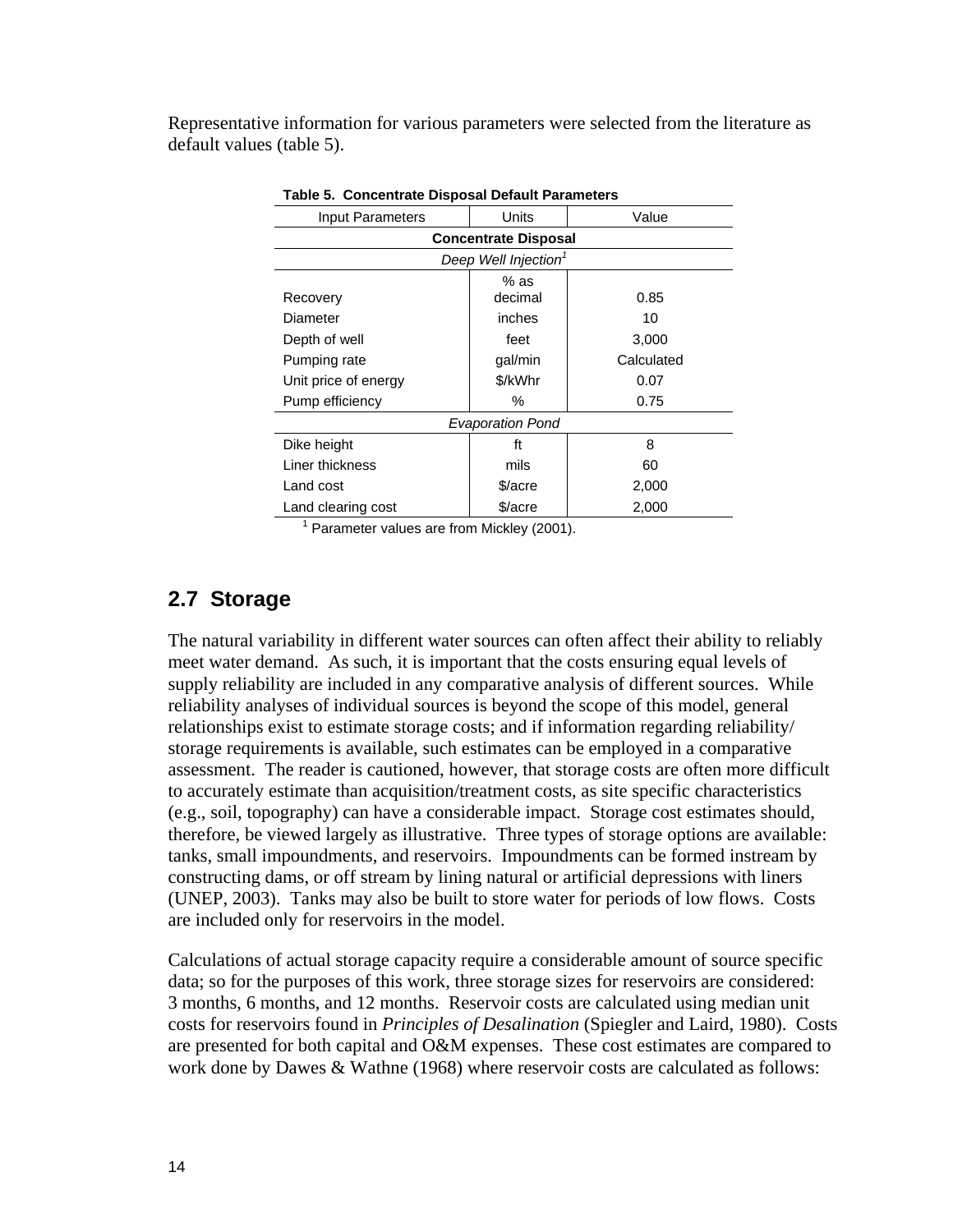Representative information for various parameters were selected from the literature as default values (table 5).

| Input Parameters                 | Units                   | Value      |  |  |  |
|----------------------------------|-------------------------|------------|--|--|--|
| <b>Concentrate Disposal</b>      |                         |            |  |  |  |
| Deep Well Injection <sup>1</sup> |                         |            |  |  |  |
| Recovery                         | $%$ as<br>decimal       | 0.85       |  |  |  |
| Diameter                         | inches                  | 10         |  |  |  |
| Depth of well                    | feet                    | 3,000      |  |  |  |
| Pumping rate                     | gal/min                 | Calculated |  |  |  |
| Unit price of energy             | \$/kWhr                 | 0.07       |  |  |  |
| Pump efficiency                  | %                       | 0.75       |  |  |  |
|                                  | <b>Evaporation Pond</b> |            |  |  |  |
| Dike height                      | ft                      | 8          |  |  |  |
| Liner thickness                  | mils                    | 60         |  |  |  |
| Land cost                        | \$/acre                 | 2,000      |  |  |  |
| Land clearing cost               | \$/acre                 | 2,000      |  |  |  |

|  |  |  | Table 5. Concentrate Disposal Default Parameters |
|--|--|--|--------------------------------------------------|
|--|--|--|--------------------------------------------------|

<sup>1</sup> Parameter values are from Mickley (2001).

### **2.7 Storage**

The natural variability in different water sources can often affect their ability to reliably meet water demand. As such, it is important that the costs ensuring equal levels of supply reliability are included in any comparative analysis of different sources. While reliability analyses of individual sources is beyond the scope of this model, general relationships exist to estimate storage costs; and if information regarding reliability/ storage requirements is available, such estimates can be employed in a comparative assessment. The reader is cautioned, however, that storage costs are often more difficult to accurately estimate than acquisition/treatment costs, as site specific characteristics (e.g., soil, topography) can have a considerable impact. Storage cost estimates should, therefore, be viewed largely as illustrative. Three types of storage options are available: tanks, small impoundments, and reservoirs. Impoundments can be formed instream by constructing dams, or off stream by lining natural or artificial depressions with liners (UNEP, 2003). Tanks may also be built to store water for periods of low flows. Costs are included only for reservoirs in the model.

Calculations of actual storage capacity require a considerable amount of source specific data; so for the purposes of this work, three storage sizes for reservoirs are considered: 3 months, 6 months, and 12 months. Reservoir costs are calculated using median unit costs for reservoirs found in *Principles of Desalination* (Spiegler and Laird, 1980). Costs are presented for both capital and O&M expenses. These cost estimates are compared to work done by Dawes & Wathne (1968) where reservoir costs are calculated as follows: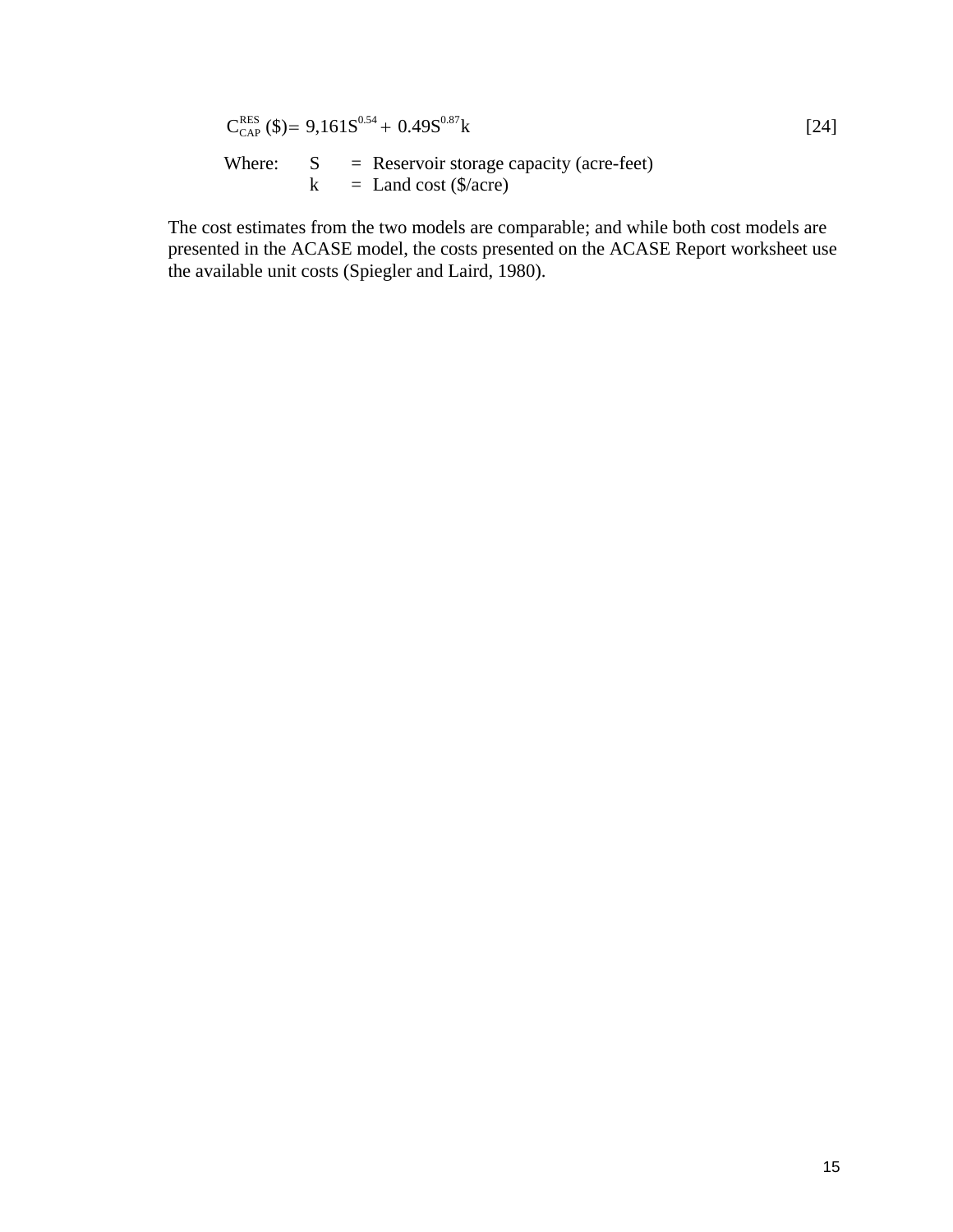$$
C_{\text{CAP}}^{\text{RES}}(\$)=9,161S^{0.54}+0.49S^{0.87}k
$$
\nWhere:

\n
$$
S = \text{Reservoir storage capacity (acre-feet})
$$
\n
$$
k = \text{Land cost } (\$/acre)
$$
\n[24]

The cost estimates from the two models are comparable; and while both cost models are presented in the ACASE model, the costs presented on the ACASE Report worksheet use the available unit costs (Spiegler and Laird, 1980).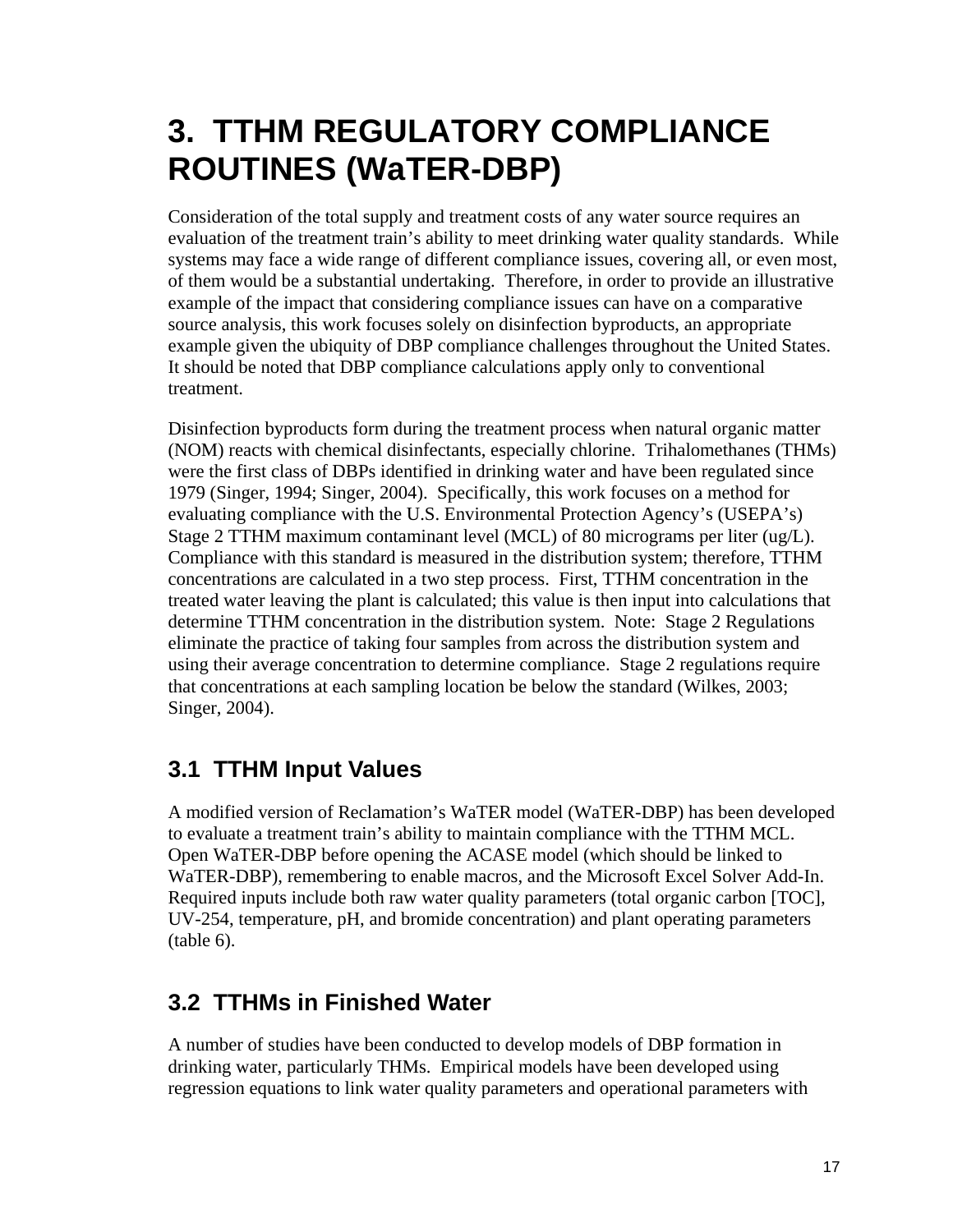# **3. TTHM REGULATORY COMPLIANCE ROUTINES (WaTER-DBP)**

Consideration of the total supply and treatment costs of any water source requires an evaluation of the treatment train's ability to meet drinking water quality standards. While systems may face a wide range of different compliance issues, covering all, or even most, of them would be a substantial undertaking. Therefore, in order to provide an illustrative example of the impact that considering compliance issues can have on a comparative source analysis, this work focuses solely on disinfection byproducts, an appropriate example given the ubiquity of DBP compliance challenges throughout the United States. It should be noted that DBP compliance calculations apply only to conventional treatment.

Disinfection byproducts form during the treatment process when natural organic matter (NOM) reacts with chemical disinfectants, especially chlorine. Trihalomethanes (THMs) were the first class of DBPs identified in drinking water and have been regulated since 1979 (Singer, 1994; Singer, 2004). Specifically, this work focuses on a method for evaluating compliance with the U.S. Environmental Protection Agency's (USEPA's) Stage 2 TTHM maximum contaminant level (MCL) of 80 micrograms per liter (ug/L). Compliance with this standard is measured in the distribution system; therefore, TTHM concentrations are calculated in a two step process. First, TTHM concentration in the treated water leaving the plant is calculated; this value is then input into calculations that determine TTHM concentration in the distribution system. Note: Stage 2 Regulations eliminate the practice of taking four samples from across the distribution system and using their average concentration to determine compliance. Stage 2 regulations require that concentrations at each sampling location be below the standard (Wilkes, 2003; Singer, 2004).

# **3.1 TTHM Input Values**

A modified version of Reclamation's WaTER model (WaTER-DBP) has been developed to evaluate a treatment train's ability to maintain compliance with the TTHM MCL. Open WaTER-DBP before opening the ACASE model (which should be linked to WaTER-DBP), remembering to enable macros, and the Microsoft Excel Solver Add-In. Required inputs include both raw water quality parameters (total organic carbon [TOC], UV-254, temperature, pH, and bromide concentration) and plant operating parameters (table 6).

# **3.2 TTHMs in Finished Water**

A number of studies have been conducted to develop models of DBP formation in drinking water, particularly THMs. Empirical models have been developed using regression equations to link water quality parameters and operational parameters with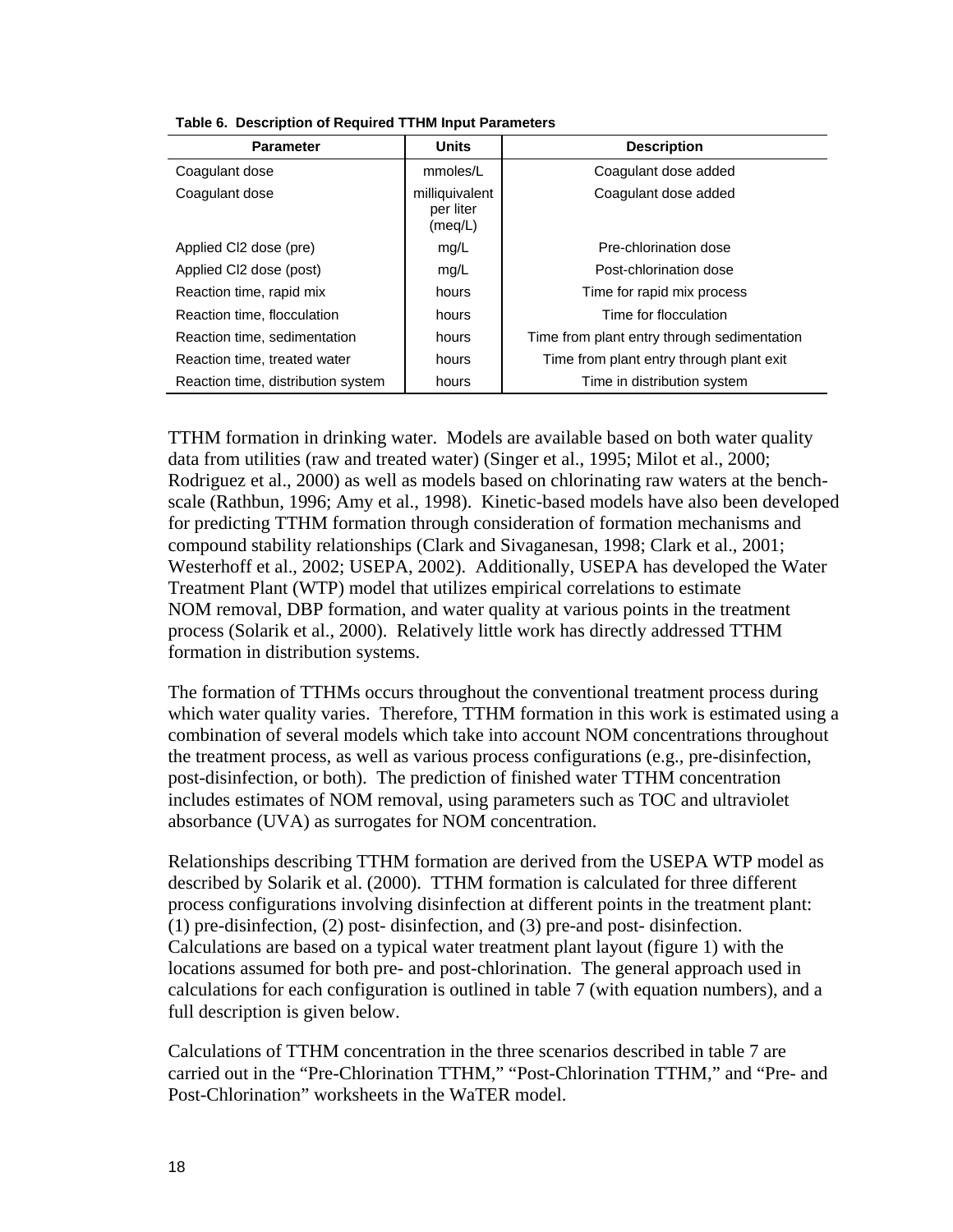| <b>Parameter</b>                   | <b>Units</b>                           | <b>Description</b>                          |
|------------------------------------|----------------------------------------|---------------------------------------------|
| Coagulant dose                     | mmoles/L                               | Coagulant dose added                        |
| Coagulant dose                     | milliquivalent<br>per liter<br>(meq/L) | Coagulant dose added                        |
| Applied CI2 dose (pre)             | mg/L                                   | Pre-chlorination dose                       |
| Applied CI2 dose (post)            | mg/L                                   | Post-chlorination dose                      |
| Reaction time, rapid mix           | hours                                  | Time for rapid mix process                  |
| Reaction time, flocculation        | hours                                  | Time for flocculation                       |
| Reaction time, sedimentation       | hours                                  | Time from plant entry through sedimentation |
| Reaction time, treated water       | hours                                  | Time from plant entry through plant exit    |
| Reaction time, distribution system | hours                                  | Time in distribution system                 |

|  |  |  |  | Table 6. Description of Required TTHM Input Parameters |
|--|--|--|--|--------------------------------------------------------|
|--|--|--|--|--------------------------------------------------------|

TTHM formation in drinking water. Models are available based on both water quality data from utilities (raw and treated water) (Singer et al., 1995; Milot et al., 2000; Rodriguez et al., 2000) as well as models based on chlorinating raw waters at the benchscale (Rathbun, 1996; Amy et al., 1998). Kinetic-based models have also been developed for predicting TTHM formation through consideration of formation mechanisms and compound stability relationships (Clark and Sivaganesan, 1998; Clark et al., 2001; Westerhoff et al., 2002; USEPA, 2002). Additionally, USEPA has developed the Water Treatment Plant (WTP) model that utilizes empirical correlations to estimate NOM removal, DBP formation, and water quality at various points in the treatment process (Solarik et al., 2000). Relatively little work has directly addressed TTHM formation in distribution systems.

The formation of TTHMs occurs throughout the conventional treatment process during which water quality varies. Therefore, TTHM formation in this work is estimated using a combination of several models which take into account NOM concentrations throughout the treatment process, as well as various process configurations (e.g., pre-disinfection, post-disinfection, or both). The prediction of finished water TTHM concentration includes estimates of NOM removal, using parameters such as TOC and ultraviolet absorbance (UVA) as surrogates for NOM concentration.

Relationships describing TTHM formation are derived from the USEPA WTP model as described by Solarik et al. (2000). TTHM formation is calculated for three different process configurations involving disinfection at different points in the treatment plant: (1) pre-disinfection, (2) post- disinfection, and (3) pre-and post- disinfection. Calculations are based on a typical water treatment plant layout (figure 1) with the locations assumed for both pre- and post-chlorination. The general approach used in calculations for each configuration is outlined in table 7 (with equation numbers), and a full description is given below.

Calculations of TTHM concentration in the three scenarios described in table 7 are carried out in the "Pre-Chlorination TTHM," "Post-Chlorination TTHM," and "Pre- and Post-Chlorination" worksheets in the WaTER model.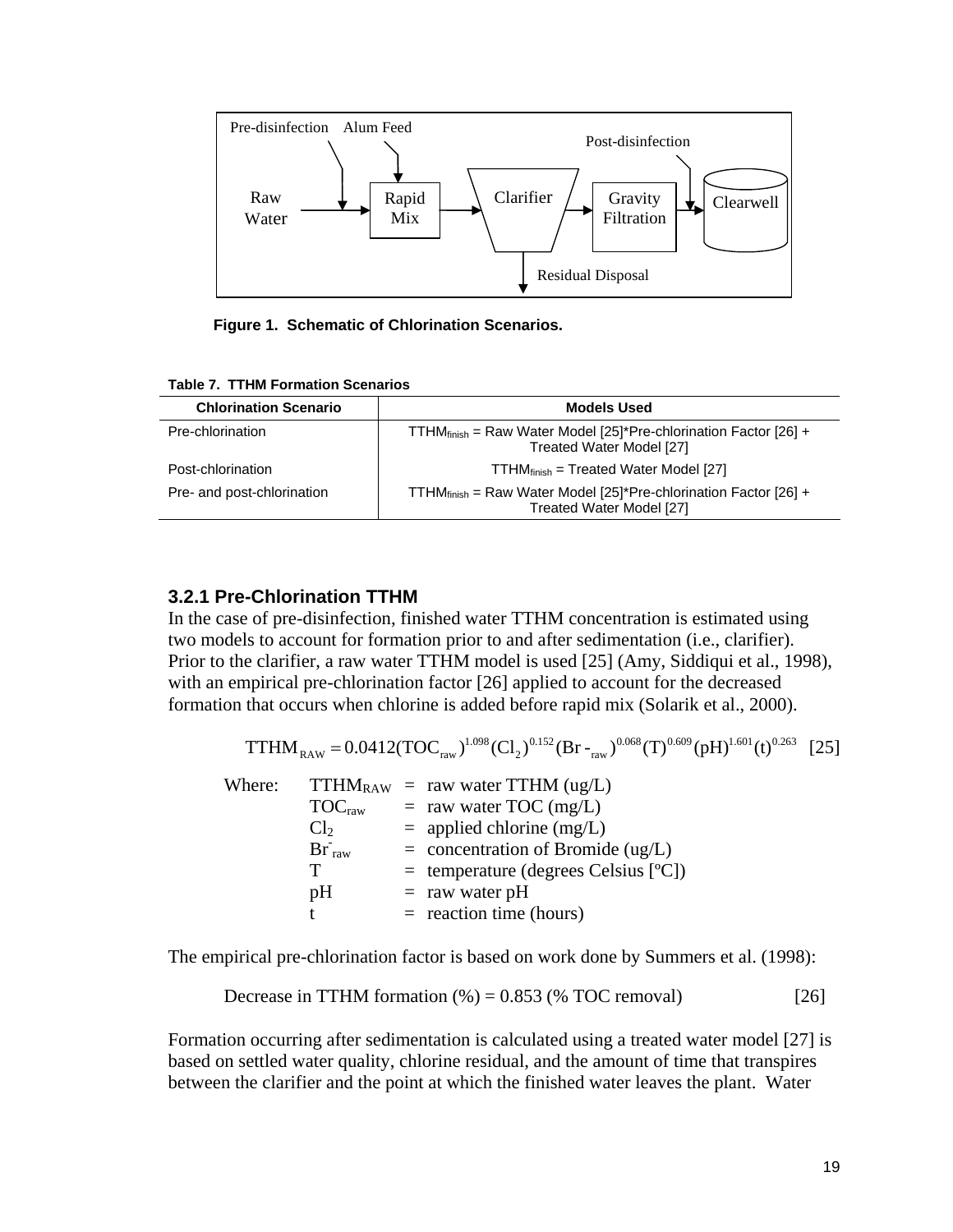

 **Figure 1. Schematic of Chlorination Scenarios.** 

| <b>Chlorination Scenario</b> | <b>Models Used</b>                                                                                        |  |
|------------------------------|-----------------------------------------------------------------------------------------------------------|--|
| Pre-chlorination             | TTHM <sub>finish</sub> = Raw Water Model [25]*Pre-chlorination Factor [26] +<br>Treated Water Model [27]  |  |
| Post-chlorination            | $TTHM_{\text{finish}} = Treated Water Model [27]$                                                         |  |
| Pre- and post-chlorination   | TTHM $_{\text{finish}}$ = Raw Water Model [25]*Pre-chlorination Factor [26] +<br>Treated Water Model [27] |  |

#### **Table 7. TTHM Formation Scenarios**

#### **3.2.1 Pre-Chlorination TTHM**

In the case of pre-disinfection, finished water TTHM concentration is estimated using two models to account for formation prior to and after sedimentation (i.e., clarifier). Prior to the clarifier, a raw water TTHM model is used [25] (Amy, Siddiqui et al., 1998), with an empirical pre-chlorination factor [26] applied to account for the decreased formation that occurs when chlorine is added before rapid mix (Solarik et al., 2000).

$$
TTHM_{RAW} = 0.0412(TOC_{raw})^{1.098}(Cl_2)^{0.152}(Br_{raw})^{0.068}(T)^{0.609}(pH)^{1.601}(t)^{0.263}
$$
 [25]

| Where: |                  | $TTHM_{RAW}$ = raw water TTHM (ug/L)               |
|--------|------------------|----------------------------------------------------|
|        |                  | $\mathrm{TOC}_{\text{raw}}$ = raw water TOC (mg/L) |
|        | Cl <sub>2</sub>  | $=$ applied chlorine (mg/L)                        |
|        | $\rm Br_{\,raw}$ | $=$ concentration of Bromide (ug/L)                |
|        | T                | $=$ temperature (degrees Celsius [ $^{\circ}$ C])  |
|        | pH               | $=$ raw water pH                                   |
|        |                  | $=$ reaction time (hours)                          |

The empirical pre-chlorination factor is based on work done by Summers et al. (1998):

Decrease in TTHM formation 
$$
(\%) = 0.853
$$
 ( $\%$  TOC removal) [26]

Formation occurring after sedimentation is calculated using a treated water model [27] is based on settled water quality, chlorine residual, and the amount of time that transpires between the clarifier and the point at which the finished water leaves the plant. Water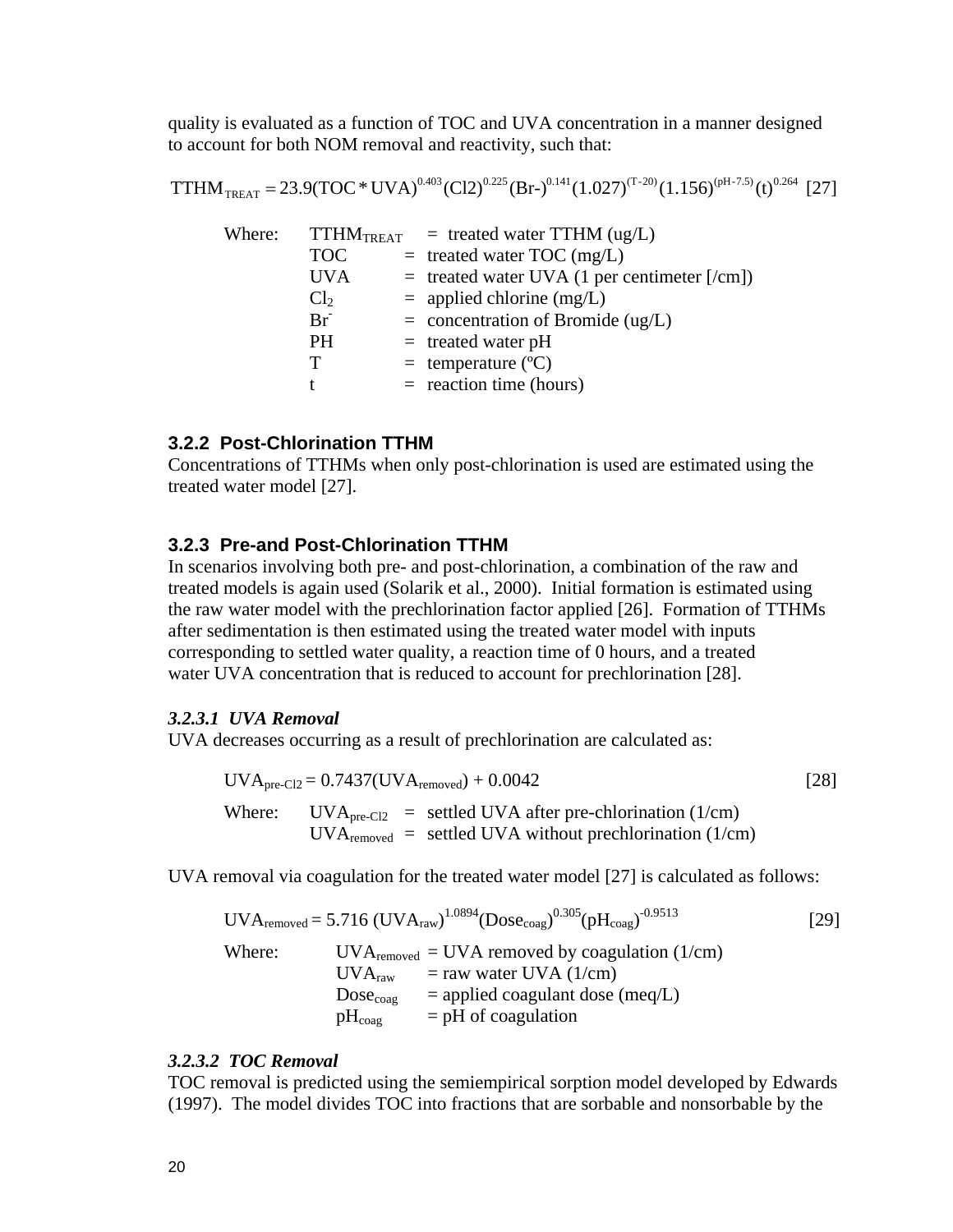quality is evaluated as a function of TOC and UVA concentration in a manner designed to account for both NOM removal and reactivity, such that:

$$
TTHM_{TREAT} = 23.9(TOC*UVA)^{0.403}(Cl2)^{0.225}(Br)^{0.141}(1.027)^{(T-20)}(1.156)^{(pH-7.5)}(t)^{0.264}[27]
$$

| Where: |                 | $TTHM_{TREAT}$ = treated water TTHM (ug/L)     |
|--------|-----------------|------------------------------------------------|
|        | <b>TOC</b>      | $=$ treated water TOC (mg/L)                   |
|        | <b>UVA</b>      | $=$ treated water UVA (1 per centimeter [/cm]) |
|        | Cl <sub>2</sub> | $=$ applied chlorine (mg/L)                    |
|        | Br              | $=$ concentration of Bromide (ug/L)            |
|        | <b>PH</b>       | $=$ treated water pH                           |
|        | т               | $=$ temperature ( $^{\circ}$ C)                |
|        |                 | $=$ reaction time (hours)                      |
|        |                 |                                                |

#### **3.2.2 Post-Chlorination TTHM**

Concentrations of TTHMs when only post-chlorination is used are estimated using the treated water model [27].

#### **3.2.3 Pre-and Post-Chlorination TTHM**

In scenarios involving both pre- and post-chlorination, a combination of the raw and treated models is again used (Solarik et al., 2000). Initial formation is estimated using the raw water model with the prechlorination factor applied [26]. Formation of TTHMs after sedimentation is then estimated using the treated water model with inputs corresponding to settled water quality, a reaction time of 0 hours, and a treated water UVA concentration that is reduced to account for prechlorination [28].

#### *3.2.3.1 UVA Removal*

UVA decreases occurring as a result of prechlorination are calculated as:

$$
UVA_{pre-Cl2} = 0.7437 (UVA_{removed}) + 0.0042
$$
\n[28]  
\nWhere: UVA<sub>pre-Cl2</sub> = settled UVA after pre-chlorination (1/cm)  
\nUVA<sub>removed</sub> = settled UVA without prechlorination (1/cm)

UVA removal via coagulation for the treated water model [27] is calculated as follows:

$$
UVA_{\text{removed}} = 5.716 \text{ (UVA}_{\text{raw}})^{1.0894} \text{(Dose}_{\text{coag}})^{0.305} \text{(pH}_{\text{coag}})^{-0.9513}
$$
 [29]  
\nWhere: UVA<sub>rewoved</sub> = UVA removed by coagulation (1/cm)  
\n
$$
UVA_{\text{raw}} = \text{raw water UVA} (1/\text{cm})
$$
\n
$$
Dose_{\text{coag}} = \text{applied coagulant dose (meq/L)}
$$
\n
$$
pH_{\text{coag}} = \text{pH of coagulation}
$$

#### *3.2.3.2 TOC Removal*

TOC removal is predicted using the semiempirical sorption model developed by Edwards (1997). The model divides TOC into fractions that are sorbable and nonsorbable by the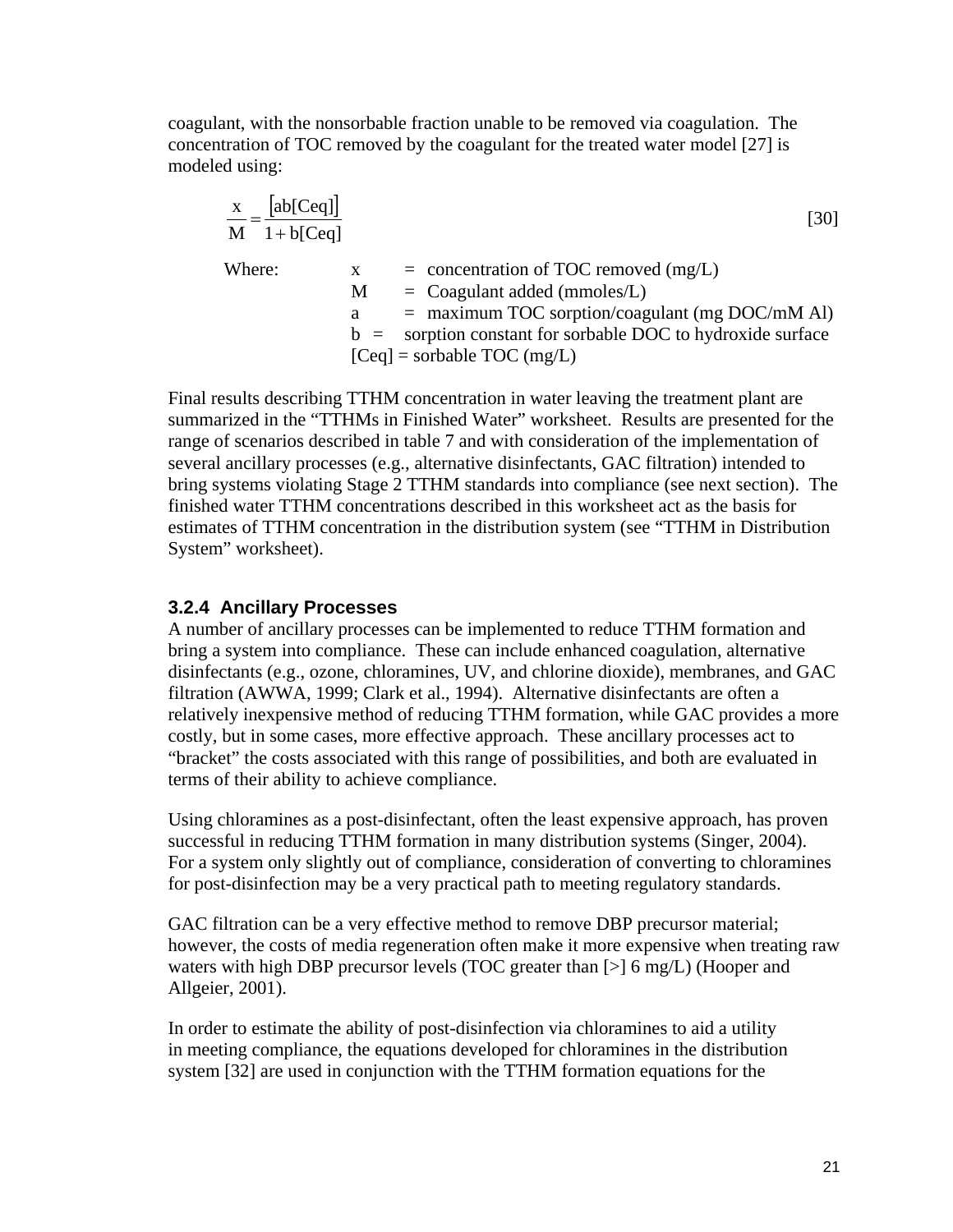coagulant, with the nonsorbable fraction unable to be removed via coagulation. The concentration of TOC removed by the coagulant for the treated water model [27] is modeled using:

$$
\frac{x}{M} = \frac{[ab[Ceq]]}{1 + b[Ceq]}
$$
\nWhere:  
\n
$$
x = \text{concentration of TOC removed (mg/L)}
$$
\n
$$
M = \text{Coagulant added (mmoles/L)}
$$
\n
$$
a = \text{maximum TOC sorption/coagulant (mg DOC/mM Al)}
$$
\n
$$
b = \text{soption constant for sorbable DOC to hydroxide surface}
$$
\n[Ceq] = sorbable TOC (mg/L)

Final results describing TTHM concentration in water leaving the treatment plant are summarized in the "TTHMs in Finished Water" worksheet. Results are presented for the range of scenarios described in table 7 and with consideration of the implementation of several ancillary processes (e.g., alternative disinfectants, GAC filtration) intended to bring systems violating Stage 2 TTHM standards into compliance (see next section). The finished water TTHM concentrations described in this worksheet act as the basis for estimates of TTHM concentration in the distribution system (see "TTHM in Distribution System" worksheet).

#### **3.2.4 Ancillary Processes**

A number of ancillary processes can be implemented to reduce TTHM formation and bring a system into compliance. These can include enhanced coagulation, alternative disinfectants (e.g., ozone, chloramines, UV, and chlorine dioxide), membranes, and GAC filtration (AWWA, 1999; Clark et al., 1994). Alternative disinfectants are often a relatively inexpensive method of reducing TTHM formation, while GAC provides a more costly, but in some cases, more effective approach. These ancillary processes act to "bracket" the costs associated with this range of possibilities, and both are evaluated in terms of their ability to achieve compliance.

Using chloramines as a post-disinfectant, often the least expensive approach, has proven successful in reducing TTHM formation in many distribution systems (Singer, 2004). For a system only slightly out of compliance, consideration of converting to chloramines for post-disinfection may be a very practical path to meeting regulatory standards.

GAC filtration can be a very effective method to remove DBP precursor material; however, the costs of media regeneration often make it more expensive when treating raw waters with high DBP precursor levels (TOC greater than [>] 6 mg/L) (Hooper and Allgeier, 2001).

In order to estimate the ability of post-disinfection via chloramines to aid a utility in meeting compliance, the equations developed for chloramines in the distribution system [32] are used in conjunction with the TTHM formation equations for the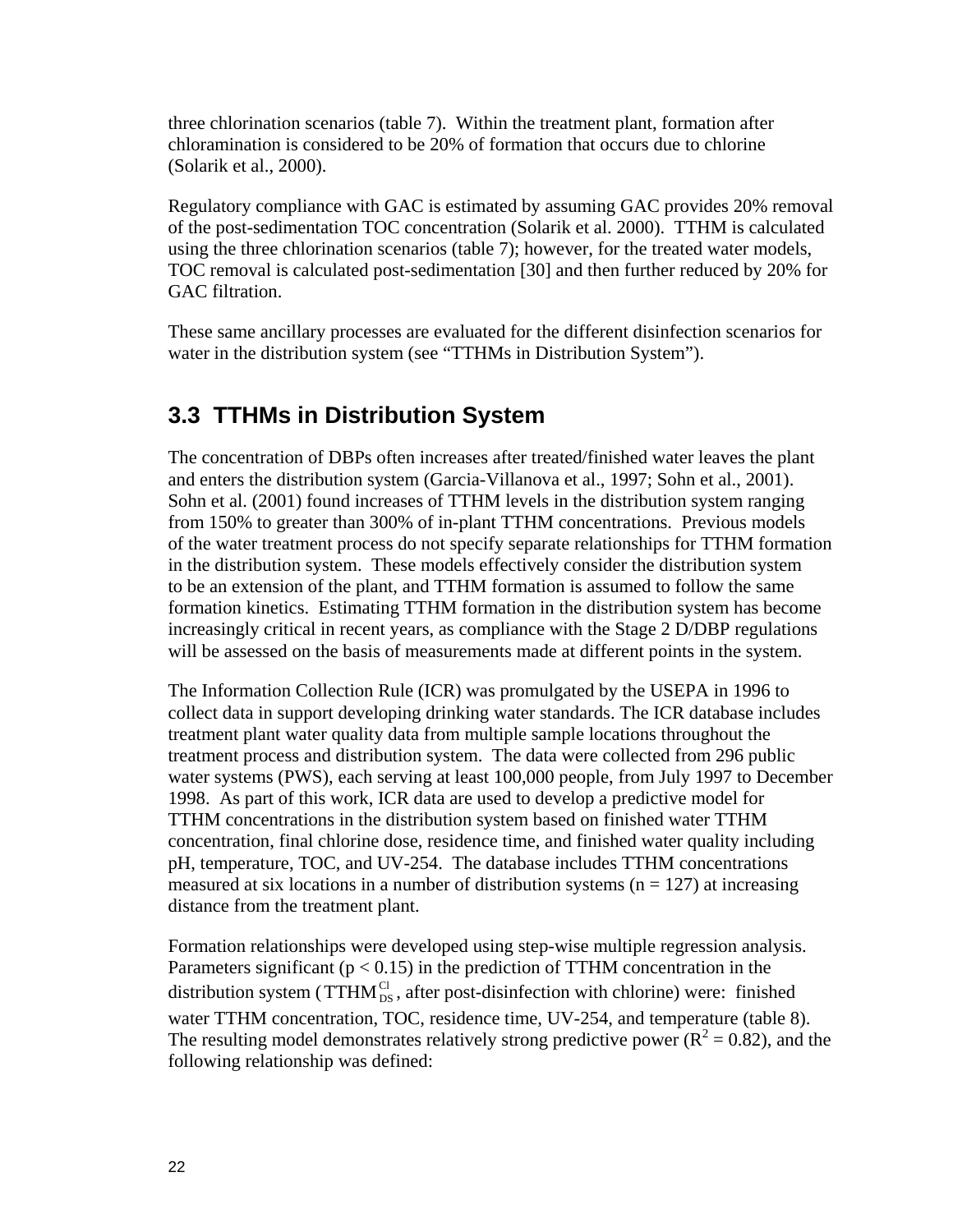three chlorination scenarios (table 7). Within the treatment plant, formation after chloramination is considered to be 20% of formation that occurs due to chlorine (Solarik et al., 2000).

Regulatory compliance with GAC is estimated by assuming GAC provides 20% removal of the post-sedimentation TOC concentration (Solarik et al. 2000). TTHM is calculated using the three chlorination scenarios (table 7); however, for the treated water models, TOC removal is calculated post-sedimentation [30] and then further reduced by 20% for GAC filtration.

These same ancillary processes are evaluated for the different disinfection scenarios for water in the distribution system (see "TTHMs in Distribution System").

# **3.3 TTHMs in Distribution System**

The concentration of DBPs often increases after treated/finished water leaves the plant and enters the distribution system (Garcia-Villanova et al., 1997; Sohn et al., 2001). Sohn et al. (2001) found increases of TTHM levels in the distribution system ranging from 150% to greater than 300% of in-plant TTHM concentrations. Previous models of the water treatment process do not specify separate relationships for TTHM formation in the distribution system. These models effectively consider the distribution system to be an extension of the plant, and TTHM formation is assumed to follow the same formation kinetics. Estimating TTHM formation in the distribution system has become increasingly critical in recent years, as compliance with the Stage 2 D/DBP regulations will be assessed on the basis of measurements made at different points in the system.

The Information Collection Rule (ICR) was promulgated by the USEPA in 1996 to collect data in support developing drinking water standards. The ICR database includes treatment plant water quality data from multiple sample locations throughout the treatment process and distribution system. The data were collected from 296 public water systems (PWS), each serving at least 100,000 people, from July 1997 to December 1998. As part of this work, ICR data are used to develop a predictive model for TTHM concentrations in the distribution system based on finished water TTHM concentration, final chlorine dose, residence time, and finished water quality including pH, temperature, TOC, and UV-254. The database includes TTHM concentrations measured at six locations in a number of distribution systems  $(n = 127)$  at increasing distance from the treatment plant.

Formation relationships were developed using step-wise multiple regression analysis. Parameters significant ( $p < 0.15$ ) in the prediction of TTHM concentration in the distribution system ( $TTHM_{DS}^{Cl}$ , after post-disinfection with chlorine) were: finished water TTHM concentration, TOC, residence time, UV-254, and temperature (table 8). The resulting model demonstrates relatively strong predictive power ( $R^2 = 0.82$ ), and the following relationship was defined: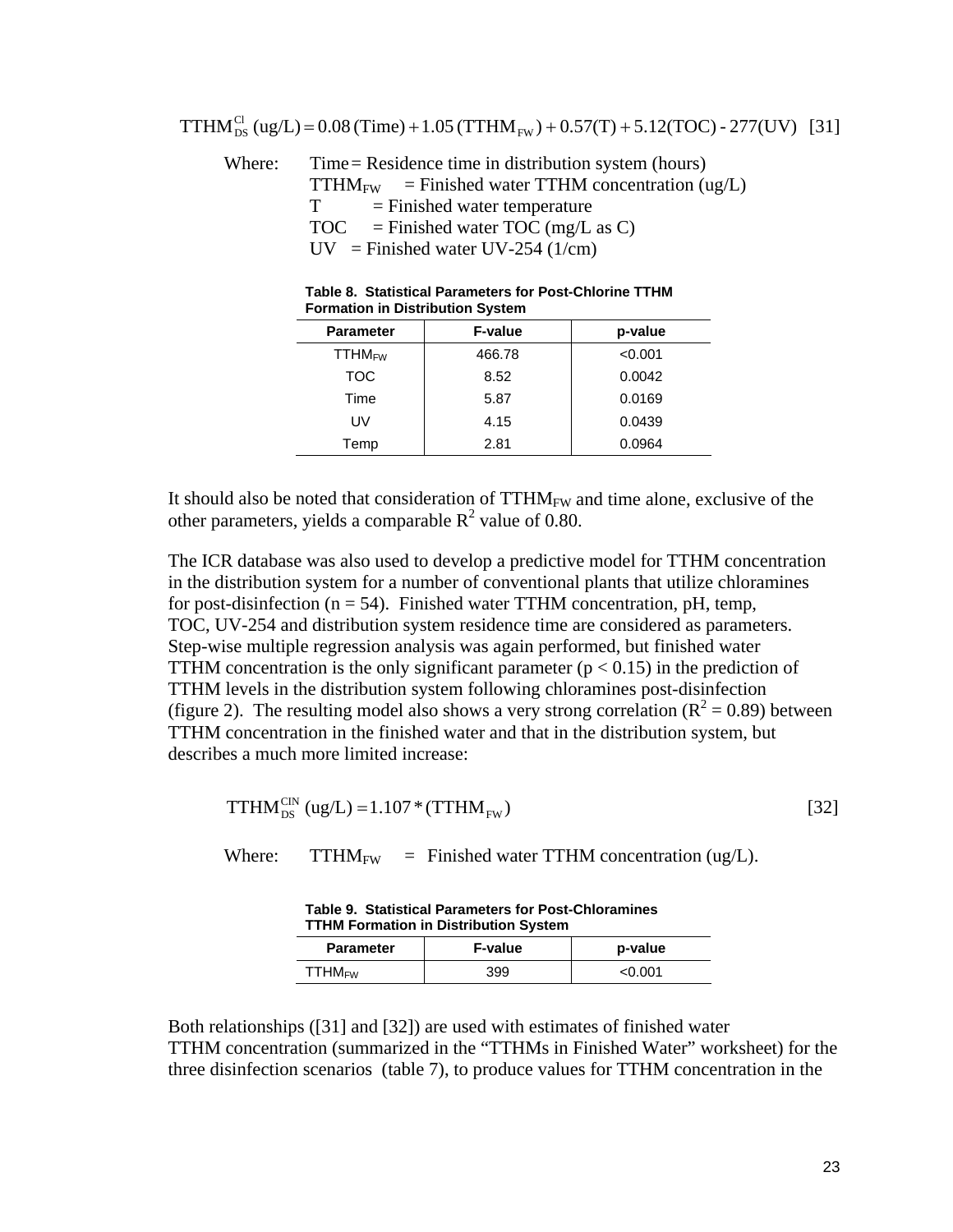Where: Time = Residence time in distribution system (hours)  $TTHM_{FW}$  = Finished water TTHM concentration (ug/L)  $T =$  Finished water temperature  $TOC = F \ninished water TOC (mg/L as C)$  $UV$  = Finished water UV-254 (1/cm)

| <b>Formation in Distribution System</b> |                |         |  |
|-----------------------------------------|----------------|---------|--|
| <b>Parameter</b>                        | <b>F-value</b> | p-value |  |
| <b>TTHM<sub>FW</sub></b>                | 466.78         | < 0.001 |  |
| <b>TOC</b>                              | 8.52           | 0.0042  |  |
| Time                                    | 5.87           | 0.0169  |  |
| UV                                      | 4.15           | 0.0439  |  |
| Temp                                    | 2.81           | 0.0964  |  |

| Table 8. Statistical Parameters for Post-Chlorine TTHM |
|--------------------------------------------------------|
| <b>Formation in Distribution System</b>                |

It should also be noted that consideration of  $TTHM_{FW}$  and time alone, exclusive of the other parameters, yields a comparable  $R^2$  value of 0.80.

The ICR database was also used to develop a predictive model for TTHM concentration in the distribution system for a number of conventional plants that utilize chloramines for post-disinfection ( $n = 54$ ). Finished water TTHM concentration, pH, temp, TOC, UV-254 and distribution system residence time are considered as parameters. Step-wise multiple regression analysis was again performed, but finished water TTHM concentration is the only significant parameter ( $p < 0.15$ ) in the prediction of TTHM levels in the distribution system following chloramines post-disinfection (figure 2). The resulting model also shows a very strong correlation ( $R^2 = 0.89$ ) between TTHM concentration in the finished water and that in the distribution system, but describes a much more limited increase:

$$
\text{TTHM}_{\text{DS}}^{\text{CN}}\left(\text{ug/L}\right) = 1.107 \times (\text{TTHM}_{\text{FW}})
$$
\n
$$
\tag{32}
$$

Where:  $TTHM_{FW}$  = Finished water TTHM concentration (ug/L).

**Table 9. Statistical Parameters for Post-Chloramines** 

**TTHM Formation in Distribution System Parameter | F-value | p-value**  $TTHM_{FW}$  399  $\sim$  0.001

Both relationships ([31] and [32]) are used with estimates of finished water TTHM concentration (summarized in the "TTHMs in Finished Water" worksheet) for the three disinfection scenarios (table 7), to produce values for TTHM concentration in the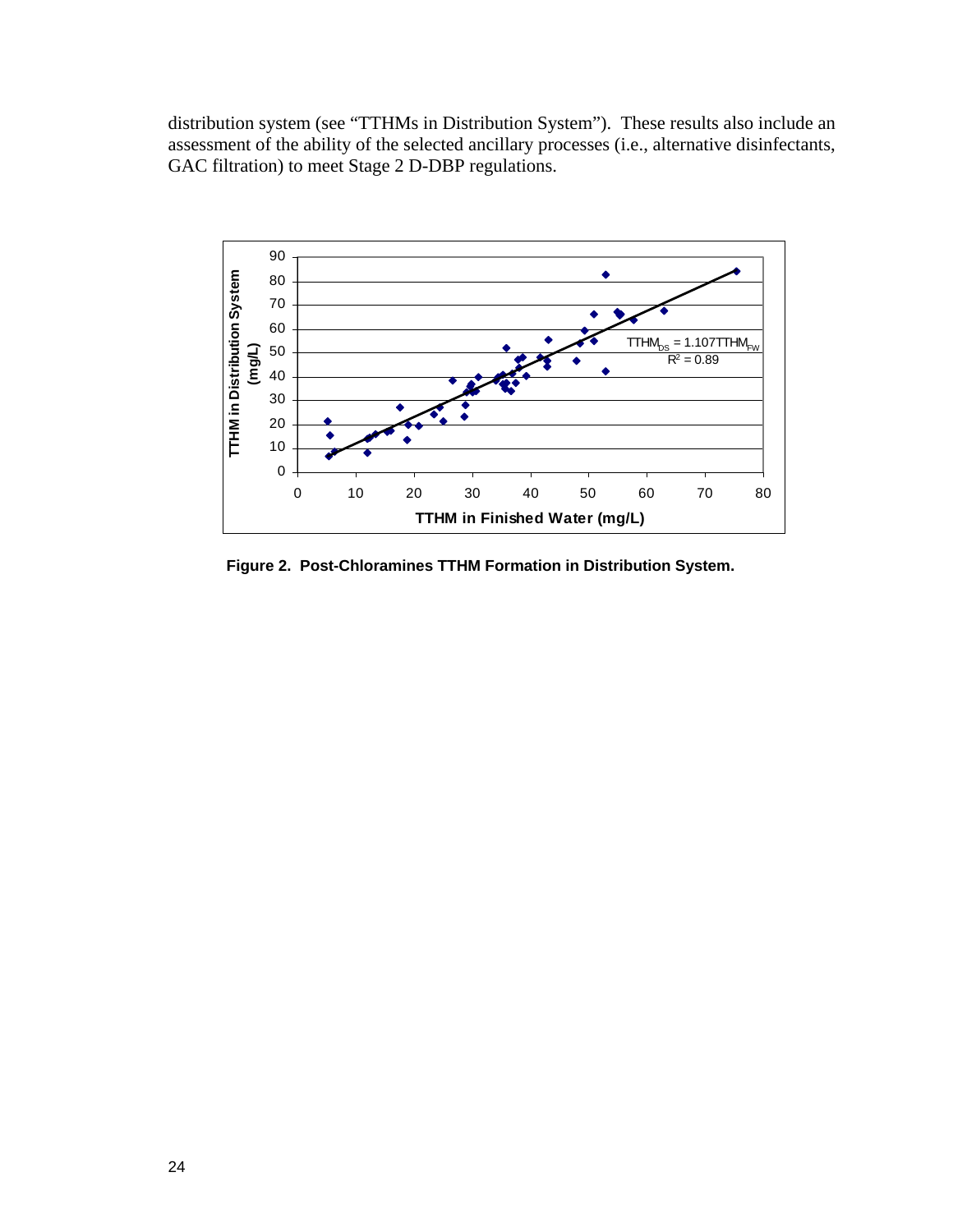distribution system (see "TTHMs in Distribution System"). These results also include an assessment of the ability of the selected ancillary processes (i.e., alternative disinfectants, GAC filtration) to meet Stage 2 D-DBP regulations.



 **Figure 2. Post-Chloramines TTHM Formation in Distribution System.**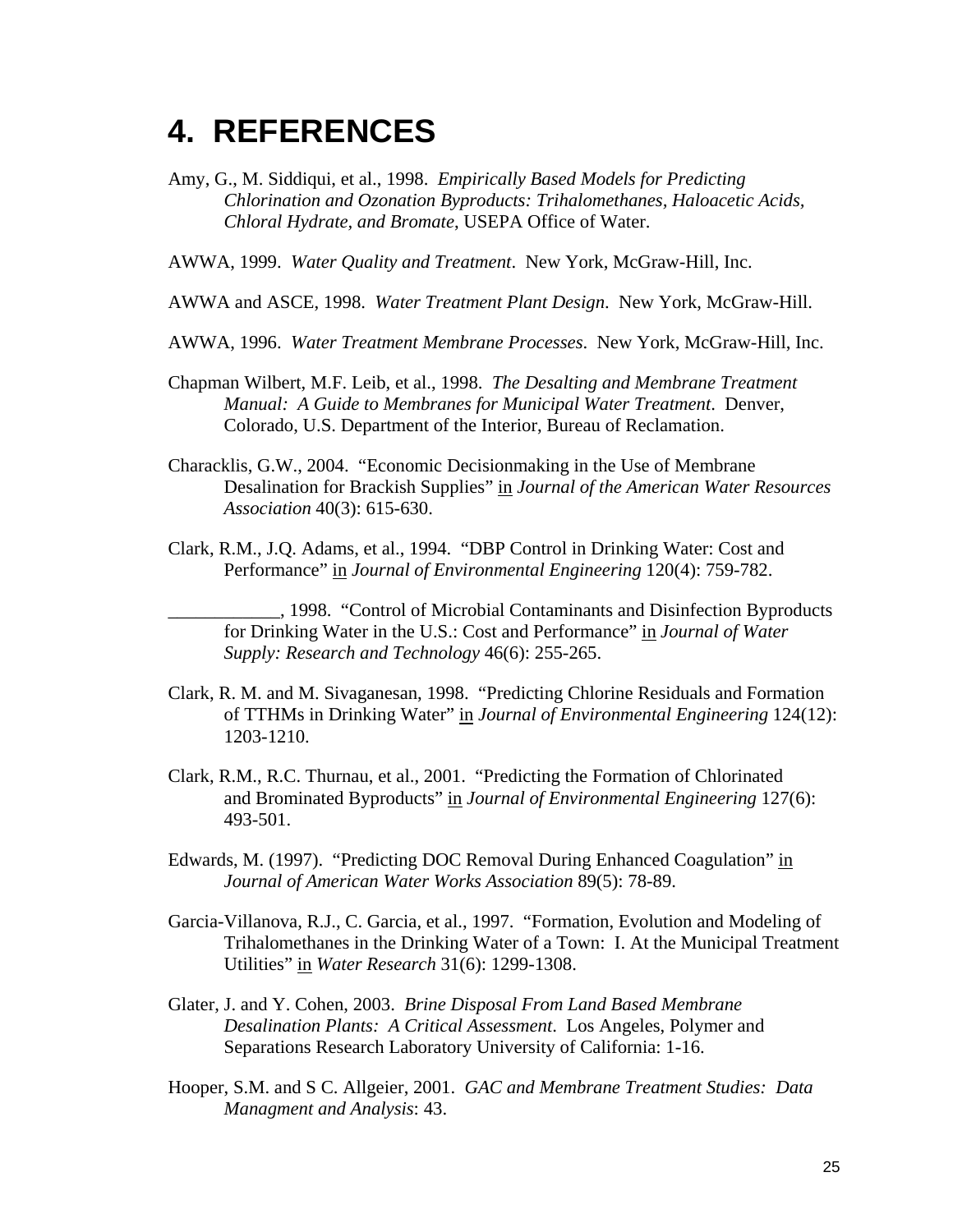# **4. REFERENCES**

Amy, G., M. Siddiqui, et al., 1998. *Empirically Based Models for Predicting Chlorination and Ozonation Byproducts: Trihalomethanes, Haloacetic Acids, Chloral Hydrate, and Bromate*, USEPA Office of Water.

AWWA, 1999. *Water Quality and Treatment*. New York, McGraw-Hill, Inc.

AWWA and ASCE, 1998. *Water Treatment Plant Design*. New York, McGraw-Hill.

AWWA, 1996. *Water Treatment Membrane Processes*. New York, McGraw-Hill, Inc.

- Chapman Wilbert, M.F. Leib, et al., 1998. *The Desalting and Membrane Treatment Manual: A Guide to Membranes for Municipal Water Treatment*. Denver, Colorado, U.S. Department of the Interior, Bureau of Reclamation.
- Characklis, G.W., 2004. "Economic Decisionmaking in the Use of Membrane Desalination for Brackish Supplies" in *Journal of the American Water Resources Association* 40(3): 615-630.
- Clark, R.M., J.Q. Adams, et al., 1994. "DBP Control in Drinking Water: Cost and Performance" in *Journal of Environmental Engineering* 120(4): 759-782.

\_\_\_\_\_\_\_\_\_\_\_\_, 1998. "Control of Microbial Contaminants and Disinfection Byproducts for Drinking Water in the U.S.: Cost and Performance" in *Journal of Water Supply: Research and Technology* 46(6): 255-265.

- Clark, R. M. and M. Sivaganesan, 1998. "Predicting Chlorine Residuals and Formation of TTHMs in Drinking Water" in *Journal of Environmental Engineering* 124(12): 1203-1210.
- Clark, R.M., R.C. Thurnau, et al., 2001. "Predicting the Formation of Chlorinated and Brominated Byproducts" in *Journal of Environmental Engineering* 127(6): 493-501.
- Edwards, M. (1997). "Predicting DOC Removal During Enhanced Coagulation" in *Journal of American Water Works Association* 89(5): 78-89.
- Garcia-Villanova, R.J., C. Garcia, et al., 1997. "Formation, Evolution and Modeling of Trihalomethanes in the Drinking Water of a Town: I. At the Municipal Treatment Utilities" in *Water Research* 31(6): 1299-1308.
- Glater, J. and Y. Cohen, 2003. *Brine Disposal From Land Based Membrane Desalination Plants: A Critical Assessment*. Los Angeles, Polymer and Separations Research Laboratory University of California: 1-16.
- Hooper, S.M. and S C. Allgeier, 2001. *GAC and Membrane Treatment Studies: Data Managment and Analysis*: 43.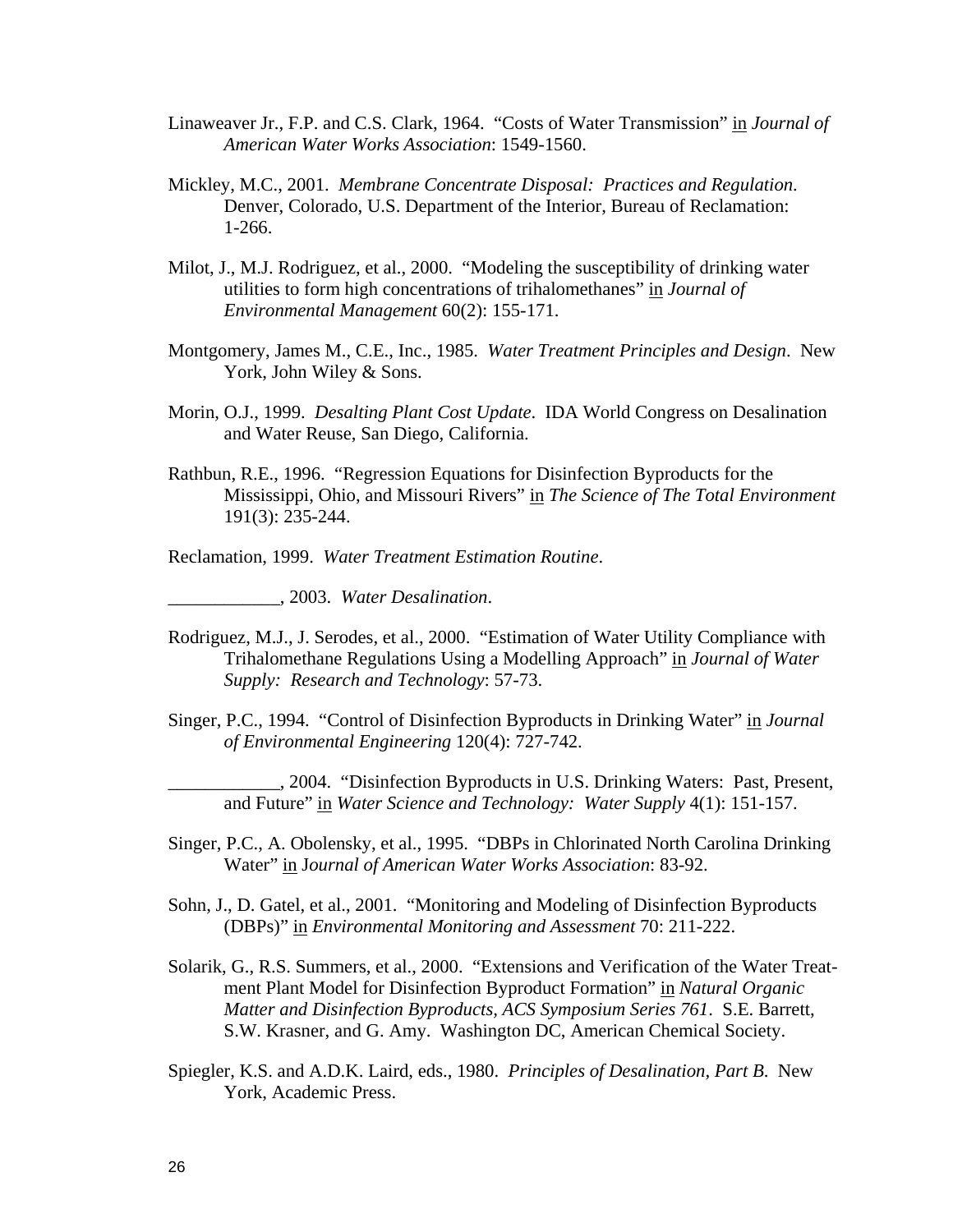- Linaweaver Jr., F.P. and C.S. Clark, 1964. "Costs of Water Transmission" in *Journal of American Water Works Association*: 1549-1560.
- Mickley, M.C., 2001. *Membrane Concentrate Disposal: Practices and Regulation*. Denver, Colorado, U.S. Department of the Interior, Bureau of Reclamation: 1-266.
- Milot, J., M.J. Rodriguez, et al., 2000. "Modeling the susceptibility of drinking water utilities to form high concentrations of trihalomethanes" in *Journal of Environmental Management* 60(2): 155-171.
- Montgomery, James M., C.E., Inc., 1985. *Water Treatment Principles and Design*. New York, John Wiley & Sons.
- Morin, O.J., 1999. *Desalting Plant Cost Update*. IDA World Congress on Desalination and Water Reuse, San Diego, California.
- Rathbun, R.E., 1996. "Regression Equations for Disinfection Byproducts for the Mississippi, Ohio, and Missouri Rivers" in *The Science of The Total Environment* 191(3): 235-244.

Reclamation, 1999. *Water Treatment Estimation Routine*.

\_\_\_\_\_\_\_\_\_\_\_\_, 2003. *Water Desalination*.

- Rodriguez, M.J., J. Serodes, et al., 2000. "Estimation of Water Utility Compliance with Trihalomethane Regulations Using a Modelling Approach" in *Journal of Water Supply: Research and Technology*: 57-73.
- Singer, P.C., 1994. "Control of Disinfection Byproducts in Drinking Water" in *Journal of Environmental Engineering* 120(4): 727-742.

\_\_\_\_\_\_\_\_\_\_\_\_, 2004. "Disinfection Byproducts in U.S. Drinking Waters: Past, Present, and Future" in *Water Science and Technology: Water Supply* 4(1): 151-157.

- Singer, P.C., A. Obolensky, et al., 1995. "DBPs in Chlorinated North Carolina Drinking Water" in J*ournal of American Water Works Association*: 83-92.
- Sohn, J., D. Gatel, et al., 2001. "Monitoring and Modeling of Disinfection Byproducts (DBPs)" in *Environmental Monitoring and Assessment* 70: 211-222.
- Solarik, G., R.S. Summers, et al., 2000. "Extensions and Verification of the Water Treatment Plant Model for Disinfection Byproduct Formation" in *Natural Organic Matter and Disinfection Byproducts, ACS Symposium Series 761*. S.E. Barrett, S.W. Krasner, and G. Amy. Washington DC, American Chemical Society.
- Spiegler, K.S. and A.D.K. Laird, eds., 1980. *Principles of Desalination, Part B*. New York, Academic Press.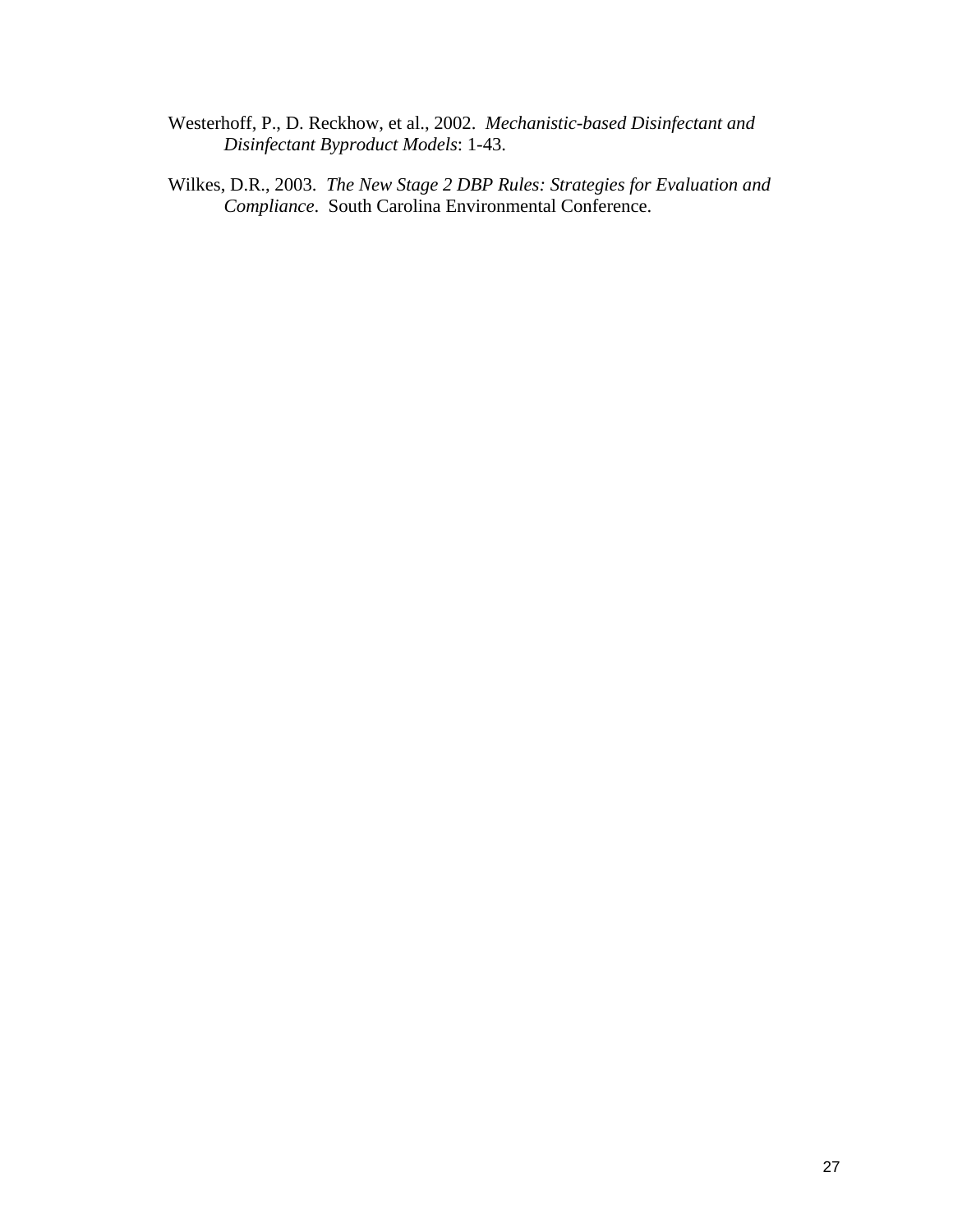- Westerhoff, P., D. Reckhow, et al., 2002. *Mechanistic-based Disinfectant and Disinfectant Byproduct Models*: 1-43.
- Wilkes, D.R., 2003. *The New Stage 2 DBP Rules: Strategies for Evaluation and Compliance*. South Carolina Environmental Conference.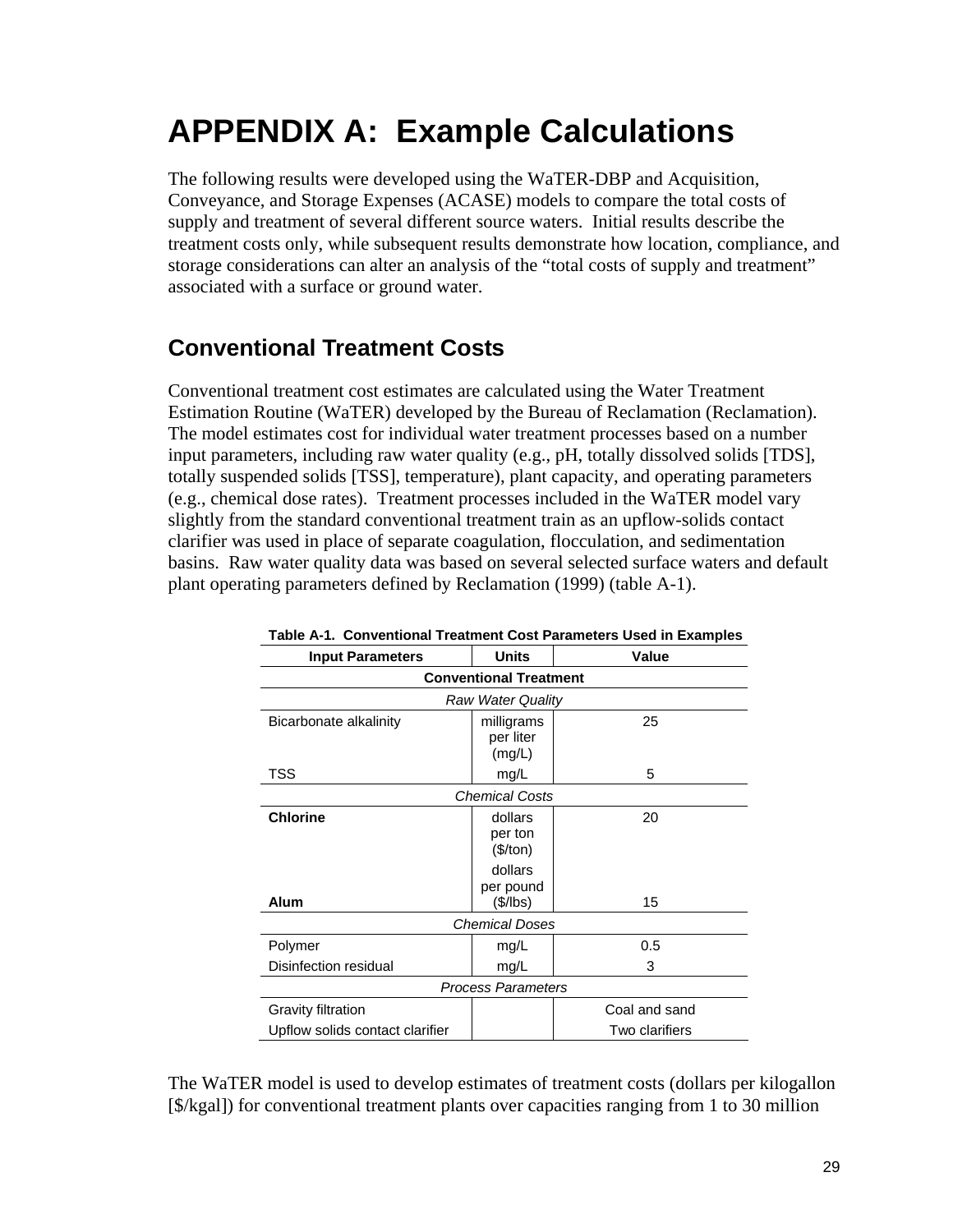# **APPENDIX A: Example Calculations**

The following results were developed using the WaTER-DBP and Acquisition, Conveyance, and Storage Expenses (ACASE) models to compare the total costs of supply and treatment of several different source waters. Initial results describe the treatment costs only, while subsequent results demonstrate how location, compliance, and storage considerations can alter an analysis of the "total costs of supply and treatment" associated with a surface or ground water.

# **Conventional Treatment Costs**

Conventional treatment cost estimates are calculated using the Water Treatment Estimation Routine (WaTER) developed by the Bureau of Reclamation (Reclamation). The model estimates cost for individual water treatment processes based on a number input parameters, including raw water quality (e.g., pH, totally dissolved solids [TDS], totally suspended solids [TSS], temperature), plant capacity, and operating parameters (e.g., chemical dose rates). Treatment processes included in the WaTER model vary slightly from the standard conventional treatment train as an upflow-solids contact clarifier was used in place of separate coagulation, flocculation, and sedimentation basins. Raw water quality data was based on several selected surface waters and default plant operating parameters defined by Reclamation (1999) (table A-1).

| <b>Input Parameters</b>                               | <b>Units</b>                       | Value                           |  |
|-------------------------------------------------------|------------------------------------|---------------------------------|--|
|                                                       | <b>Conventional Treatment</b>      |                                 |  |
|                                                       | Raw Water Quality                  |                                 |  |
| Bicarbonate alkalinity                                | milligrams<br>per liter<br>(mg/L)  | 25                              |  |
| <b>TSS</b>                                            | mg/L                               | 5                               |  |
|                                                       | <b>Chemical Costs</b>              |                                 |  |
| <b>Chlorine</b>                                       | dollars<br>per ton<br>(\$/ton)     | 20                              |  |
| Alum                                                  | dollars<br>per pound<br>$(\$/IBs)$ | 15                              |  |
| <b>Chemical Doses</b>                                 |                                    |                                 |  |
| Polymer                                               | mg/L                               | 0.5                             |  |
| Disinfection residual                                 | mg/L                               | 3                               |  |
| <b>Process Parameters</b>                             |                                    |                                 |  |
| Gravity filtration<br>Upflow solids contact clarifier |                                    | Coal and sand<br>Two clarifiers |  |

**Table A-1. Conventional Treatment Cost Parameters Used in Examples** 

The WaTER model is used to develop estimates of treatment costs (dollars per kilogallon [\$/kgal]) for conventional treatment plants over capacities ranging from 1 to 30 million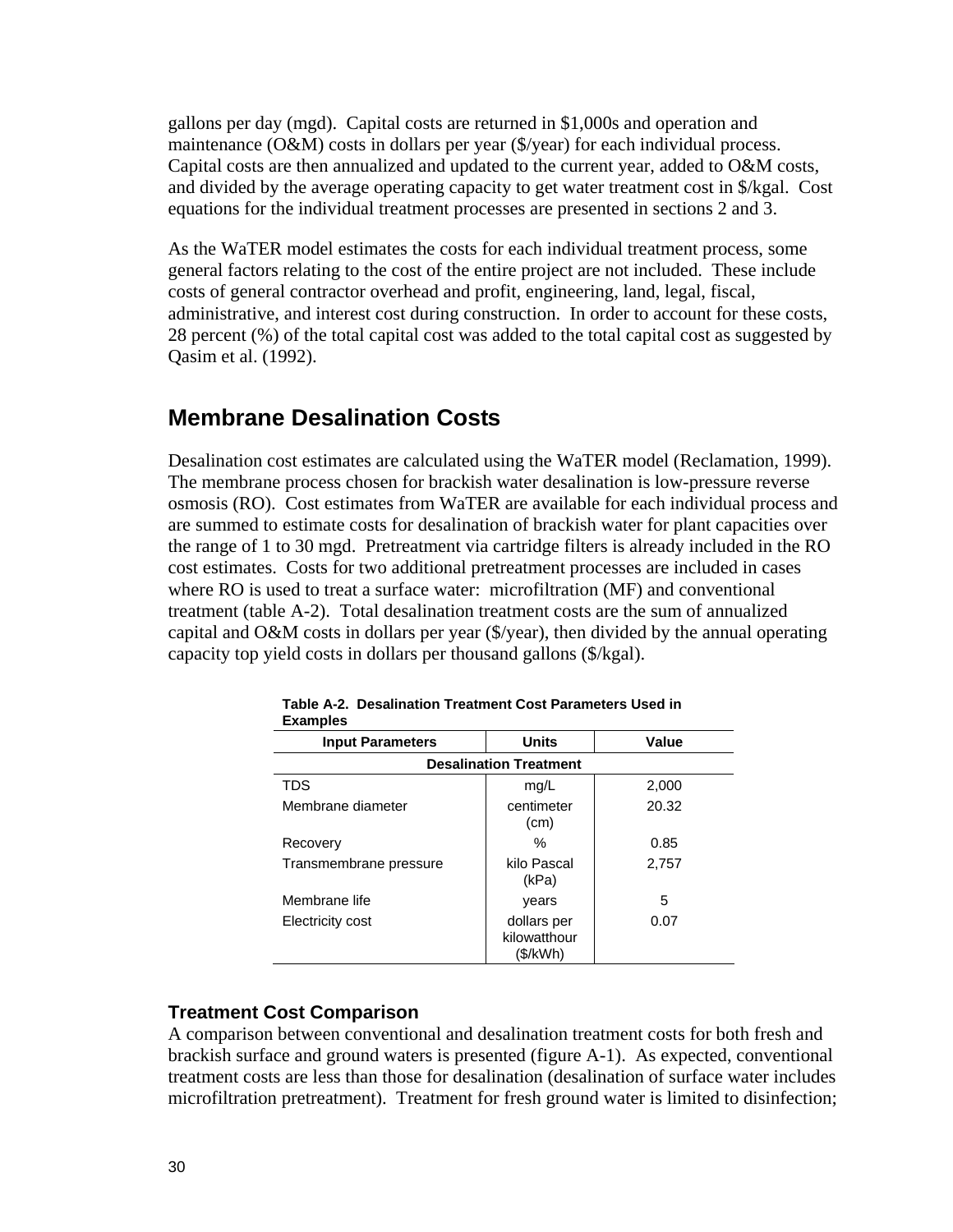gallons per day (mgd). Capital costs are returned in \$1,000s and operation and maintenance (O&M) costs in dollars per year (\$/year) for each individual process. Capital costs are then annualized and updated to the current year, added to O&M costs, and divided by the average operating capacity to get water treatment cost in \$/kgal. Cost equations for the individual treatment processes are presented in sections 2 and 3.

As the WaTER model estimates the costs for each individual treatment process, some general factors relating to the cost of the entire project are not included. These include costs of general contractor overhead and profit, engineering, land, legal, fiscal, administrative, and interest cost during construction. In order to account for these costs, 28 percent (%) of the total capital cost was added to the total capital cost as suggested by Qasim et al. (1992).

### **Membrane Desalination Costs**

Desalination cost estimates are calculated using the WaTER model (Reclamation, 1999). The membrane process chosen for brackish water desalination is low-pressure reverse osmosis (RO). Cost estimates from WaTER are available for each individual process and are summed to estimate costs for desalination of brackish water for plant capacities over the range of 1 to 30 mgd. Pretreatment via cartridge filters is already included in the RO cost estimates. Costs for two additional pretreatment processes are included in cases where RO is used to treat a surface water: microfiltration (MF) and conventional treatment (table A-2). Total desalination treatment costs are the sum of annualized capital and O&M costs in dollars per year (\$/year), then divided by the annual operating capacity top yield costs in dollars per thousand gallons (\$/kgal).

| -www.proc               |                                         |       |
|-------------------------|-----------------------------------------|-------|
| <b>Input Parameters</b> | <b>Units</b>                            | Value |
|                         | <b>Desalination Treatment</b>           |       |
| TDS                     | mg/L                                    | 2,000 |
| Membrane diameter       | centimeter<br>(cm)                      | 20.32 |
| Recovery                | ℅                                       | 0.85  |
| Transmembrane pressure  | kilo Pascal<br>(kPa)                    | 2,757 |
| Membrane life           | years                                   | 5     |
| Electricity cost        | dollars per<br>kilowatthour<br>(\$/kWh) | 0.07  |

**Table A-2. Desalination Treatment Cost Parameters Used in Examples** 

### **Treatment Cost Comparison**

A comparison between conventional and desalination treatment costs for both fresh and brackish surface and ground waters is presented (figure A-1). As expected, conventional treatment costs are less than those for desalination (desalination of surface water includes microfiltration pretreatment). Treatment for fresh ground water is limited to disinfection;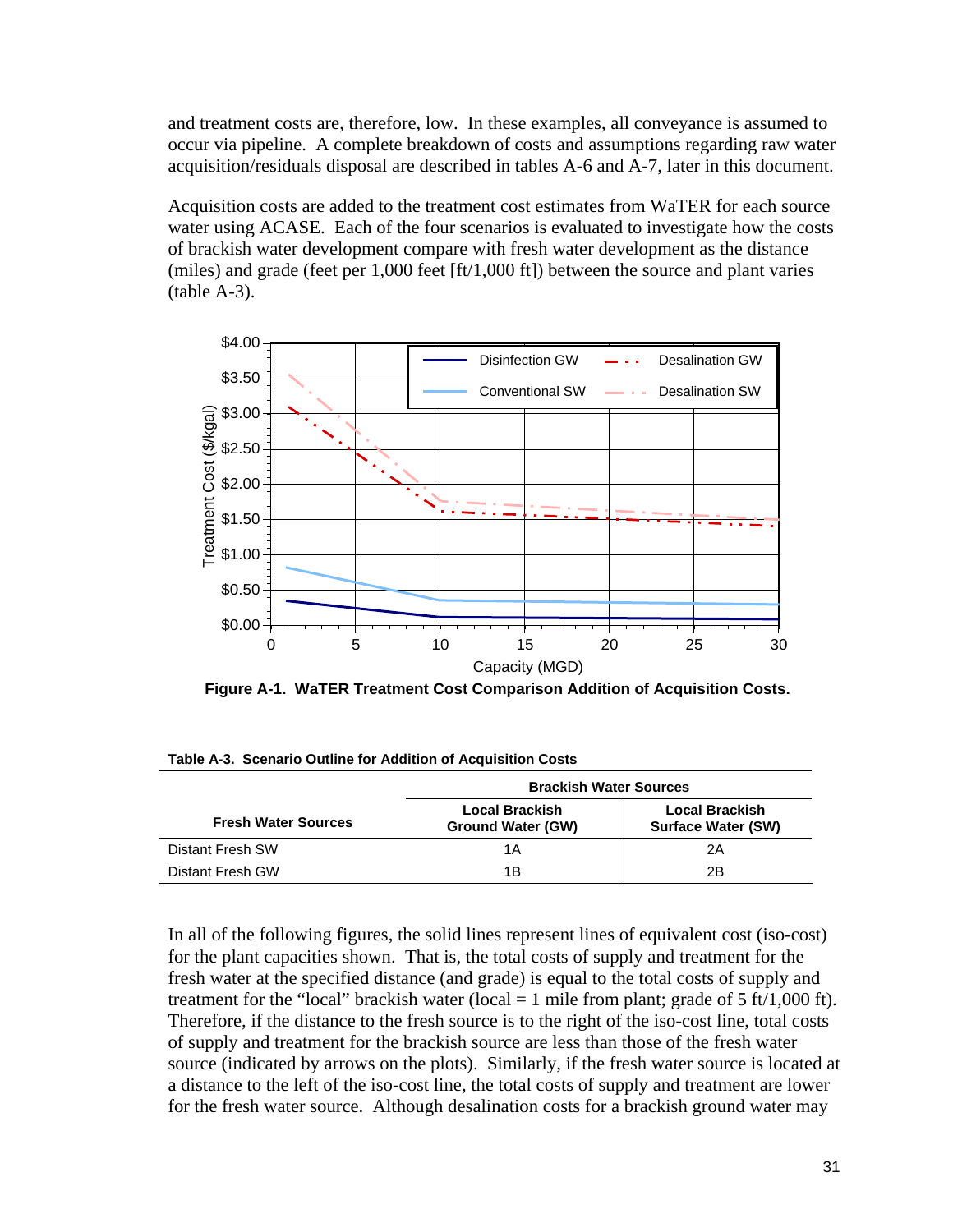and treatment costs are, therefore, low. In these examples, all conveyance is assumed to occur via pipeline. A complete breakdown of costs and assumptions regarding raw water acquisition/residuals disposal are described in tables A-6 and A-7, later in this document.

Acquisition costs are added to the treatment cost estimates from WaTER for each source water using ACASE. Each of the four scenarios is evaluated to investigate how the costs of brackish water development compare with fresh water development as the distance (miles) and grade (feet per 1,000 feet [ft/1,000 ft]) between the source and plant varies (table A-3).



 **Figure A-1. WaTER Treatment Cost Comparison Addition of Acquisition Costs.** 

|                            | <b>Brackish Water Sources</b>       |                                             |  |
|----------------------------|-------------------------------------|---------------------------------------------|--|
| <b>Fresh Water Sources</b> | Local Brackish<br>Ground Water (GW) | Local Brackish<br><b>Surface Water (SW)</b> |  |
| Distant Fresh SW           | 1Α                                  | 2Α                                          |  |
| Distant Fresh GW           | 1Β                                  | 2Β                                          |  |

**Table A-3. Scenario Outline for Addition of Acquisition Costs** 

In all of the following figures, the solid lines represent lines of equivalent cost (iso-cost) for the plant capacities shown. That is, the total costs of supply and treatment for the fresh water at the specified distance (and grade) is equal to the total costs of supply and treatment for the "local" brackish water (local  $= 1$  mile from plant; grade of 5 ft/1,000 ft). Therefore, if the distance to the fresh source is to the right of the iso-cost line, total costs of supply and treatment for the brackish source are less than those of the fresh water source (indicated by arrows on the plots). Similarly, if the fresh water source is located at a distance to the left of the iso-cost line, the total costs of supply and treatment are lower for the fresh water source. Although desalination costs for a brackish ground water may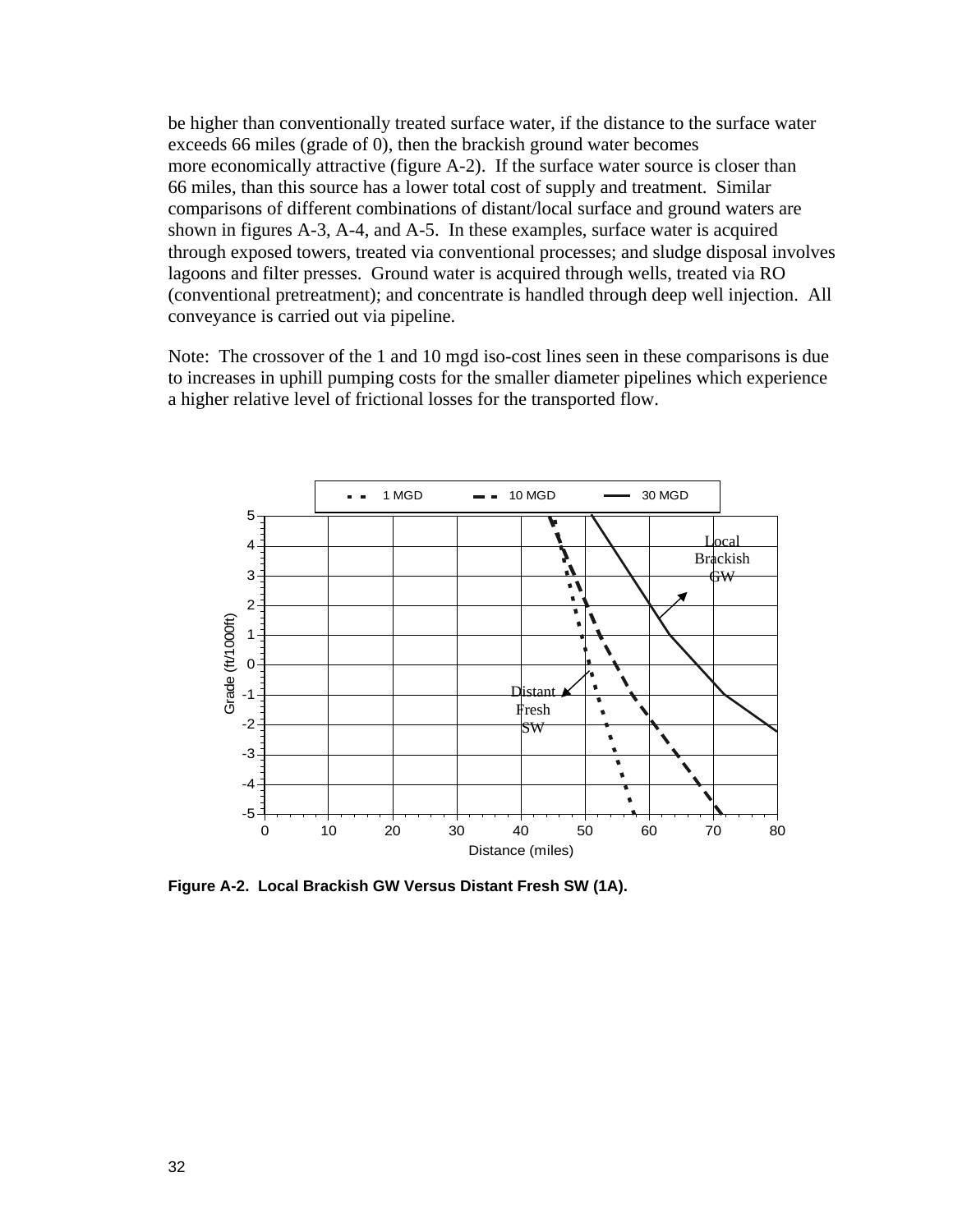be higher than conventionally treated surface water, if the distance to the surface water exceeds 66 miles (grade of 0), then the brackish ground water becomes more economically attractive (figure A-2). If the surface water source is closer than 66 miles, than this source has a lower total cost of supply and treatment. Similar comparisons of different combinations of distant/local surface and ground waters are shown in figures A-3, A-4, and A-5. In these examples, surface water is acquired through exposed towers, treated via conventional processes; and sludge disposal involves lagoons and filter presses. Ground water is acquired through wells, treated via RO (conventional pretreatment); and concentrate is handled through deep well injection. All conveyance is carried out via pipeline.

Note: The crossover of the 1 and 10 mgd iso-cost lines seen in these comparisons is due to increases in uphill pumping costs for the smaller diameter pipelines which experience a higher relative level of frictional losses for the transported flow.



**Figure A-2. Local Brackish GW Versus Distant Fresh SW (1A).**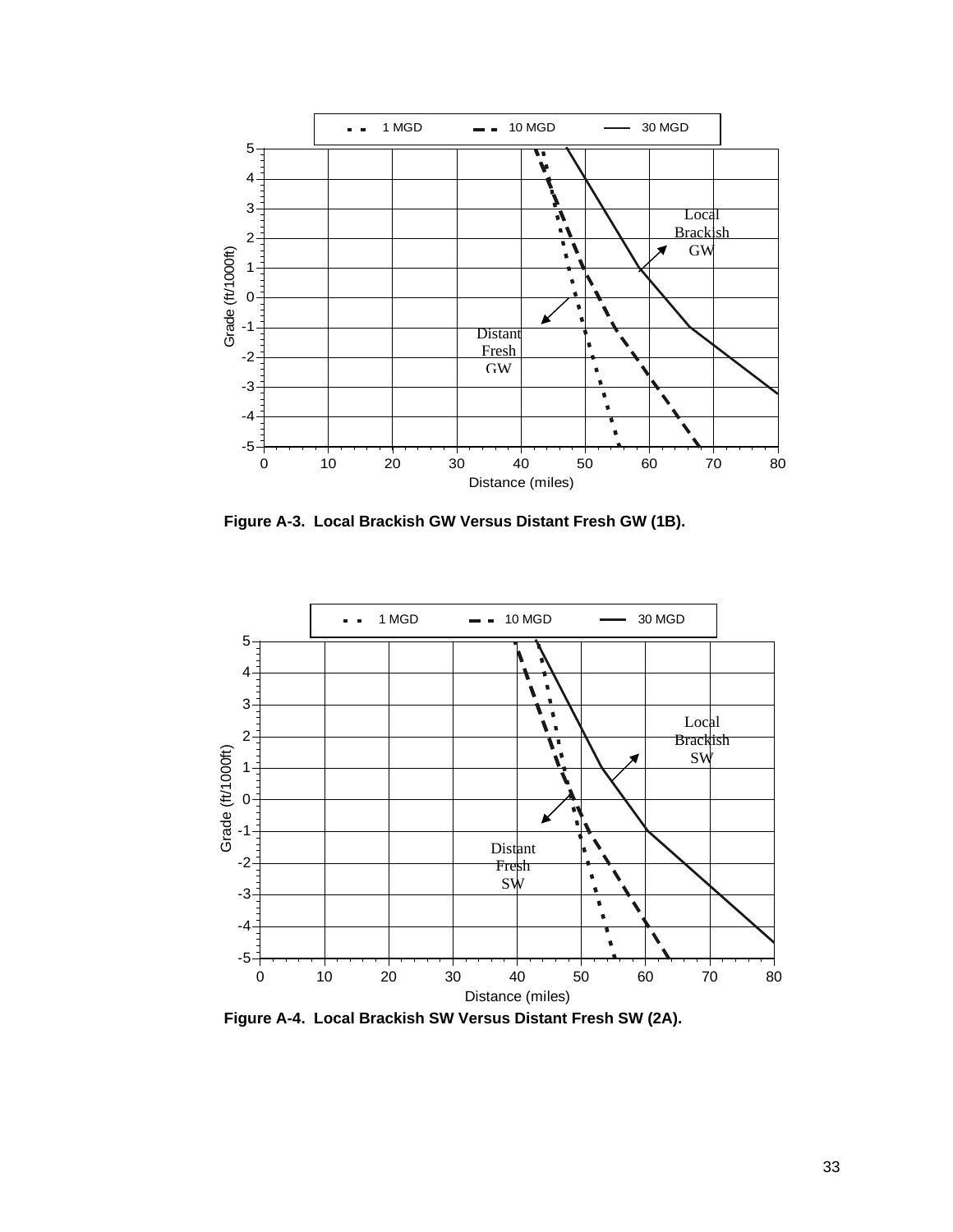

 **Figure A-3. Local Brackish GW Versus Distant Fresh GW (1B).** 



 **Figure A-4. Local Brackish SW Versus Distant Fresh SW (2A).**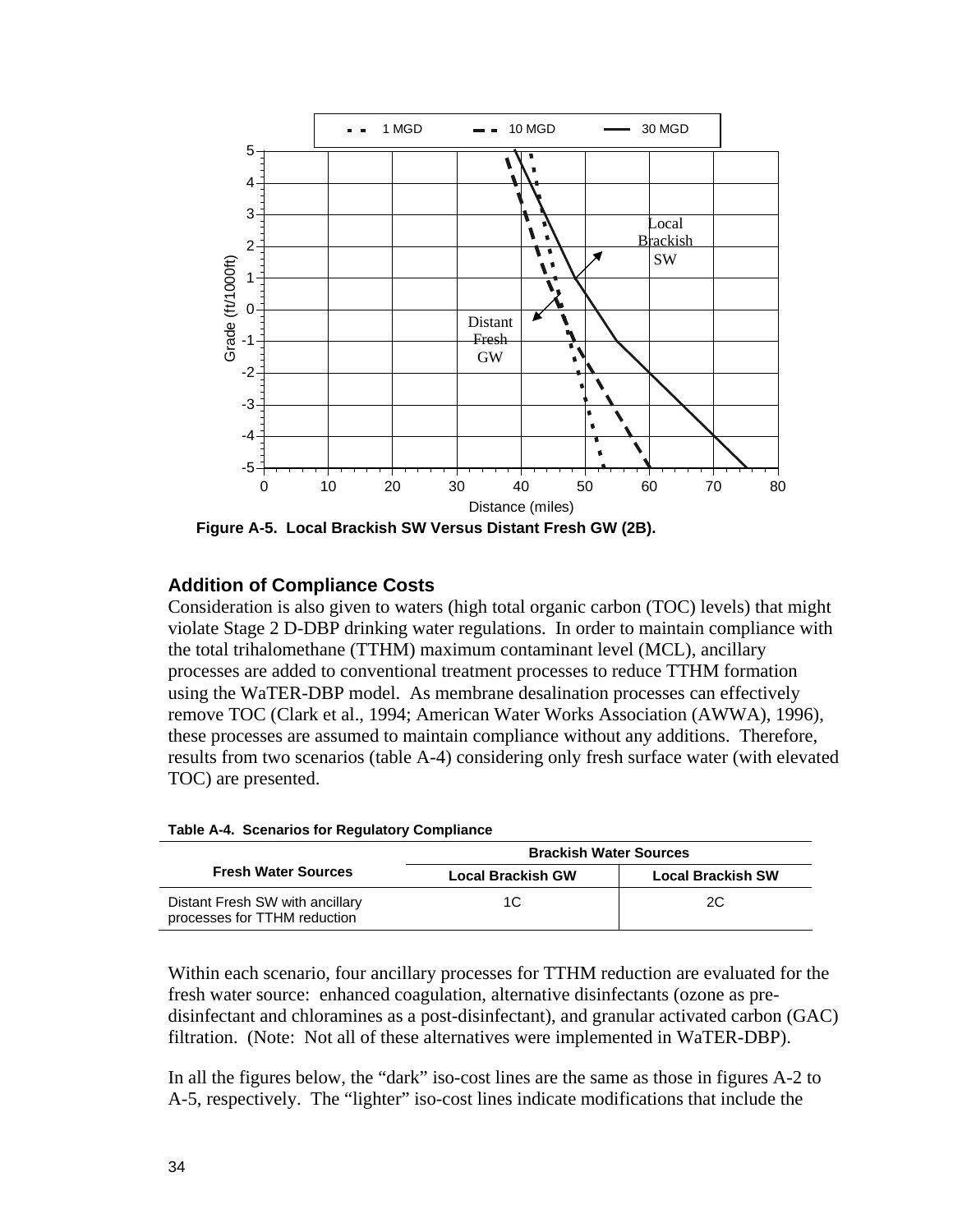

 **Figure A-5. Local Brackish SW Versus Distant Fresh GW (2B).** 

### **Addition of Compliance Costs**

Consideration is also given to waters (high total organic carbon (TOC) levels) that might violate Stage 2 D-DBP drinking water regulations. In order to maintain compliance with the total trihalomethane (TTHM) maximum contaminant level (MCL), ancillary processes are added to conventional treatment processes to reduce TTHM formation using the WaTER-DBP model. As membrane desalination processes can effectively remove TOC (Clark et al., 1994; American Water Works Association (AWWA), 1996), these processes are assumed to maintain compliance without any additions. Therefore, results from two scenarios (table A-4) considering only fresh surface water (with elevated TOC) are presented.

|                                                                 | <b>Brackish Water Sources</b> |                          |  |
|-----------------------------------------------------------------|-------------------------------|--------------------------|--|
| <b>Fresh Water Sources</b>                                      | <b>Local Brackish GW</b>      | <b>Local Brackish SW</b> |  |
| Distant Fresh SW with ancillary<br>processes for TTHM reduction | 1C                            | 20                       |  |

| Table A-4. Scenarios for Regulatory Compliance |  |  |
|------------------------------------------------|--|--|

Within each scenario, four ancillary processes for TTHM reduction are evaluated for the fresh water source: enhanced coagulation, alternative disinfectants (ozone as predisinfectant and chloramines as a post-disinfectant), and granular activated carbon (GAC) filtration. (Note: Not all of these alternatives were implemented in WaTER-DBP).

In all the figures below, the "dark" iso-cost lines are the same as those in figures A-2 to A-5, respectively. The "lighter" iso-cost lines indicate modifications that include the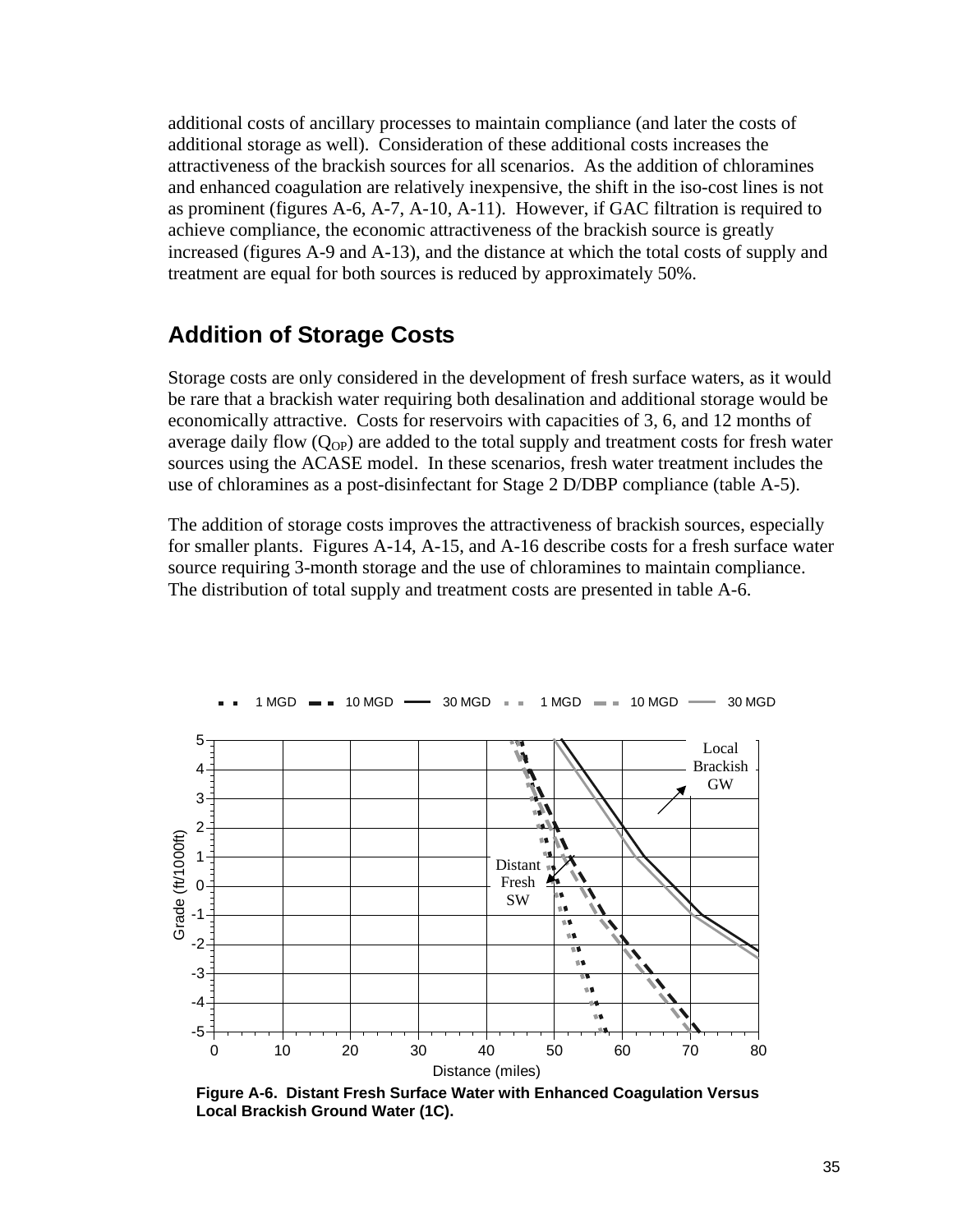additional costs of ancillary processes to maintain compliance (and later the costs of additional storage as well). Consideration of these additional costs increases the attractiveness of the brackish sources for all scenarios. As the addition of chloramines and enhanced coagulation are relatively inexpensive, the shift in the iso-cost lines is not as prominent (figures A-6, A-7, A-10, A-11). However, if GAC filtration is required to achieve compliance, the economic attractiveness of the brackish source is greatly increased (figures A-9 and A-13), and the distance at which the total costs of supply and treatment are equal for both sources is reduced by approximately 50%.

### **Addition of Storage Costs**

Storage costs are only considered in the development of fresh surface waters, as it would be rare that a brackish water requiring both desalination and additional storage would be economically attractive. Costs for reservoirs with capacities of 3, 6, and 12 months of average daily flow  $(Q_{OP})$  are added to the total supply and treatment costs for fresh water sources using the ACASE model. In these scenarios, fresh water treatment includes the use of chloramines as a post-disinfectant for Stage 2 D/DBP compliance (table A-5).

The addition of storage costs improves the attractiveness of brackish sources, especially for smaller plants. Figures A-14, A-15, and A-16 describe costs for a fresh surface water source requiring 3-month storage and the use of chloramines to maintain compliance. The distribution of total supply and treatment costs are presented in table A-6.



 **Figure A-6. Distant Fresh Surface Water with Enhanced Coagulation Versus Local Brackish Ground Water (1C).**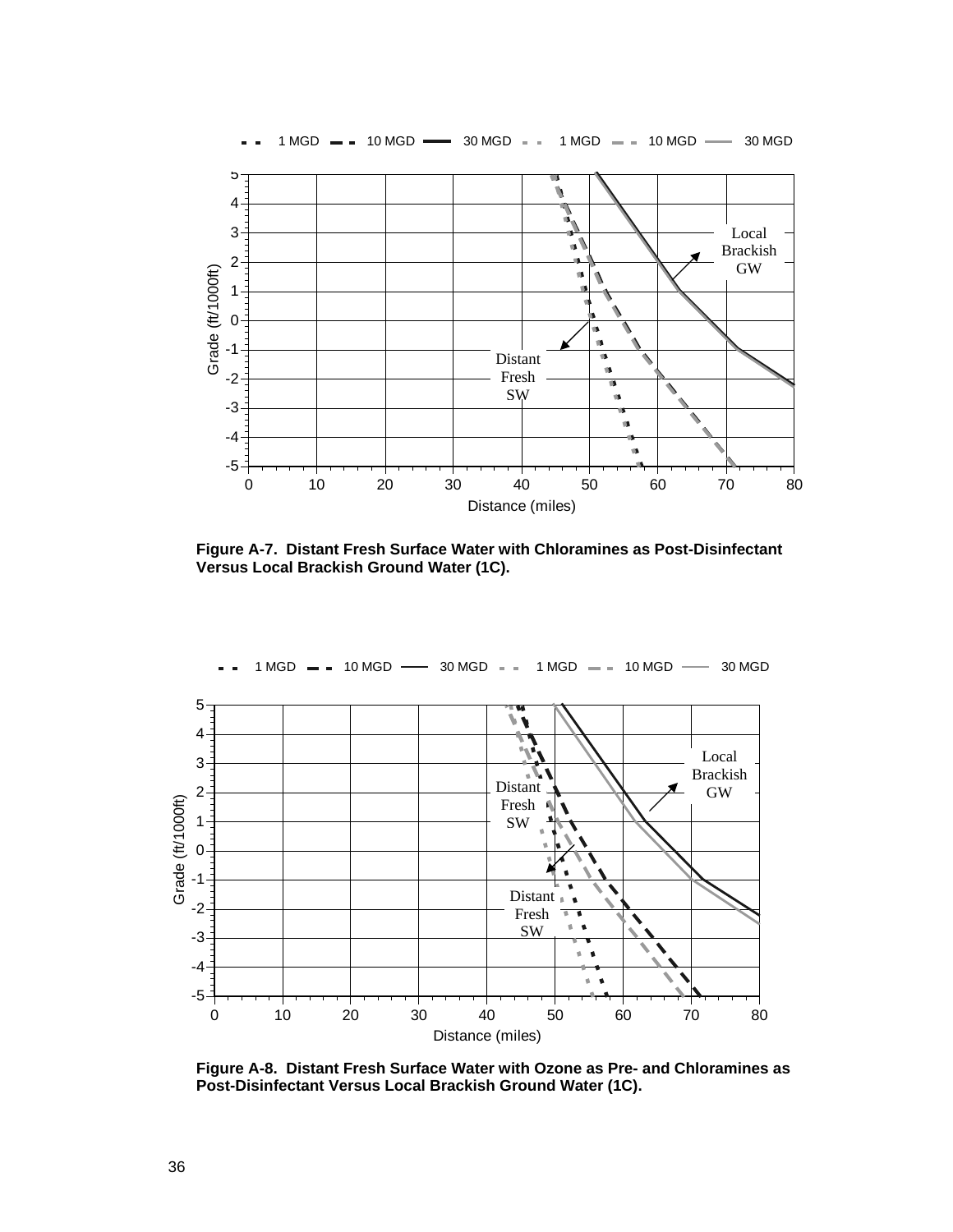

 **Figure A-7. Distant Fresh Surface Water with Chloramines as Post-Disinfectant Versus Local Brackish Ground Water (1C).** 



 **Figure A-8. Distant Fresh Surface Water with Ozone as Pre- and Chloramines as Post-Disinfectant Versus Local Brackish Ground Water (1C).**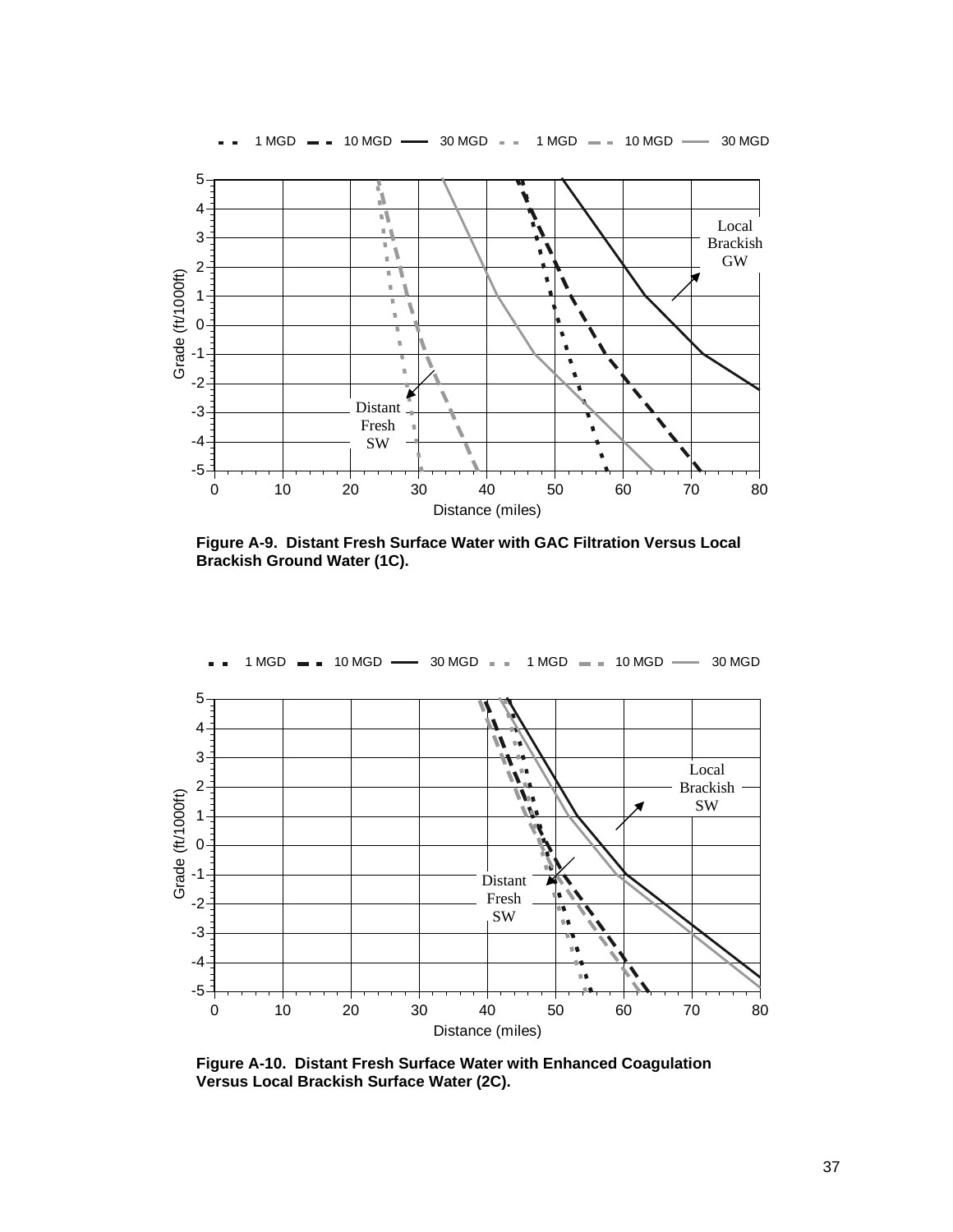

 **Figure A-9. Distant Fresh Surface Water with GAC Filtration Versus Local Brackish Ground Water (1C).** 



 **Figure A-10. Distant Fresh Surface Water with Enhanced Coagulation Versus Local Brackish Surface Water (2C).**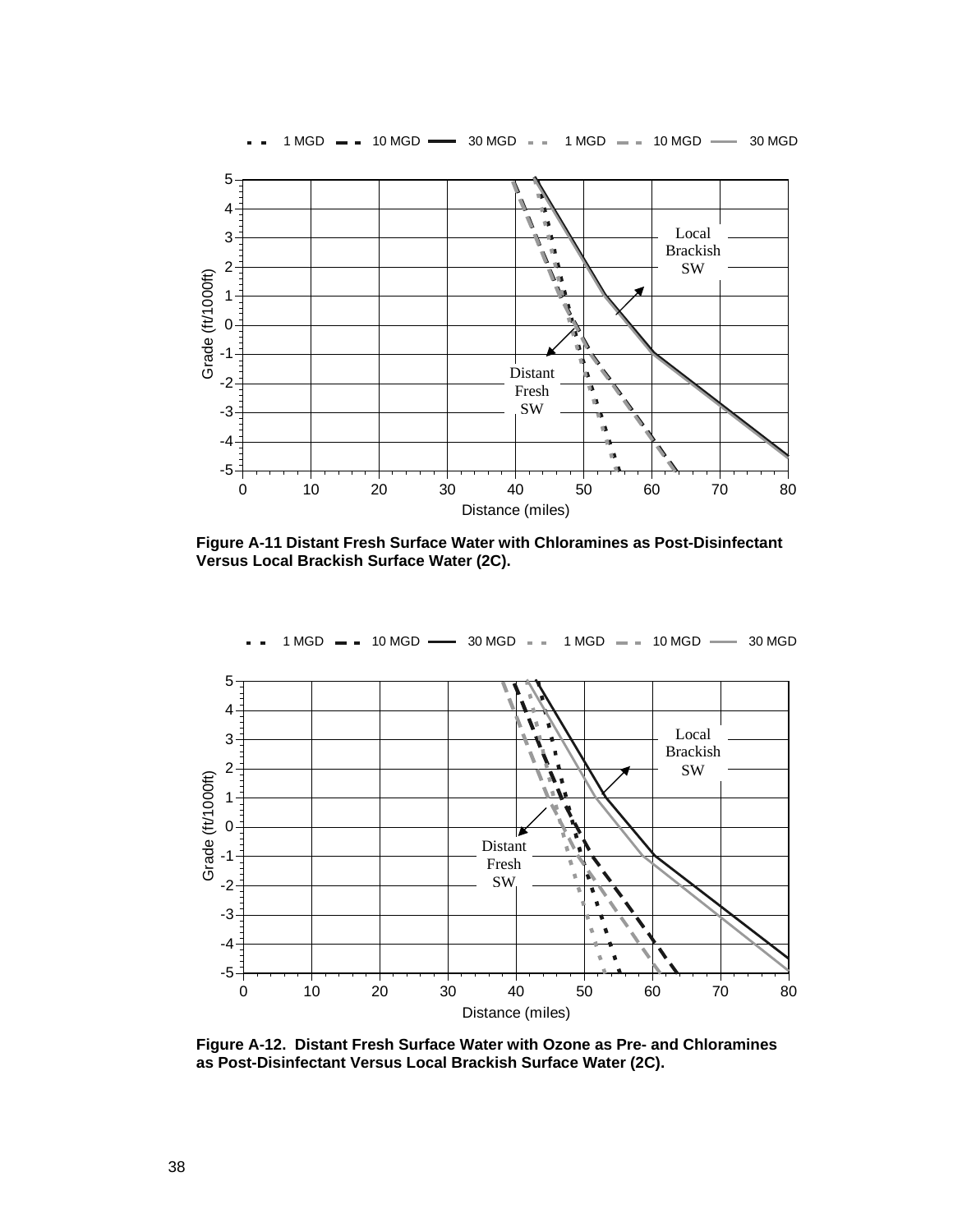

 **Figure A-11 Distant Fresh Surface Water with Chloramines as Post-Disinfectant Versus Local Brackish Surface Water (2C).** 



 **Figure A-12. Distant Fresh Surface Water with Ozone as Pre- and Chloramines as Post-Disinfectant Versus Local Brackish Surface Water (2C).**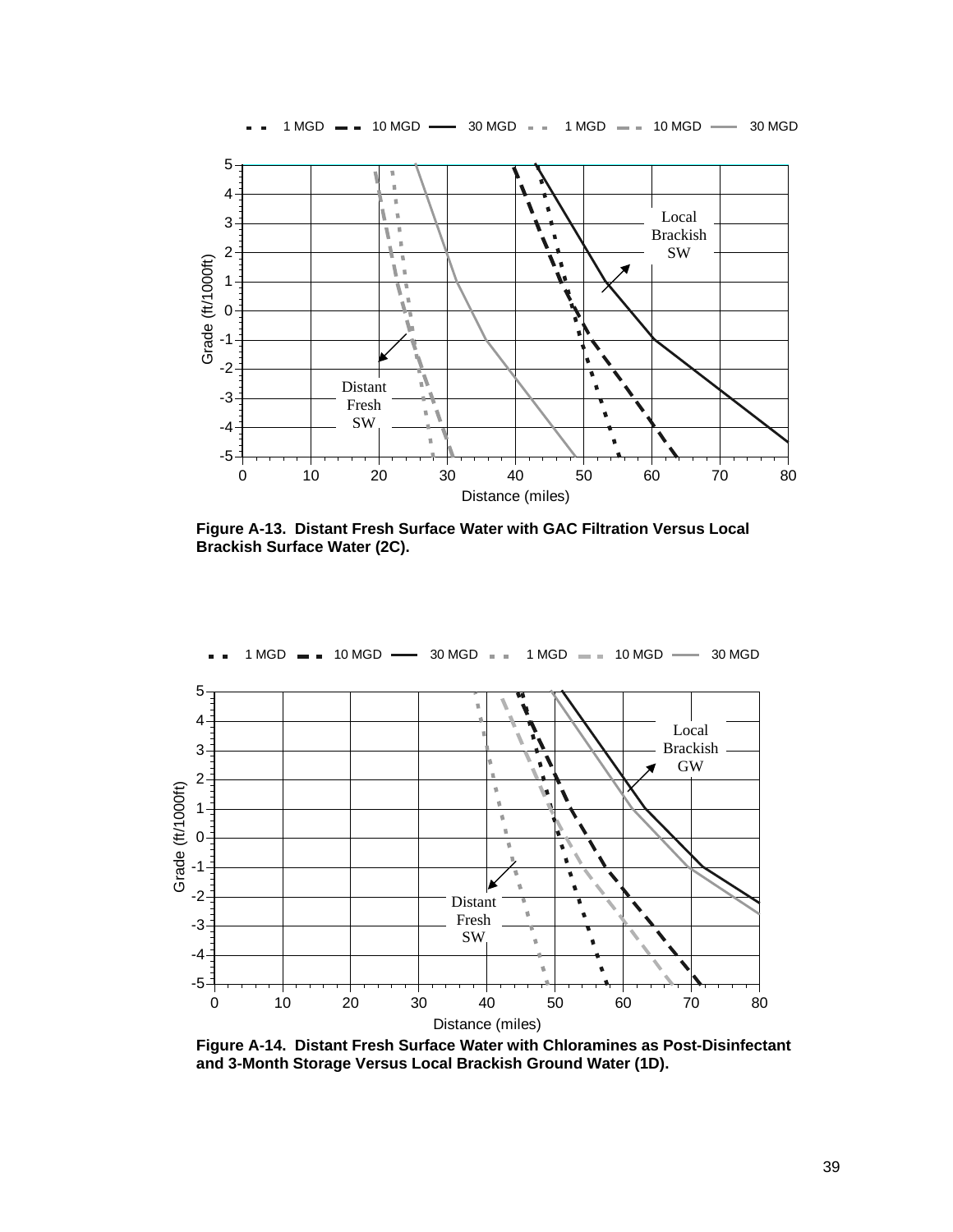

 **Figure A-13. Distant Fresh Surface Water with GAC Filtration Versus Local Brackish Surface Water (2C).** 



 **Figure A-14. Distant Fresh Surface Water with Chloramines as Post-Disinfectant and 3-Month Storage Versus Local Brackish Ground Water (1D).**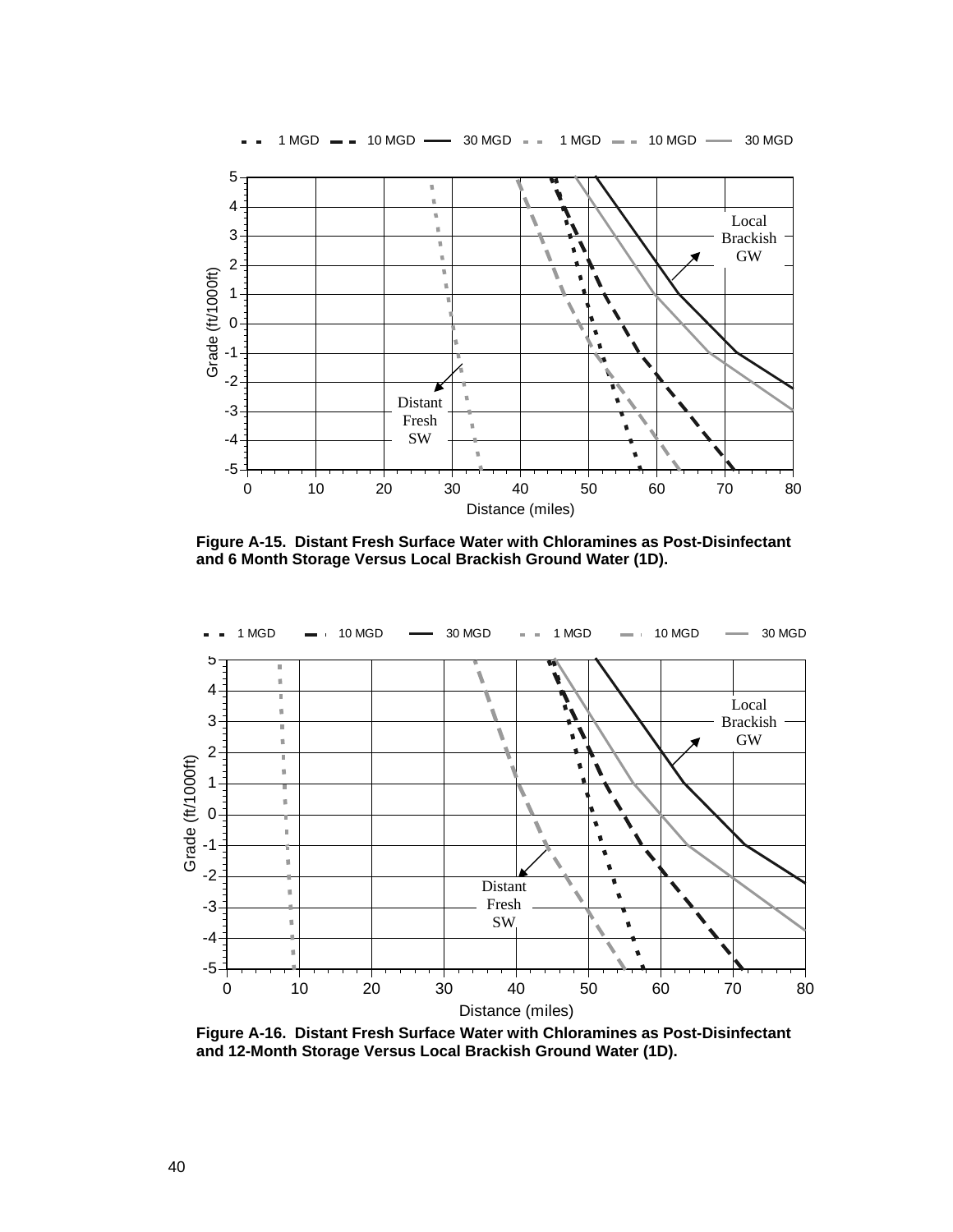

 **Figure A-15. Distant Fresh Surface Water with Chloramines as Post-Disinfectant and 6 Month Storage Versus Local Brackish Ground Water (1D).** 



 **Figure A-16. Distant Fresh Surface Water with Chloramines as Post-Disinfectant and 12-Month Storage Versus Local Brackish Ground Water (1D).**